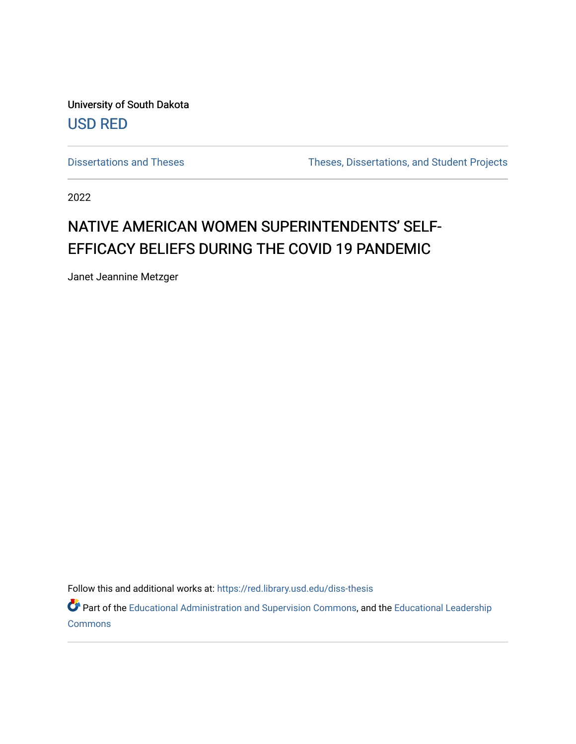University of South Dakota [USD RED](https://red.library.usd.edu/) 

[Dissertations and Theses](https://red.library.usd.edu/diss-thesis) Theses, Dissertations, and Student Projects

2022

# NATIVE AMERICAN WOMEN SUPERINTENDENTS' SELF-EFFICACY BELIEFS DURING THE COVID 19 PANDEMIC

Janet Jeannine Metzger

Follow this and additional works at: [https://red.library.usd.edu/diss-thesis](https://red.library.usd.edu/diss-thesis?utm_source=red.library.usd.edu%2Fdiss-thesis%2F35&utm_medium=PDF&utm_campaign=PDFCoverPages) 

Part of the [Educational Administration and Supervision Commons](http://network.bepress.com/hgg/discipline/787?utm_source=red.library.usd.edu%2Fdiss-thesis%2F35&utm_medium=PDF&utm_campaign=PDFCoverPages), and the [Educational Leadership](http://network.bepress.com/hgg/discipline/1230?utm_source=red.library.usd.edu%2Fdiss-thesis%2F35&utm_medium=PDF&utm_campaign=PDFCoverPages)  **[Commons](http://network.bepress.com/hgg/discipline/1230?utm_source=red.library.usd.edu%2Fdiss-thesis%2F35&utm_medium=PDF&utm_campaign=PDFCoverPages)**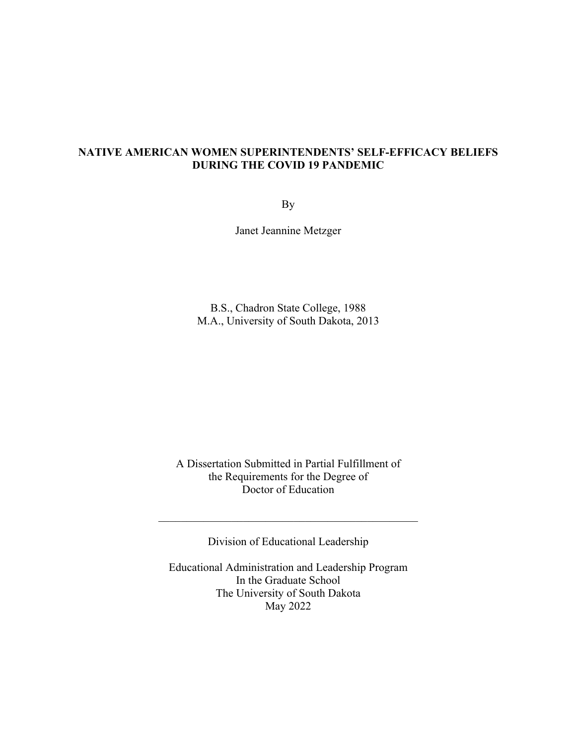# **NATIVE AMERICAN WOMEN SUPERINTENDENTS' SELF-EFFICACY BELIEFS DURING THE COVID 19 PANDEMIC**

By

Janet Jeannine Metzger

B.S., Chadron State College, 1988 M.A., University of South Dakota, 2013

A Dissertation Submitted in Partial Fulfillment of the Requirements for the Degree of Doctor of Education

Division of Educational Leadership

Educational Administration and Leadership Program In the Graduate School The University of South Dakota May 2022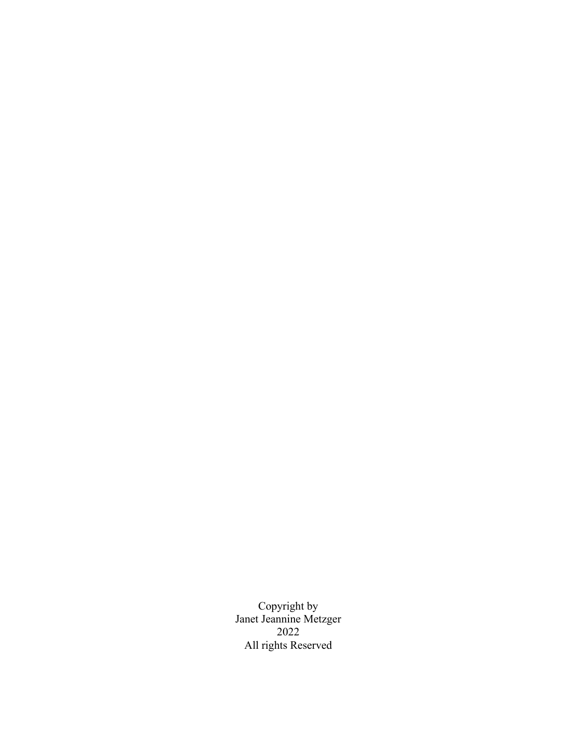Copyright by Janet Jeannine Metzger 2022 All rights Reserved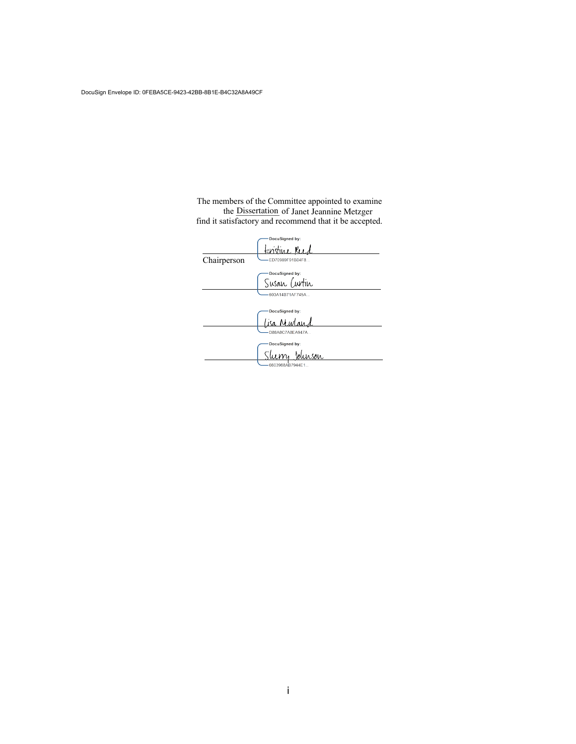<span id="page-3-0"></span>Janet Jeannine Me The members of the Committee appointed to examine the Dissertation of Janet Jeannine Metzger find it satisfactory and recommend that it be accepted.

|             | DocuSigned by:        |
|-------------|-----------------------|
|             | enstine Reed          |
| Chairperson | ED70989F91B04F8       |
|             | DocuSigned by:        |
|             | Susan Curtin          |
|             | 603A14B71AF745A       |
|             | DocuSigned by:        |
|             | لمكأ<br><u>Mivlan</u> |
|             | D88A8C7A8EA947A       |
|             | DocuSigned by:        |
|             | <u>slurson</u>        |
|             | 0803988AB7944E1       |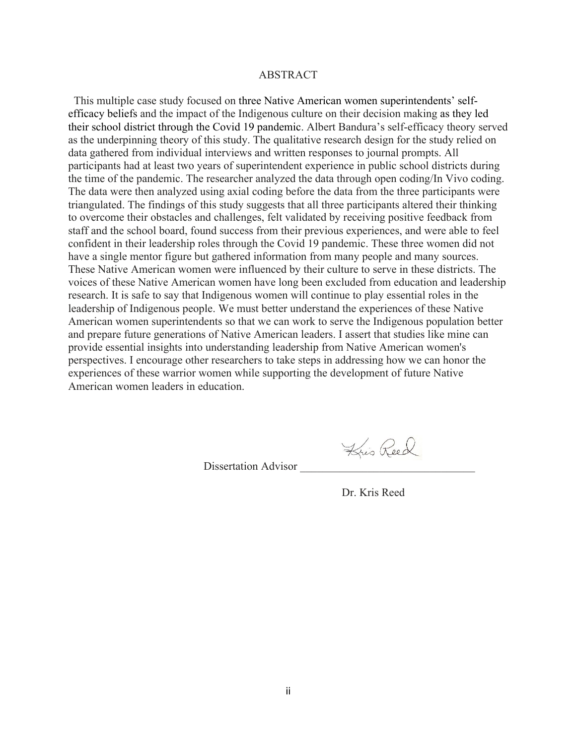#### ABSTRACT

<span id="page-4-0"></span> as the underpinning theory of this study. The qualitative research design for the study relied on participants had at least two years of superintendent experience in public school districts during The data were then analyzed using axial coding before the data from the three participants were to overcome their obstacles and challenges, felt validated by receiving positive feedback from These Native American women were influenced by their culture to serve in these districts. The This multiple case study focused on three Native American women superintendents' selfefficacy beliefs and the impact of the Indigenous culture on their decision making as they led their school district through the Covid 19 pandemic. Albert Bandura's self-efficacy theory served data gathered from individual interviews and written responses to journal prompts. All the time of the pandemic. The researcher analyzed the data through open coding/In Vivo coding. triangulated. The findings of this study suggests that all three participants altered their thinking staff and the school board, found success from their previous experiences, and were able to feel confident in their leadership roles through the Covid 19 pandemic. These three women did not have a single mentor figure but gathered information from many people and many sources. voices of these Native American women have long been excluded from education and leadership research. It is safe to say that Indigenous women will continue to play essential roles in the leadership of Indigenous people. We must better understand the experiences of these Native American women superintendents so that we can work to serve the Indigenous population better and prepare future generations of Native American leaders. I assert that studies like mine can provide essential insights into understanding leadership from Native American women's perspectives. I encourage other researchers to take steps in addressing how we can honor the experiences of these warrior women while supporting the development of future Native American women leaders in education.

Kris Reed

Dissertation Advisor

Dr. Kris Reed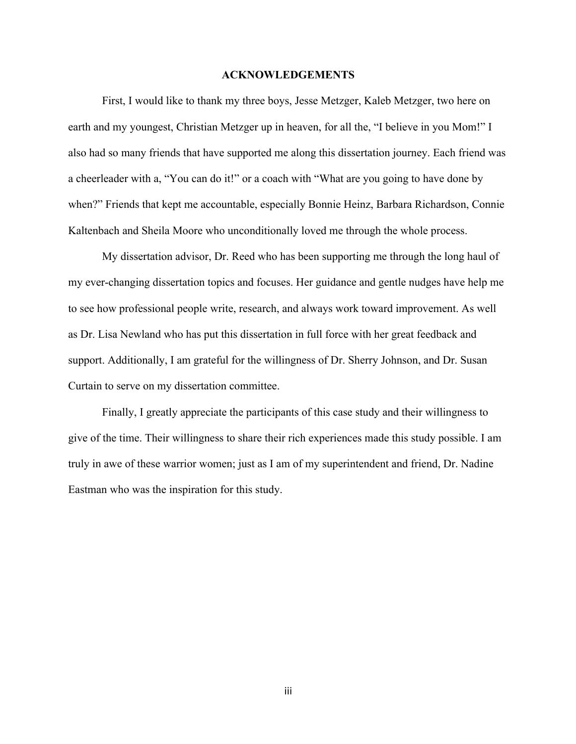#### **ACKNOWLEDGEMENTS**

<span id="page-5-0"></span>First, I would like to thank my three boys, Jesse Metzger, Kaleb Metzger, two here on earth and my youngest, Christian Metzger up in heaven, for all the, "I believe in you Mom!" I also had so many friends that have supported me along this dissertation journey. Each friend was a cheerleader with a, "You can do it!" or a coach with "What are you going to have done by when?" Friends that kept me accountable, especially Bonnie Heinz, Barbara Richardson, Connie Kaltenbach and Sheila Moore who unconditionally loved me through the whole process.

My dissertation advisor, Dr. Reed who has been supporting me through the long haul of my ever-changing dissertation topics and focuses. Her guidance and gentle nudges have help me to see how professional people write, research, and always work toward improvement. As well as Dr. Lisa Newland who has put this dissertation in full force with her great feedback and support. Additionally, I am grateful for the willingness of Dr. Sherry Johnson, and Dr. Susan Curtain to serve on my dissertation committee.

Finally, I greatly appreciate the participants of this case study and their willingness to give of the time. Their willingness to share their rich experiences made this study possible. I am truly in awe of these warrior women; just as I am of my superintendent and friend, Dr. Nadine Eastman who was the inspiration for this study.

iii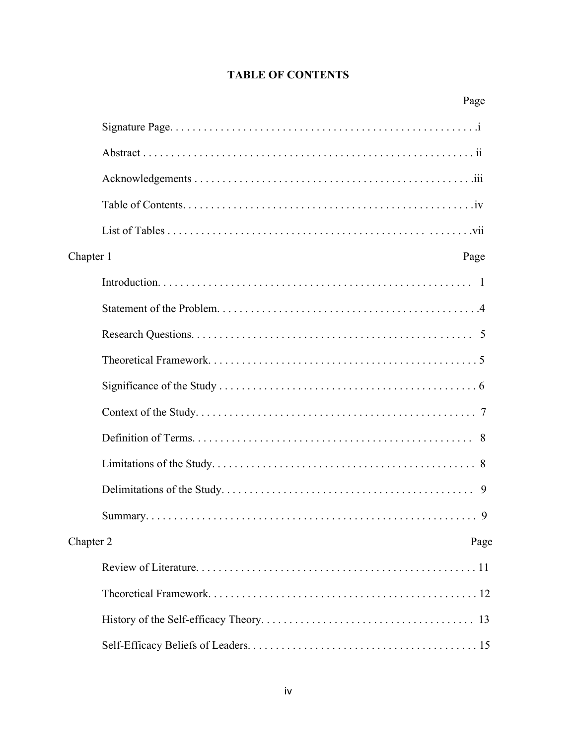# **TABLE OF CONTENTS**

| Page              |
|-------------------|
|                   |
|                   |
|                   |
|                   |
|                   |
| Chapter 1<br>Page |
|                   |
|                   |
|                   |
|                   |
|                   |
|                   |
|                   |
|                   |
| 9                 |
| 9                 |
| Chapter 2<br>Page |
|                   |
|                   |
|                   |
|                   |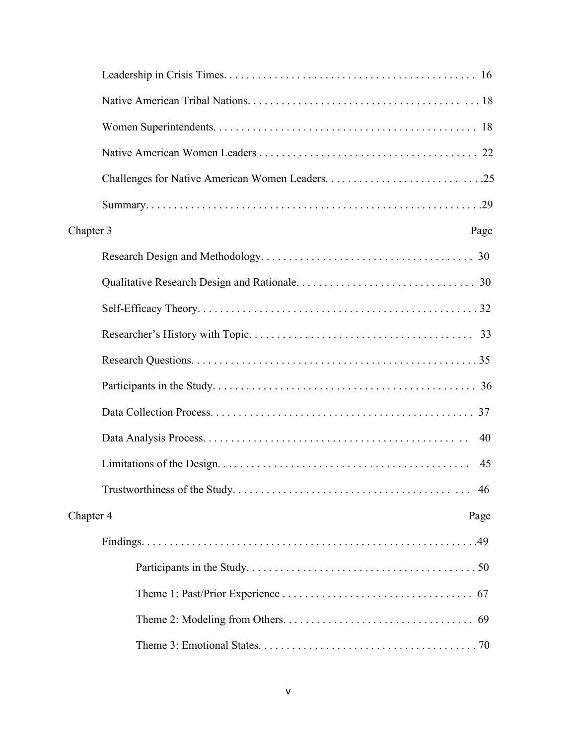| Chapter 3<br>Page |
|-------------------|
|                   |
|                   |
|                   |
|                   |
|                   |
|                   |
|                   |
| 40                |
| 45                |
|                   |
| Chapter 4<br>Page |
|                   |
|                   |
|                   |
|                   |
|                   |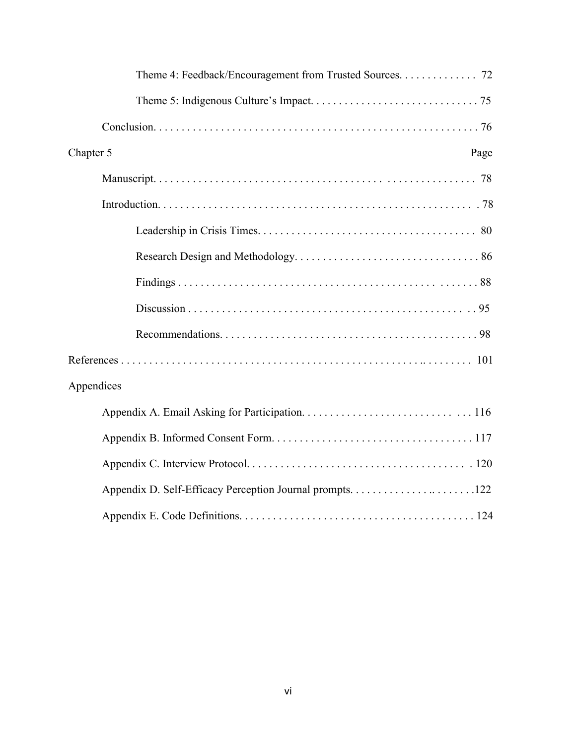| Theme 4: Feedback/Encouragement from Trusted Sources. 72 |
|----------------------------------------------------------|
|                                                          |
|                                                          |
| Chapter 5<br>Page                                        |
|                                                          |
|                                                          |
|                                                          |
|                                                          |
|                                                          |
|                                                          |
|                                                          |
|                                                          |
| Appendices                                               |
|                                                          |
|                                                          |
|                                                          |
|                                                          |
|                                                          |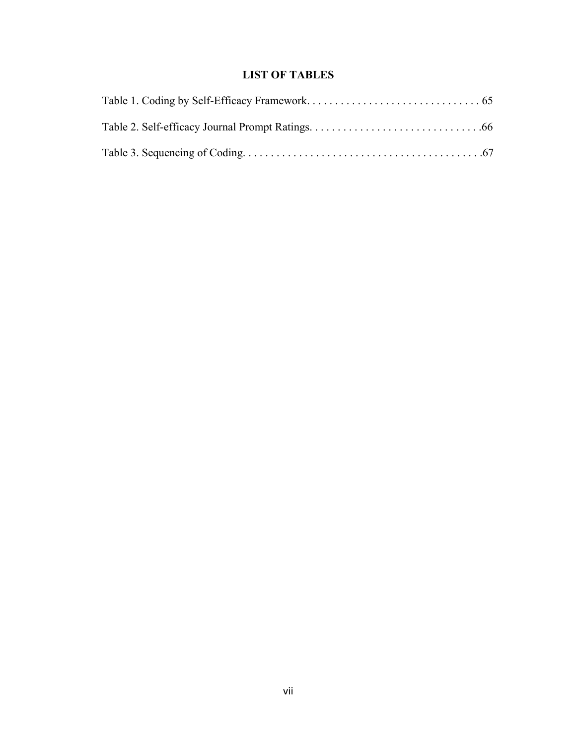# **LIST OF TABLES**

<span id="page-9-0"></span>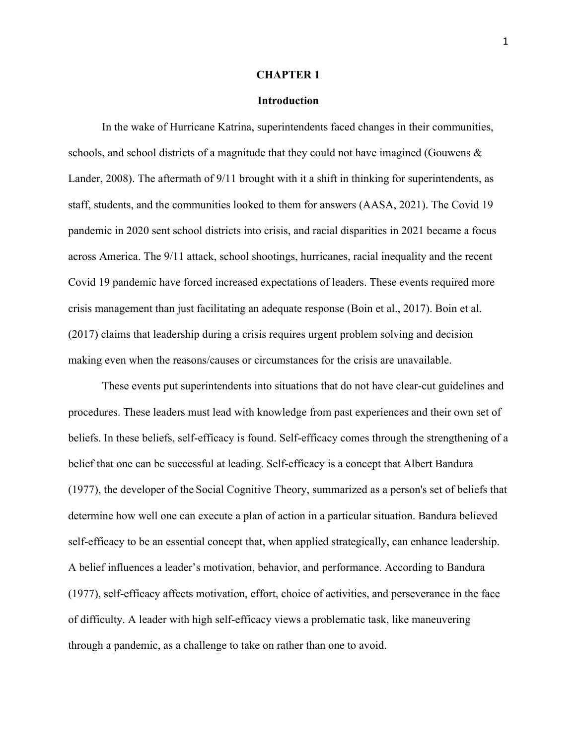#### **CHAPTER 1**

#### **Introduction**

 In the wake of Hurricane Katrina, superintendents faced changes in their communities, making even when the reasons/causes or circumstances for the crisis are unavailable. schools, and school districts of a magnitude that they could not have imagined (Gouwens & Lander, 2008). The aftermath of 9/11 brought with it a shift in thinking for superintendents, as staff, students, and the communities looked to them for answers (AASA, 2021). The Covid 19 pandemic in 2020 sent school districts into crisis, and racial disparities in 2021 became a focus across America. The 9/11 attack, school shootings, hurricanes, racial inequality and the recent Covid 19 pandemic have forced increased expectations of leaders. These events required more crisis management than just facilitating an adequate response (Boin et al., 2017). Boin et al. (2017) claims that leadership during a crisis requires urgent problem solving and decision

 procedures. These leaders must lead with knowledge from past experiences and their own set of belief that one can be successful at leading. Self-efficacy is a concept that Albert Bandura These events put superintendents into situations that do not have clear-cut guidelines and beliefs. In these beliefs, self-efficacy is found. Self-efficacy comes through the strengthening of a (1977), the developer of the Social Cognitive Theory, summarized as a person's set of beliefs that determine how well one can execute a plan of action in a particular situation. Bandura believed self-efficacy to be an essential concept that, when applied strategically, can enhance leadership. A belief influences a leader's motivation, behavior, and performance. According to Bandura (1977), self-efficacy affects motivation, effort, choice of activities, and perseverance in the face of difficulty. A leader with high self-efficacy views a problematic task, like maneuvering through a pandemic, as a challenge to take on rather than one to avoid.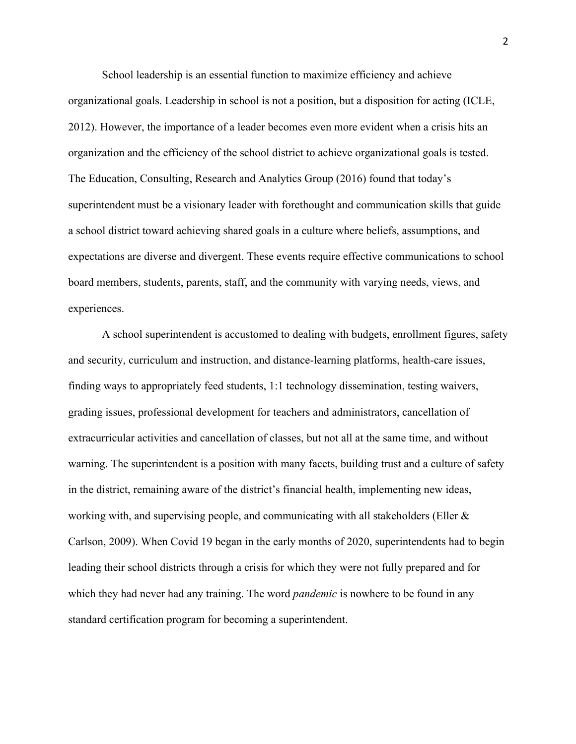organizational goals. Leadership in school is not a position, but a disposition for acting (ICLE, School leadership is an essential function to maximize efficiency and achieve 2012). However, the importance of a leader becomes even more evident when a crisis hits an organization and the efficiency of the school district to achieve organizational goals is tested. The Education, Consulting, Research and Analytics Group (2016) found that today's superintendent must be a visionary leader with forethought and communication skills that guide a school district toward achieving shared goals in a culture where beliefs, assumptions, and expectations are diverse and divergent. These events require effective communications to school board members, students, parents, staff, and the community with varying needs, views, and experiences.

A school superintendent is accustomed to dealing with budgets, enrollment figures, safety and security, curriculum and instruction, and distance-learning platforms, health-care issues, finding ways to appropriately feed students, 1:1 technology dissemination, testing waivers, grading issues, professional development for teachers and administrators, cancellation of extracurricular activities and cancellation of classes, but not all at the same time, and without warning. The superintendent is a position with many facets, building trust and a culture of safety in the district, remaining aware of the district's financial health, implementing new ideas, working with, and supervising people, and communicating with all stakeholders (Eller & Carlson, 2009). When Covid 19 began in the early months of 2020, superintendents had to begin leading their school districts through a crisis for which they were not fully prepared and for which they had never had any training. The word *pandemic* is nowhere to be found in any standard certification program for becoming a superintendent.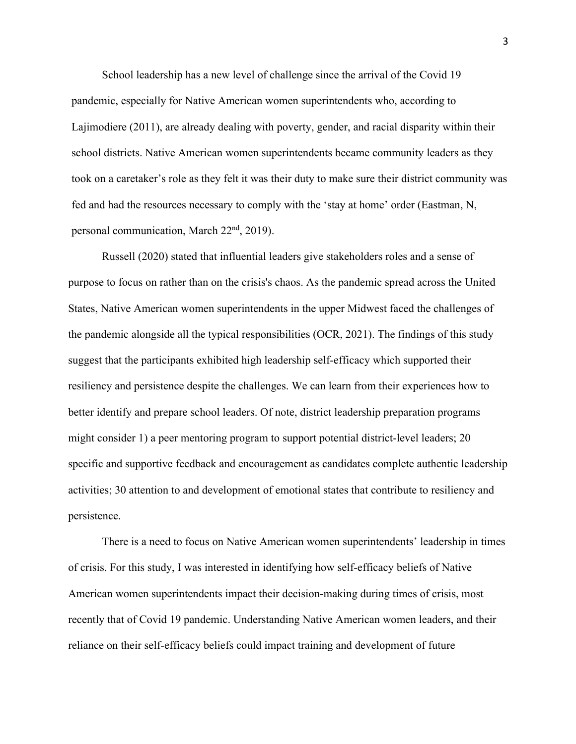School leadership has a new level of challenge since the arrival of the Covid 19 pandemic, especially for Native American women superintendents who, according to Lajimodiere (2011), are already dealing with poverty, gender, and racial disparity within their school districts. Native American women superintendents became community leaders as they took on a caretaker's role as they felt it was their duty to make sure their district community was fed and had the resources necessary to comply with the 'stay at home' order (Eastman, N, personal communication, March 22nd, 2019).

Russell (2020) stated that influential leaders give stakeholders roles and a sense of purpose to focus on rather than on the crisis's chaos. As the pandemic spread across the United States, Native American women superintendents in the upper Midwest faced the challenges of the pandemic alongside all the typical responsibilities (OCR, 2021). The findings of this study suggest that the participants exhibited high leadership self-efficacy which supported their resiliency and persistence despite the challenges. We can learn from their experiences how to better identify and prepare school leaders. Of note, district leadership preparation programs might consider 1) a peer mentoring program to support potential district-level leaders; 20 specific and supportive feedback and encouragement as candidates complete authentic leadership activities; 30 attention to and development of emotional states that contribute to resiliency and persistence.

There is a need to focus on Native American women superintendents' leadership in times of crisis. For this study, I was interested in identifying how self-efficacy beliefs of Native American women superintendents impact their decision-making during times of crisis, most recently that of Covid 19 pandemic. Understanding Native American women leaders, and their reliance on their self-efficacy beliefs could impact training and development of future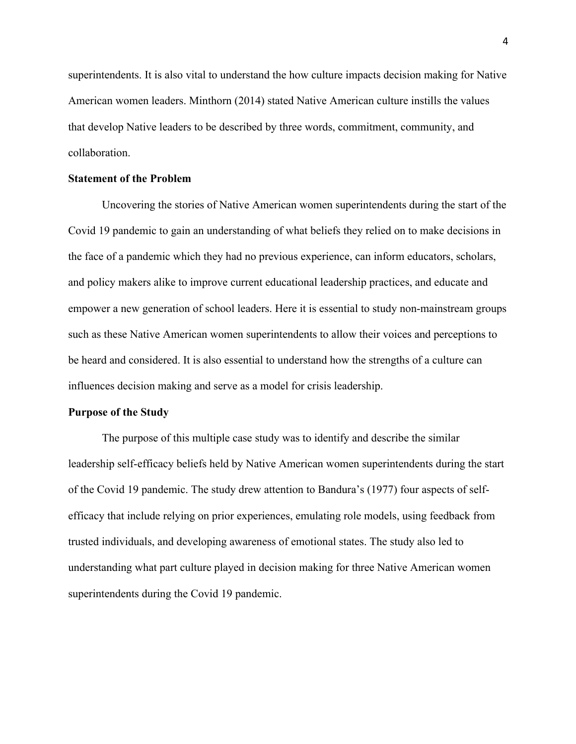superintendents. It is also vital to understand the how culture impacts decision making for Native American women leaders. Minthorn (2014) stated Native American culture instills the values that develop Native leaders to be described by three words, commitment, community, and collaboration.

#### **Statement of the Problem**

 empower a new generation of school leaders. Here it is essential to study non-mainstream groups Uncovering the stories of Native American women superintendents during the start of the Covid 19 pandemic to gain an understanding of what beliefs they relied on to make decisions in the face of a pandemic which they had no previous experience, can inform educators, scholars, and policy makers alike to improve current educational leadership practices, and educate and such as these Native American women superintendents to allow their voices and perceptions to be heard and considered. It is also essential to understand how the strengths of a culture can influences decision making and serve as a model for crisis leadership.

#### **Purpose of the Study**

 leadership self-efficacy beliefs held by Native American women superintendents during the start of the Covid 19 pandemic. The study drew attention to Bandura's (1977) four aspects of self-The purpose of this multiple case study was to identify and describe the similar efficacy that include relying on prior experiences, emulating role models, using feedback from trusted individuals, and developing awareness of emotional states. The study also led to understanding what part culture played in decision making for three Native American women superintendents during the Covid 19 pandemic.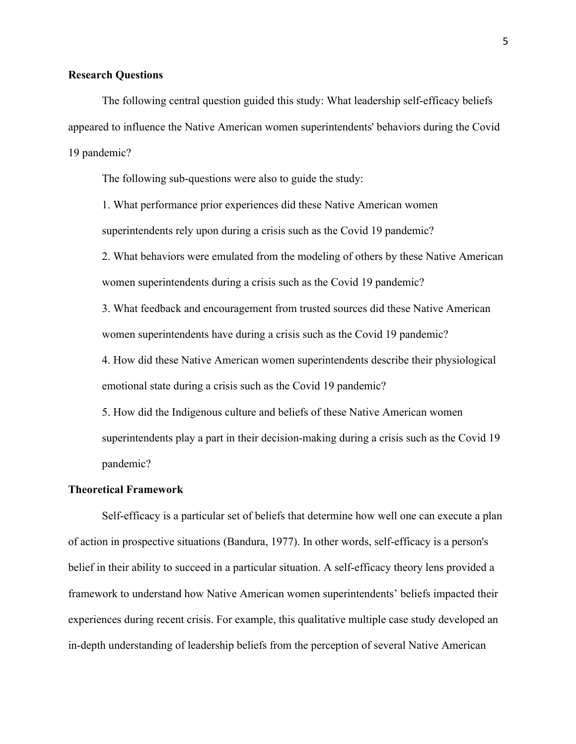# **Research Questions**

The following central question guided this study: What leadership self-efficacy beliefs appeared to influence the Native American women superintendents' behaviors during the Covid 19 pandemic?

The following sub-questions were also to guide the study:

1. What performance prior experiences did these Native American women superintendents rely upon during a crisis such as the Covid 19 pandemic?

women superintendents during a crisis such as the Covid 19 pandemic? 2. What behaviors were emulated from the modeling of others by these Native American

3. What feedback and encouragement from trusted sources did these Native American women superintendents have during a crisis such as the Covid 19 pandemic?

4. How did these Native American women superintendents describe their physiological emotional state during a crisis such as the Covid 19 pandemic?

 pandemic? 5. How did the Indigenous culture and beliefs of these Native American women superintendents play a part in their decision-making during a crisis such as the Covid 19

#### **Theoretical Framework**

Self-efficacy is a particular set of beliefs that determine how well one can execute a plan of action in prospective situations (Bandura, 1977). In other words, self-efficacy is a person's belief in their ability to succeed in a particular situation. A self-efficacy theory lens provided a framework to understand how Native American women superintendents' beliefs impacted their experiences during recent crisis. For example, this qualitative multiple case study developed an in-depth understanding of leadership beliefs from the perception of several Native American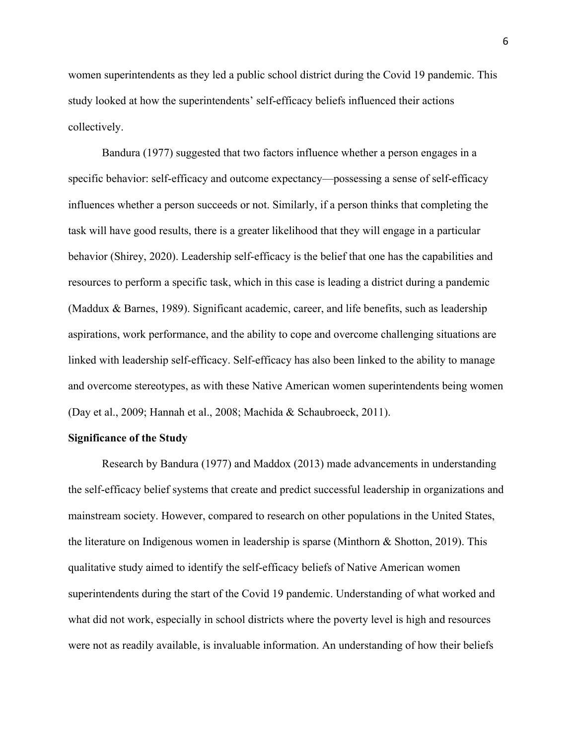women superintendents as they led a public school district during the Covid 19 pandemic. This study looked at how the superintendents' self-efficacy beliefs influenced their actions collectively.

 influences whether a person succeeds or not. Similarly, if a person thinks that completing the Bandura (1977) suggested that two factors influence whether a person engages in a specific behavior: self-efficacy and outcome expectancy—possessing a sense of self-efficacy task will have good results, there is a greater likelihood that they will engage in a particular behavior (Shirey, 2020). Leadership self-efficacy is the belief that one has the capabilities and resources to perform a specific task, which in this case is leading a district during a pandemic (Maddux & Barnes, 1989). Significant academic, career, and life benefits, such as leadership aspirations, work performance, and the ability to cope and overcome challenging situations are linked with leadership self-efficacy. Self-efficacy has also been linked to the ability to manage and overcome stereotypes, as with these Native American women superintendents being women (Day et al., 2009; Hannah et al., 2008; Machida & Schaubroeck, 2011).

# **Significance of the Study**

 superintendents during the start of the Covid 19 pandemic. Understanding of what worked and Research by Bandura (1977) and Maddox (2013) made advancements in understanding the self-efficacy belief systems that create and predict successful leadership in organizations and mainstream society. However, compared to research on other populations in the United States, the literature on Indigenous women in leadership is sparse (Minthorn & Shotton, 2019). This qualitative study aimed to identify the self-efficacy beliefs of Native American women what did not work, especially in school districts where the poverty level is high and resources were not as readily available, is invaluable information. An understanding of how their beliefs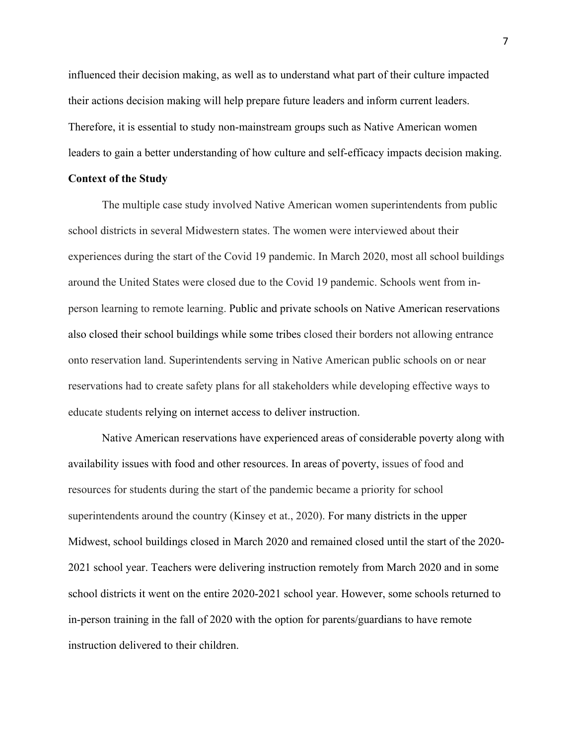Therefore, it is essential to study non-mainstream groups such as Native American women influenced their decision making, as well as to understand what part of their culture impacted their actions decision making will help prepare future leaders and inform current leaders. leaders to gain a better understanding of how culture and self-efficacy impacts decision making.

#### **Context of the Study**

The multiple case study involved Native American women superintendents from public school districts in several Midwestern states. The women were interviewed about their experiences during the start of the Covid 19 pandemic. In March 2020, most all school buildings around the United States were closed due to the Covid 19 pandemic. Schools went from inperson learning to remote learning. Public and private schools on Native American reservations also closed their school buildings while some tribes closed their borders not allowing entrance onto reservation land. Superintendents serving in Native American public schools on or near reservations had to create safety plans for all stakeholders while developing effective ways to educate students relying on internet access to deliver instruction.

 availability issues with food and other resources. In areas of poverty, issues of food and Native American reservations have experienced areas of considerable poverty along with resources for students during the start of the pandemic became a priority for school superintendents around the country (Kinsey et at., 2020). For many districts in the upper Midwest, school buildings closed in March 2020 and remained closed until the start of the 2020- 2021 school year. Teachers were delivering instruction remotely from March 2020 and in some school districts it went on the entire 2020-2021 school year. However, some schools returned to in-person training in the fall of 2020 with the option for parents/guardians to have remote instruction delivered to their children.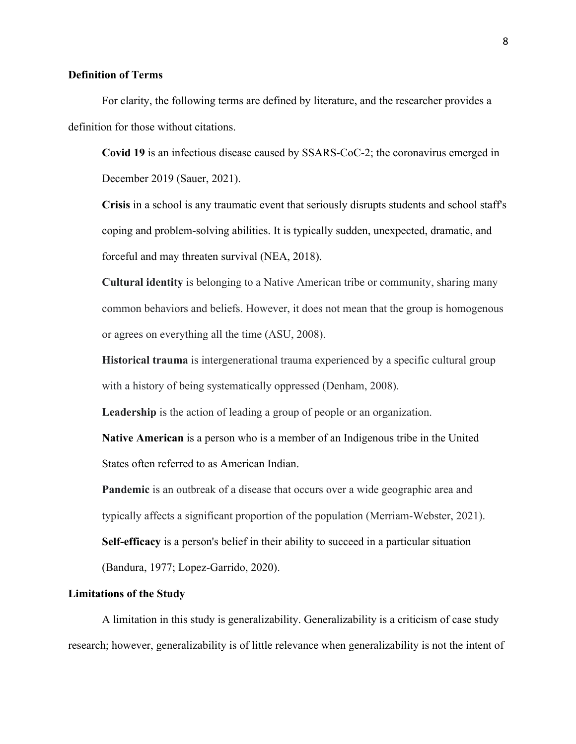# **Definition of Terms**

For clarity, the following terms are defined by literature, and the researcher provides a definition for those without citations.

**Covid 19** is an infectious disease caused by SSARS-CoC-2; the coronavirus emerged in December 2019 (Sauer, 2021).

**Crisis** in a school is any traumatic event that seriously disrupts students and school staff's coping and problem-solving abilities. It is typically sudden, unexpected, dramatic, and forceful and may threaten survival (NEA, 2018).

**Cultural identity** is belonging to a Native American tribe or community, sharing many common behaviors and beliefs. However, it does not mean that the group is homogenous or agrees on everything all the time (ASU, 2008).

**Historical trauma** is intergenerational trauma experienced by a specific cultural group with a history of being systematically oppressed (Denham, 2008).

**Leadership** is the action of leading a group of people or an organization.

**Native American** is a person who is a member of an Indigenous tribe in the United States often referred to as American Indian.

**Pandemic** is an outbreak of a disease that occurs over a wide geographic area and typically affects a significant proportion of the population (Merriam-Webster, 2021). **Self-efficacy** is a person's belief in their ability to succeed in a particular situation

(Bandura, 1977; Lopez-Garrido, 2020).

# **Limitations of the Study**

A limitation in this study is generalizability. Generalizability is a criticism of case study research; however, generalizability is of little relevance when generalizability is not the intent of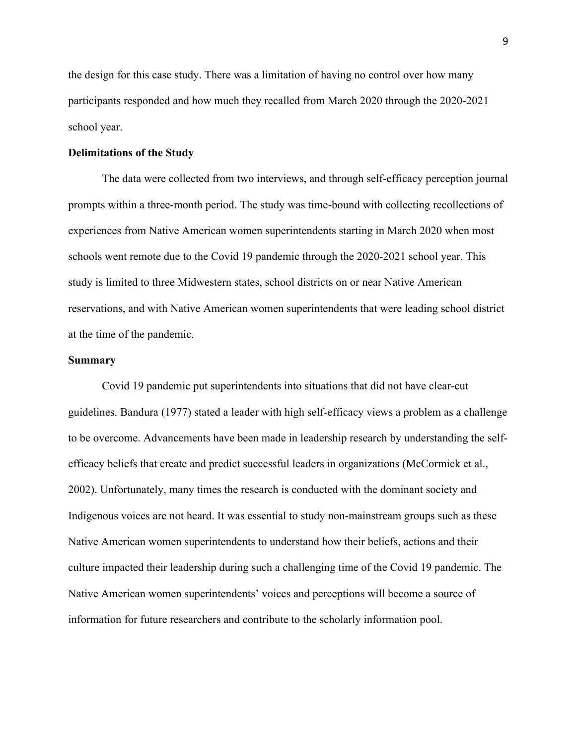the design for this case study. There was a limitation of having no control over how many participants responded and how much they recalled from March 2020 through the 2020-2021 school year.

# **Delimitations of the Study**

The data were collected from two interviews, and through self-efficacy perception journal prompts within a three-month period. The study was time-bound with collecting recollections of experiences from Native American women superintendents starting in March 2020 when most schools went remote due to the Covid 19 pandemic through the 2020-2021 school year. This study is limited to three Midwestern states, school districts on or near Native American reservations, and with Native American women superintendents that were leading school district at the time of the pandemic.

#### **Summary**

 efficacy beliefs that create and predict successful leaders in organizations (McCormick et al., Indigenous voices are not heard. It was essential to study non-mainstream groups such as these Covid 19 pandemic put superintendents into situations that did not have clear-cut guidelines. Bandura (1977) stated a leader with high self-efficacy views a problem as a challenge to be overcome. Advancements have been made in leadership research by understanding the self-2002). Unfortunately, many times the research is conducted with the dominant society and Native American women superintendents to understand how their beliefs, actions and their culture impacted their leadership during such a challenging time of the Covid 19 pandemic. The Native American women superintendents' voices and perceptions will become a source of information for future researchers and contribute to the scholarly information pool.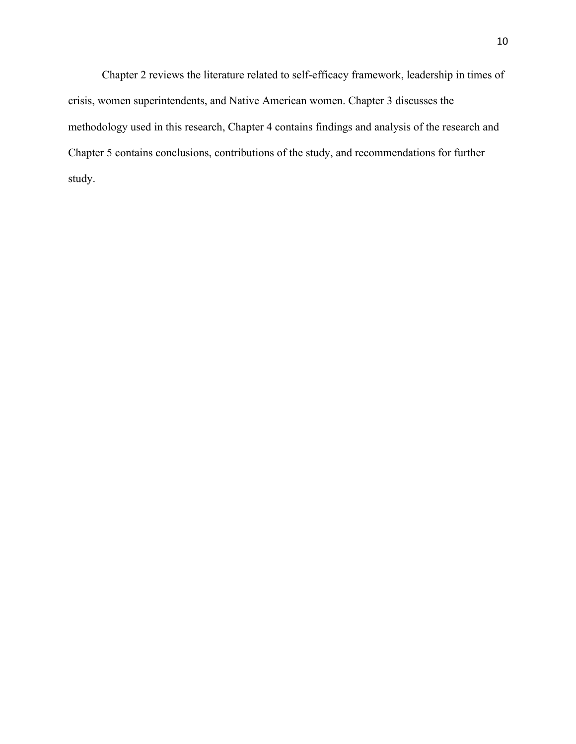Chapter 2 reviews the literature related to self-efficacy framework, leadership in times of crisis, women superintendents, and Native American women. Chapter 3 discusses the methodology used in this research, Chapter 4 contains findings and analysis of the research and Chapter 5 contains conclusions, contributions of the study, and recommendations for further study.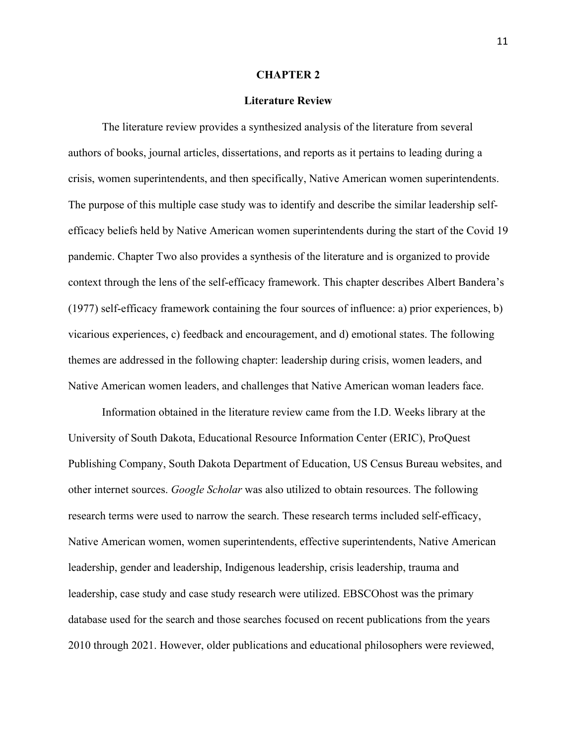# **CHAPTER 2**

#### **Literature Review**

 efficacy beliefs held by Native American women superintendents during the start of the Covid 19 Native American women leaders, and challenges that Native American woman leaders face. Information obtained in the literature review came from the I.D. Weeks library at the The literature review provides a synthesized analysis of the literature from several authors of books, journal articles, dissertations, and reports as it pertains to leading during a crisis, women superintendents, and then specifically, Native American women superintendents. The purpose of this multiple case study was to identify and describe the similar leadership selfpandemic. Chapter Two also provides a synthesis of the literature and is organized to provide context through the lens of the self-efficacy framework. This chapter describes Albert Bandera's (1977) self-efficacy framework containing the four sources of influence: a) prior experiences, b) vicarious experiences, c) feedback and encouragement, and d) emotional states. The following themes are addressed in the following chapter: leadership during crisis, women leaders, and

Information obtained in the literature review came from the I.D. Weeks library at the 2010 through 2021. However, older publications and educational philosophers were reviewed, University of South Dakota, Educational Resource Information Center (ERIC), ProQuest Publishing Company, South Dakota Department of Education, US Census Bureau websites, and other internet sources. *Google Scholar* was also utilized to obtain resources. The following research terms were used to narrow the search. These research terms included self-efficacy, Native American women, women superintendents, effective superintendents, Native American leadership, gender and leadership, Indigenous leadership, crisis leadership, trauma and leadership, case study and case study research were utilized. EBSCOhost was the primary database used for the search and those searches focused on recent publications from the years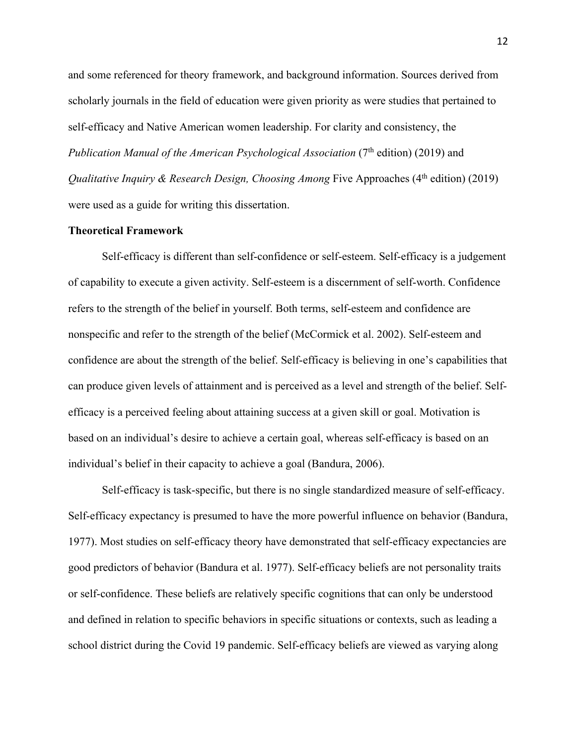and some referenced for theory framework, and background information. Sources derived from scholarly journals in the field of education were given priority as were studies that pertained to self-efficacy and Native American women leadership. For clarity and consistency, the *Publication Manual of the American Psychological Association (7<sup>th</sup> edition) (2019) and Qualitative Inquiry & Research Design, Choosing Among Five Approaches (4<sup>th</sup> edition) (2019)* were used as a guide for writing this dissertation.

#### **Theoretical Framework**

 nonspecific and refer to the strength of the belief (McCormick et al. 2002). Self-esteem and Self-efficacy is different than self-confidence or self-esteem. Self-efficacy is a judgement of capability to execute a given activity. Self-esteem is a discernment of self-worth. Confidence refers to the strength of the belief in yourself. Both terms, self-esteem and confidence are confidence are about the strength of the belief. Self-efficacy is believing in one's capabilities that can produce given levels of attainment and is perceived as a level and strength of the belief. Selfefficacy is a perceived feeling about attaining success at a given skill or goal. Motivation is based on an individual's desire to achieve a certain goal, whereas self-efficacy is based on an individual's belief in their capacity to achieve a goal (Bandura, 2006).

Self-efficacy is task-specific, but there is no single standardized measure of self-efficacy. Self-efficacy expectancy is presumed to have the more powerful influence on behavior (Bandura, 1977). Most studies on self-efficacy theory have demonstrated that self-efficacy expectancies are good predictors of behavior (Bandura et al. 1977). Self-efficacy beliefs are not personality traits or self-confidence. These beliefs are relatively specific cognitions that can only be understood and defined in relation to specific behaviors in specific situations or contexts, such as leading a school district during the Covid 19 pandemic. Self-efficacy beliefs are viewed as varying along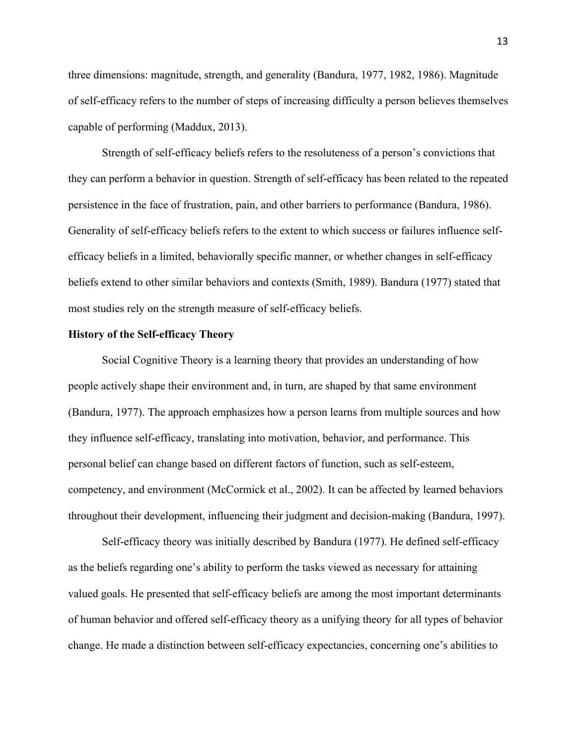three dimensions: magnitude, strength, and generality (Bandura, 1977, 1982, 1986). Magnitude of self-efficacy refers to the number of steps of increasing difficulty a person believes themselves capable of performing (Maddux, 2013).

Strength of self-efficacy beliefs refers to the resoluteness of a person's convictions that they can perform a behavior in question. Strength of self-efficacy has been related to the repeated persistence in the face of frustration, pain, and other barriers to performance (Bandura, 1986). Generality of self-efficacy beliefs refers to the extent to which success or failures influence selfefficacy beliefs in a limited, behaviorally specific manner, or whether changes in self-efficacy beliefs extend to other similar behaviors and contexts (Smith, 1989). Bandura (1977) stated that most studies rely on the strength measure of self-efficacy beliefs.

## **History of the Self-efficacy Theory**

Social Cognitive Theory is a learning theory that provides an understanding of how people actively shape their environment and, in turn, are shaped by that same environment (Bandura, 1977). The approach emphasizes how a person learns from multiple sources and how they influence self-efficacy, translating into motivation, behavior, and performance. This personal belief can change based on different factors of function, such as self-esteem, competency, and environment (McCormick et al., 2002). It can be affected by learned behaviors throughout their development, influencing their judgment and decision-making (Bandura, 1997).

Self-efficacy theory was initially described by Bandura (1977)*.* He defined self-efficacy as the beliefs regarding one's ability to perform the tasks viewed as necessary for attaining valued goals. He presented that self-efficacy beliefs are among the most important determinants of human behavior and offered self-efficacy theory as a unifying theory for all types of behavior change. He made a distinction between self-efficacy expectancies, concerning one's abilities to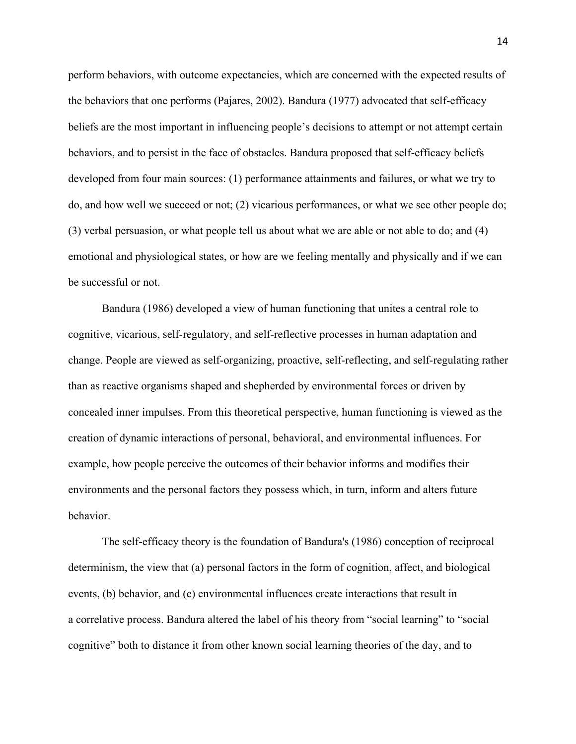perform behaviors, with outcome expectancies, which are concerned with the expected results of the behaviors that one performs (Pajares, 2002). Bandura (1977) advocated that self-efficacy beliefs are the most important in influencing people's decisions to attempt or not attempt certain behaviors, and to persist in the face of obstacles. Bandura proposed that self-efficacy beliefs developed from four main sources: (1) performance attainments and failures, or what we try to do, and how well we succeed or not; (2) vicarious performances, or what we see other people do; (3) verbal persuasion, or what people tell us about what we are able or not able to do; and (4) emotional and physiological states, or how are we feeling mentally and physically and if we can be successful or not.

Bandura (1986) developed a view of human functioning that unites a central role to cognitive, vicarious, self-regulatory, and self-reflective processes in human adaptation and change. People are viewed as self-organizing, proactive, self-reflecting, and self-regulating rather than as reactive organisms shaped and shepherded by environmental forces or driven by concealed inner impulses. From this theoretical perspective, human functioning is viewed as the creation of dynamic interactions of personal, behavioral, and environmental influences. For example, how people perceive the outcomes of their behavior informs and modifies their environments and the personal factors they possess which, in turn, inform and alters future behavior.

 The self-efficacy theory is the foundation of Bandura's (1986) conception of reciprocal determinism, the view that (a) personal factors in the form of cognition, affect, and biological events, (b) behavior, and (c) environmental influences create interactions that result in a correlative process. Bandura altered the label of his theory from "social learning" to "social cognitive" both to distance it from other known social learning theories of the day, and to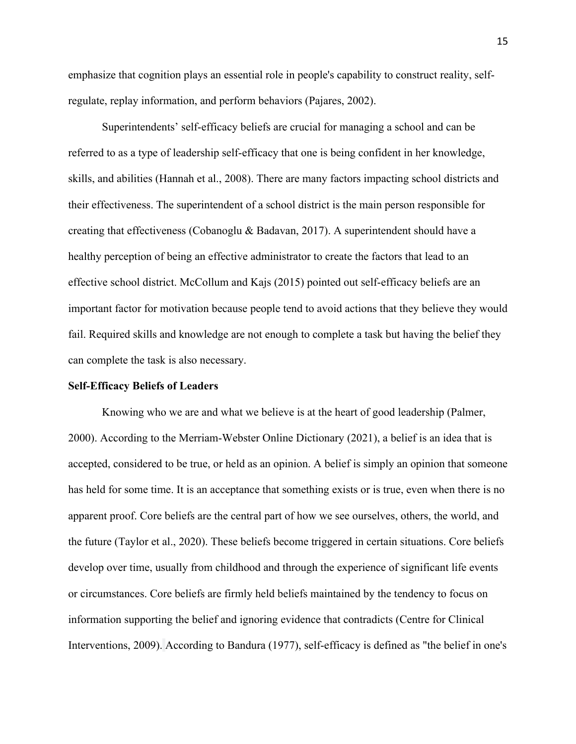emphasize that cognition plays an essential role in people's capability to construct reality, selfregulate, replay information, and perform behaviors (Pajares, 2002).

Superintendents' self-efficacy beliefs are crucial for managing a school and can be referred to as a type of leadership self-efficacy that one is being confident in her knowledge, skills, and abilities (Hannah et al., 2008). There are many factors impacting school districts and their effectiveness. The superintendent of a school district is the main person responsible for creating that effectiveness (Cobanoglu & Badavan, 2017). A superintendent should have a healthy perception of being an effective administrator to create the factors that lead to an effective school district. McCollum and Kajs (2015) pointed out self-efficacy beliefs are an important factor for motivation because people tend to avoid actions that they believe they would fail. Required skills and knowledge are not enough to complete a task but having the belief they can complete the task is also necessary.

#### **Self-Efficacy Beliefs of Leaders**

 2000). According to the Merriam-Webster Online Dictionary (2021), a belief is an idea that is apparent proof. Core beliefs are the central part of how we see ourselves, others, the world, and the future (Taylor et al., 2020). These beliefs become triggered in certain situations. Core beliefs Knowing who we are and what we believe is at the heart of good leadership (Palmer, accepted, considered to be true, or held as an opinion. A belief is simply an opinion that someone has held for some time. It is an acceptance that something exists or is true, even when there is no develop over time, usually from childhood and through the experience of significant life events or circumstances. Core beliefs are firmly held beliefs maintained by the tendency to focus on information supporting the belief and ignoring evidence that contradicts (Centre for Clinical Interventions, 2009). According to Bandura (1977), self-efficacy is defined as "the belief in one's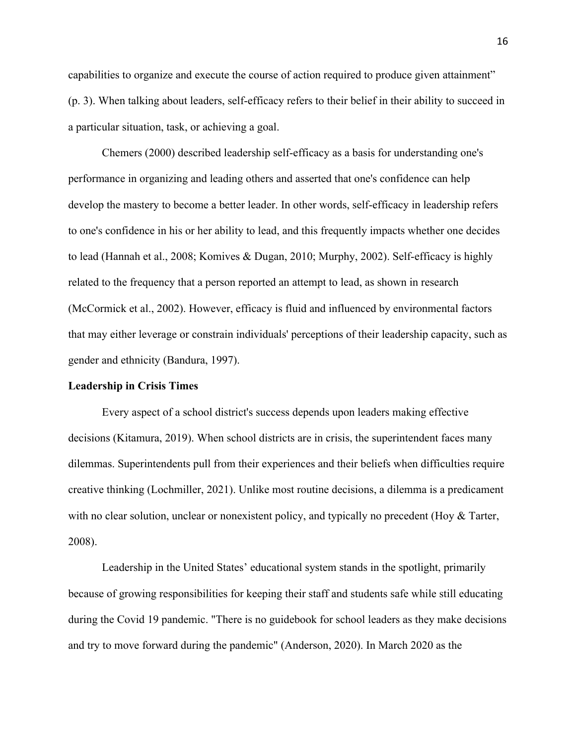capabilities to organize and execute the course of action required to produce given attainment" (p. 3). When talking about leaders, self-efficacy refers to their belief in their ability to succeed in a particular situation, task, or achieving a goal.

Chemers (2000) described leadership self-efficacy as a basis for understanding one's performance in organizing and leading others and asserted that one's confidence can help develop the mastery to become a better leader. In other words, self-efficacy in leadership refers to one's confidence in his or her ability to lead, and this frequently impacts whether one decides to lead (Hannah et al., 2008; Komives & Dugan, 2010; Murphy, 2002). Self-efficacy is highly related to the frequency that a person reported an attempt to lead, as shown in research (McCormick et al., 2002). However, efficacy is fluid and influenced by environmental factors that may either leverage or constrain individuals' perceptions of their leadership capacity, such as gender and ethnicity (Bandura, 1997).

#### **Leadership in Crisis Times**

Every aspect of a school district's success depends upon leaders making effective decisions (Kitamura, 2019). When school districts are in crisis, the superintendent faces many dilemmas. Superintendents pull from their experiences and their beliefs when difficulties require creative thinking (Lochmiller, 2021). Unlike most routine decisions, a dilemma is a predicament with no clear solution, unclear or nonexistent policy, and typically no precedent (Hoy & Tarter, 2008).

 and try to move forward during the pandemic" (Anderson, 2020). In March 2020 as the Leadership in the United States' educational system stands in the spotlight, primarily because of growing responsibilities for keeping their staff and students safe while still educating during the Covid 19 pandemic. "There is no guidebook for school leaders as they make decisions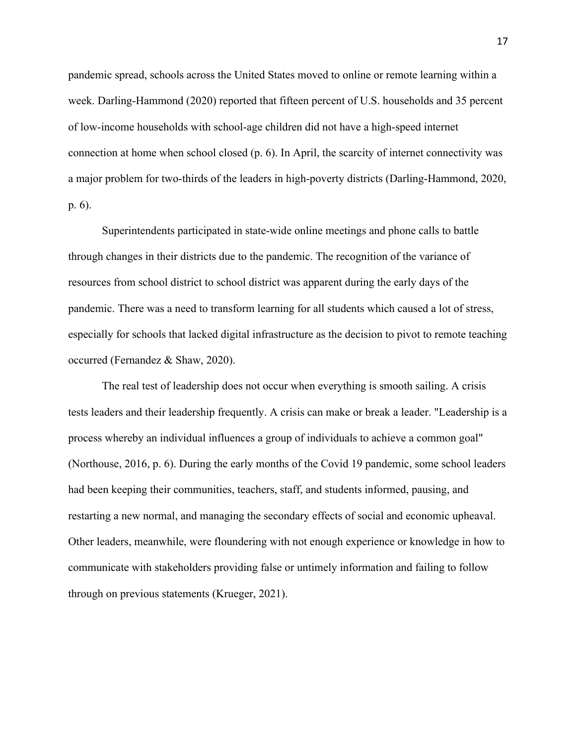week. Darling-Hammond (2020) reported that fifteen percent of U.S. households and 35 percent pandemic spread, schools across the United States moved to online or remote learning within a of low-income households with school-age children did not have a high-speed internet connection at home when school closed (p. 6). In April, the scarcity of internet connectivity was a major problem for two-thirds of the leaders in high-poverty districts (Darling-Hammond, 2020, p. 6).

 Superintendents participated in state-wide online meetings and phone calls to battle occurred (Fernandez & Shaw, 2020). through changes in their districts due to the pandemic. The recognition of the variance of resources from school district to school district was apparent during the early days of the pandemic. There was a need to transform learning for all students which caused a lot of stress, especially for schools that lacked digital infrastructure as the decision to pivot to remote teaching

The real test of leadership does not occur when everything is smooth sailing. A crisis tests leaders and their leadership frequently. A crisis can make or break a leader. "Leadership is a process whereby an individual influences a group of individuals to achieve a common goal" (Northouse, 2016, p. 6). During the early months of the Covid 19 pandemic, some school leaders had been keeping their communities, teachers, staff, and students informed, pausing, and restarting a new normal, and managing the secondary effects of social and economic upheaval. Other leaders, meanwhile, were floundering with not enough experience or knowledge in how to communicate with stakeholders providing false or untimely information and failing to follow through on previous statements (Krueger, 2021).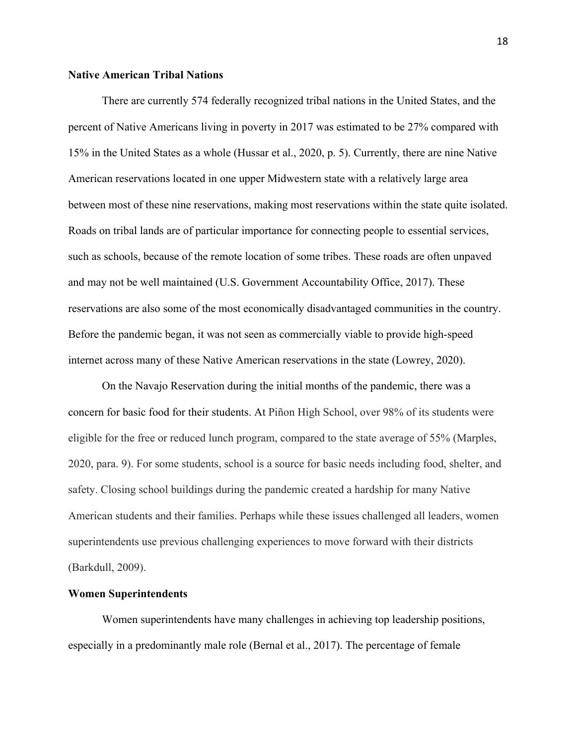# **Native American Tribal Nations**

 and may not be well maintained (U.S. Government Accountability Office, 2017). These Before the pandemic began, it was not seen as commercially viable to provide high-speed internet across many of these Native American reservations in the state (Lowrey, 2020). There are currently 574 federally recognized tribal nations in the United States, and the percent of Native Americans living in poverty in 2017 was estimated to be 27% compared with 15% in the United States as a whole (Hussar et al., 2020, p. 5). Currently, there are nine Native American reservations located in one upper Midwestern state with a relatively large area between most of these nine reservations, making most reservations within the state quite isolated. Roads on tribal lands are of particular importance for connecting people to essential services, such as schools, because of the remote location of some tribes. These roads are often unpaved reservations are also some of the most economically disadvantaged communities in the country.

 concern for basic food for their students. At Piñon High School, over 98% of its students were 2020, para. 9). For some students, school is a source for basic needs including food, shelter, and safety. Closing school buildings during the pandemic created a hardship for many Native On the Navajo Reservation during the initial months of the pandemic, there was a eligible for the free or reduced lunch program, compared to the state average of 55% (Marples, American students and their families. Perhaps while these issues challenged all leaders, women superintendents use previous challenging experiences to move forward with their districts (Barkdull, 2009).

# **Women Superintendents**

 especially in a predominantly male role (Bernal et al., 2017). The percentage of female Women superintendents have many challenges in achieving top leadership positions,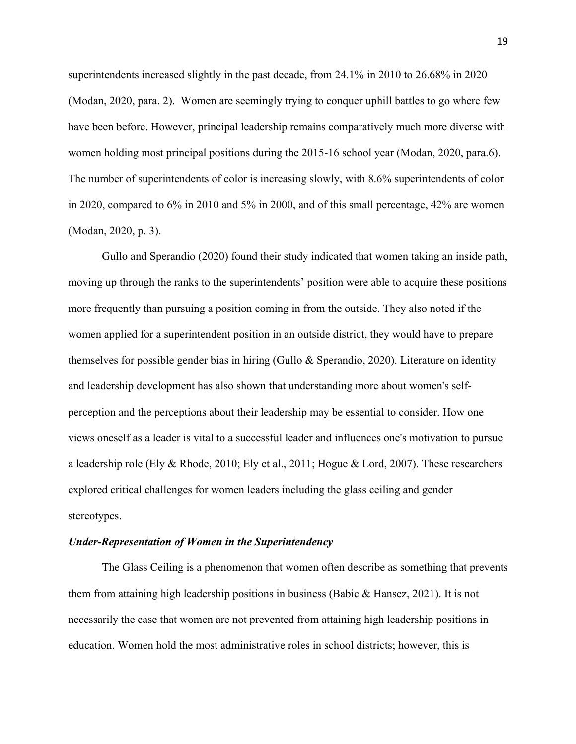superintendents increased slightly in the past decade, from 24.1% in 2010 to 26.68% in 2020 (Modan, 2020, para. 2). Women are seemingly trying to conquer uphill battles to go where few have been before. However, principal leadership remains comparatively much more diverse with women holding most principal positions during the 2015-16 school year (Modan, 2020, para.6). The number of superintendents of color is increasing slowly, with 8.6% superintendents of color in 2020, compared to 6% in 2010 and 5% in 2000, and of this small percentage, 42% are women (Modan, 2020, p. 3).

 Gullo and Sperandio (2020) found their study indicated that women taking an inside path, moving up through the ranks to the superintendents' position were able to acquire these positions more frequently than pursuing a position coming in from the outside. They also noted if the women applied for a superintendent position in an outside district, they would have to prepare themselves for possible gender bias in hiring (Gullo  $\&$  Sperandio, 2020). Literature on identity and leadership development has also shown that understanding more about women's selfperception and the perceptions about their leadership may be essential to consider. How one views oneself as a leader is vital to a successful leader and influences one's motivation to pursue a leadership role (Ely & Rhode, 2010; Ely et al., 2011; Hogue & Lord, 2007). These researchers explored critical challenges for women leaders including the glass ceiling and gender stereotypes.

# *Under-Representation of Women in the Superintendency*

 education. Women hold the most administrative roles in school districts; however, this is The Glass Ceiling is a phenomenon that women often describe as something that prevents them from attaining high leadership positions in business (Babic & Hansez, 2021). It is not necessarily the case that women are not prevented from attaining high leadership positions in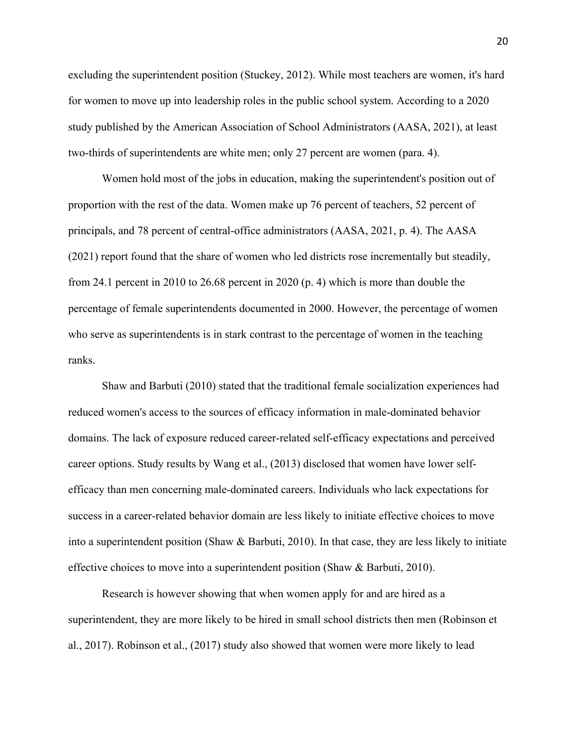two-thirds of superintendents are white men; only 27 percent are women (para. 4). excluding the superintendent position (Stuckey, 2012). While most teachers are women, it's hard for women to move up into leadership roles in the public school system. According to a 2020 study published by the American Association of School Administrators (AASA, 2021), at least

Women hold most of the jobs in education, making the superintendent's position out of proportion with the rest of the data. Women make up 76 percent of teachers, 52 percent of principals, and 78 percent of central-office administrators (AASA, 2021, p. 4). The AASA (2021) report found that the share of women who led districts rose incrementally but steadily, from 24.1 percent in 2010 to 26.68 percent in 2020 (p. 4) which is more than double the percentage of female superintendents documented in 2000. However, the percentage of women who serve as superintendents is in stark contrast to the percentage of women in the teaching ranks.

Shaw and Barbuti (2010) stated that the traditional female socialization experiences had reduced women's access to the sources of efficacy information in male-dominated behavior domains. The lack of exposure reduced career-related self-efficacy expectations and perceived career options. Study results by Wang et al., (2013) disclosed that women have lower selfefficacy than men concerning male-dominated careers. Individuals who lack expectations for success in a career-related behavior domain are less likely to initiate effective choices to move into a superintendent position (Shaw & Barbuti, 2010). In that case, they are less likely to initiate effective choices to move into a superintendent position (Shaw & Barbuti, 2010).

Research is however showing that when women apply for and are hired as a superintendent, they are more likely to be hired in small school districts then men (Robinson et al., 2017). Robinson et al., (2017) study also showed that women were more likely to lead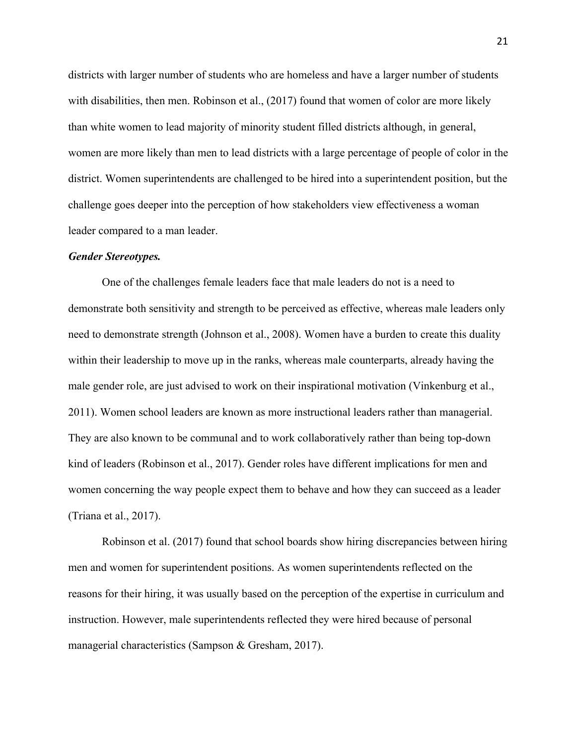leader compared to a man leader. districts with larger number of students who are homeless and have a larger number of students with disabilities, then men. Robinson et al., (2017) found that women of color are more likely than white women to lead majority of minority student filled districts although, in general, women are more likely than men to lead districts with a large percentage of people of color in the district. Women superintendents are challenged to be hired into a superintendent position, but the challenge goes deeper into the perception of how stakeholders view effectiveness a woman

#### *Gender Stereotypes.*

 (Triana et al., 2017). One of the challenges female leaders face that male leaders do not is a need to demonstrate both sensitivity and strength to be perceived as effective, whereas male leaders only need to demonstrate strength (Johnson et al., 2008). Women have a burden to create this duality within their leadership to move up in the ranks, whereas male counterparts, already having the male gender role, are just advised to work on their inspirational motivation (Vinkenburg et al., 2011). Women school leaders are known as more instructional leaders rather than managerial. They are also known to be communal and to work collaboratively rather than being top-down kind of leaders (Robinson et al., 2017). Gender roles have different implications for men and women concerning the way people expect them to behave and how they can succeed as a leader

Robinson et al. (2017) found that school boards show hiring discrepancies between hiring men and women for superintendent positions. As women superintendents reflected on the reasons for their hiring, it was usually based on the perception of the expertise in curriculum and instruction. However, male superintendents reflected they were hired because of personal managerial characteristics (Sampson & Gresham, 2017).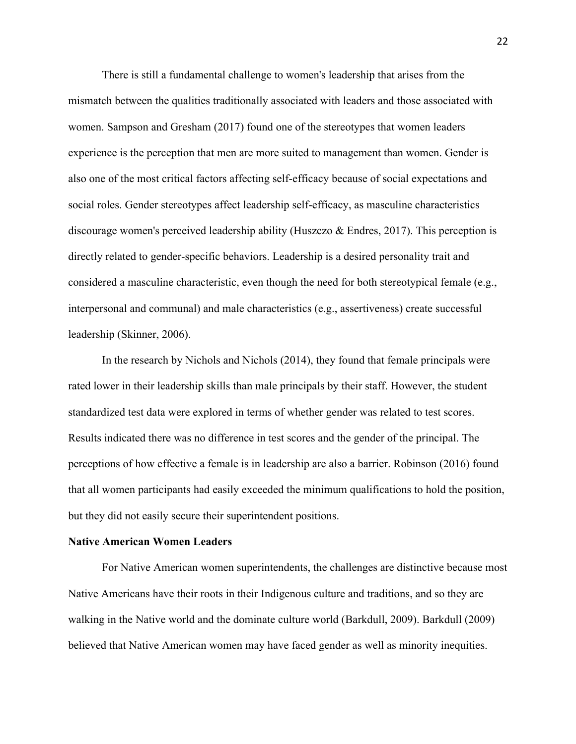There is still a fundamental challenge to women's leadership that arises from the mismatch between the qualities traditionally associated with leaders and those associated with women. Sampson and Gresham (2017) found one of the stereotypes that women leaders experience is the perception that men are more suited to management than women. Gender is also one of the most critical factors affecting self-efficacy because of social expectations and social roles. Gender stereotypes affect leadership self-efficacy, as masculine characteristics discourage women's perceived leadership ability (Huszczo  $\&$  Endres, 2017). This perception is directly related to gender-specific behaviors. Leadership is a desired personality trait and considered a masculine characteristic, even though the need for both stereotypical female (e.g., interpersonal and communal) and male characteristics (e.g., assertiveness) create successful leadership (Skinner, 2006).

 but they did not easily secure their superintendent positions. In the research by Nichols and Nichols (2014), they found that female principals were rated lower in their leadership skills than male principals by their staff. However, the student standardized test data were explored in terms of whether gender was related to test scores. Results indicated there was no difference in test scores and the gender of the principal. The perceptions of how effective a female is in leadership are also a barrier. Robinson (2016) found that all women participants had easily exceeded the minimum qualifications to hold the position,

# **Native American Women Leaders**

For Native American women superintendents, the challenges are distinctive because most Native Americans have their roots in their Indigenous culture and traditions, and so they are walking in the Native world and the dominate culture world (Barkdull, 2009). Barkdull (2009) believed that Native American women may have faced gender as well as minority inequities.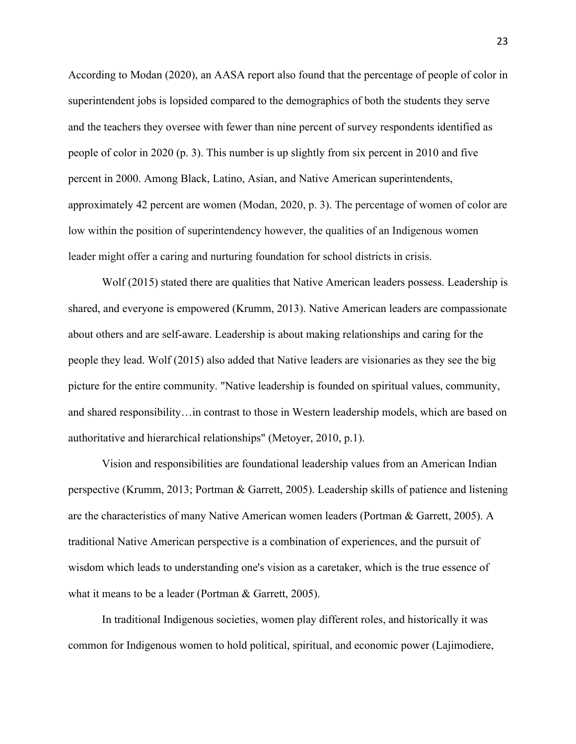leader might offer a caring and nurturing foundation for school districts in crisis. According to Modan (2020), an AASA report also found that the percentage of people of color in superintendent jobs is lopsided compared to the demographics of both the students they serve and the teachers they oversee with fewer than nine percent of survey respondents identified as people of color in 2020 (p. 3). This number is up slightly from six percent in 2010 and five percent in 2000. Among Black, Latino, Asian, and Native American superintendents, approximately 42 percent are women (Modan, 2020, p. 3). The percentage of women of color are low within the position of superintendency however, the qualities of an Indigenous women

Wolf (2015) stated there are qualities that Native American leaders possess. Leadership is shared, and everyone is empowered (Krumm, 2013). Native American leaders are compassionate about others and are self-aware. Leadership is about making relationships and caring for the people they lead. Wolf (2015) also added that Native leaders are visionaries as they see the big picture for the entire community. "Native leadership is founded on spiritual values, community, and shared responsibility…in contrast to those in Western leadership models, which are based on authoritative and hierarchical relationships" (Metoyer, 2010, p.1).

Vision and responsibilities are foundational leadership values from an American Indian perspective (Krumm, 2013; Portman & Garrett, 2005). Leadership skills of patience and listening are the characteristics of many Native American women leaders (Portman & Garrett, 2005). A traditional Native American perspective is a combination of experiences, and the pursuit of wisdom which leads to understanding one's vision as a caretaker, which is the true essence of what it means to be a leader (Portman & Garrett, 2005).

In traditional Indigenous societies, women play different roles, and historically it was common for Indigenous women to hold political, spiritual, and economic power (Lajimodiere,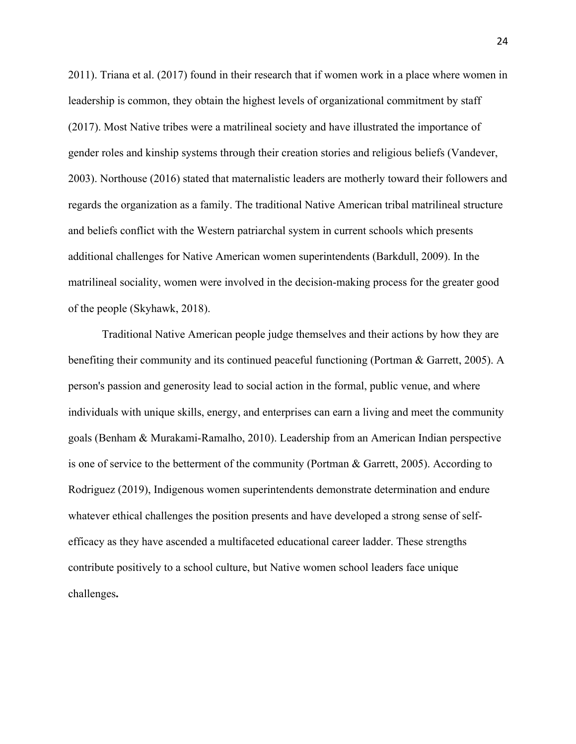2011). Triana et al. (2017) found in their research that if women work in a place where women in leadership is common, they obtain the highest levels of organizational commitment by staff 2003). Northouse (2016) stated that maternalistic leaders are motherly toward their followers and (2017). Most Native tribes were a matrilineal society and have illustrated the importance of gender roles and kinship systems through their creation stories and religious beliefs (Vandever, regards the organization as a family. The traditional Native American tribal matrilineal structure and beliefs conflict with the Western patriarchal system in current schools which presents additional challenges for Native American women superintendents (Barkdull, 2009). In the matrilineal sociality, women were involved in the decision-making process for the greater good of the people (Skyhawk, 2018).

 Traditional Native American people judge themselves and their actions by how they are benefiting their community and its continued peaceful functioning (Portman & Garrett, 2005). A person's passion and generosity lead to social action in the formal, public venue, and where individuals with unique skills, energy, and enterprises can earn a living and meet the community goals (Benham & Murakami-Ramalho, 2010). Leadership from an American Indian perspective is one of service to the betterment of the community (Portman & Garrett, 2005). According to Rodriguez (2019), Indigenous women superintendents demonstrate determination and endure whatever ethical challenges the position presents and have developed a strong sense of selfefficacy as they have ascended a multifaceted educational career ladder. These strengths contribute positively to a school culture, but Native women school leaders face unique challenges**.**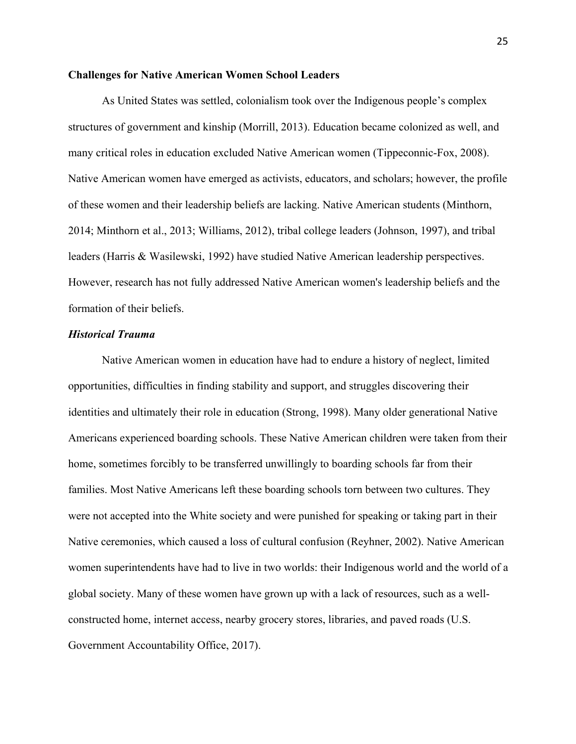# **Challenges for Native American Women School Leaders**

 structures of government and kinship (Morrill, 2013). Education became colonized as well, and As United States was settled, colonialism took over the Indigenous people's complex many critical roles in education excluded Native American women (Tippeconnic-Fox, 2008). Native American women have emerged as activists, educators, and scholars; however, the profile of these women and their leadership beliefs are lacking. Native American students (Minthorn, 2014; Minthorn et al., 2013; Williams, 2012), tribal college leaders (Johnson, 1997), and tribal leaders (Harris & Wasilewski, 1992) have studied Native American leadership perspectives. However, research has not fully addressed Native American women's leadership beliefs and the formation of their beliefs.

# *Historical Trauma*

 were not accepted into the White society and were punished for speaking or taking part in their Native American women in education have had to endure a history of neglect, limited opportunities, difficulties in finding stability and support, and struggles discovering their identities and ultimately their role in education (Strong, 1998). Many older generational Native Americans experienced boarding schools. These Native American children were taken from their home, sometimes forcibly to be transferred unwillingly to boarding schools far from their families. Most Native Americans left these boarding schools torn between two cultures. They Native ceremonies, which caused a loss of cultural confusion (Reyhner, 2002). Native American women superintendents have had to live in two worlds: their Indigenous world and the world of a global society. Many of these women have grown up with a lack of resources, such as a wellconstructed home, internet access, nearby grocery stores, libraries, and paved roads (U.S. Government Accountability Office, 2017).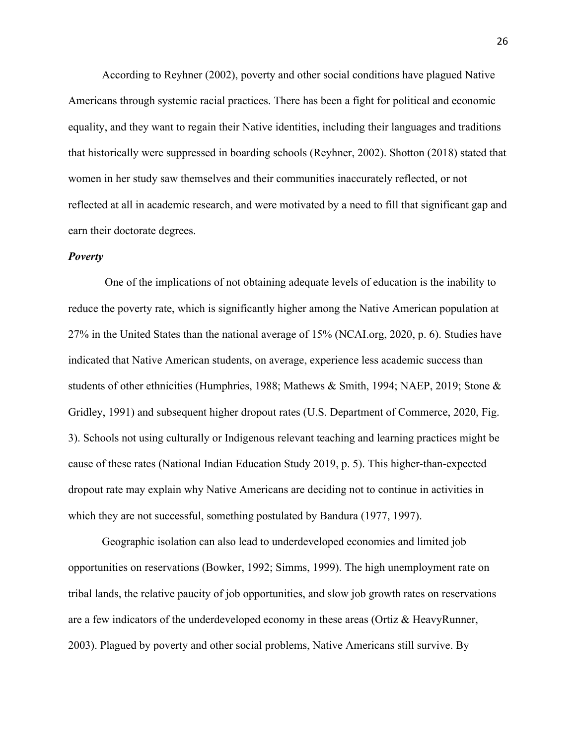According to Reyhner (2002), poverty and other social conditions have plagued Native Americans through systemic racial practices. There has been a fight for political and economic equality, and they want to regain their Native identities, including their languages and traditions that historically were suppressed in boarding schools (Reyhner, 2002). Shotton (2018) stated that women in her study saw themselves and their communities inaccurately reflected, or not reflected at all in academic research, and were motivated by a need to fill that significant gap and earn their doctorate degrees.

#### *Poverty*

 students of other ethnicities (Humphries, 1988; Mathews & Smith, 1994; NAEP, 2019; Stone & One of the implications of not obtaining adequate levels of education is the inability to reduce the poverty rate, which is significantly higher among the Native American population at 27% in the United States than the national average of 15% (NCAI.org, 2020, p. 6). Studies have indicated that Native American students, on average, experience less academic success than Gridley, 1991) and subsequent higher dropout rates (U.S. Department of Commerce, 2020, Fig. 3). Schools not using culturally or Indigenous relevant teaching and learning practices might be cause of these rates (National Indian Education Study 2019, p. 5). This higher-than-expected dropout rate may explain why Native Americans are deciding not to continue in activities in which they are not successful, something postulated by Bandura (1977, 1997).

Geographic isolation can also lead to underdeveloped economies and limited job opportunities on reservations (Bowker, 1992; Simms, 1999). The high unemployment rate on tribal lands, the relative paucity of job opportunities, and slow job growth rates on reservations are a few indicators of the underdeveloped economy in these areas (Ortiz & HeavyRunner, 2003). Plagued by poverty and other social problems, Native Americans still survive. By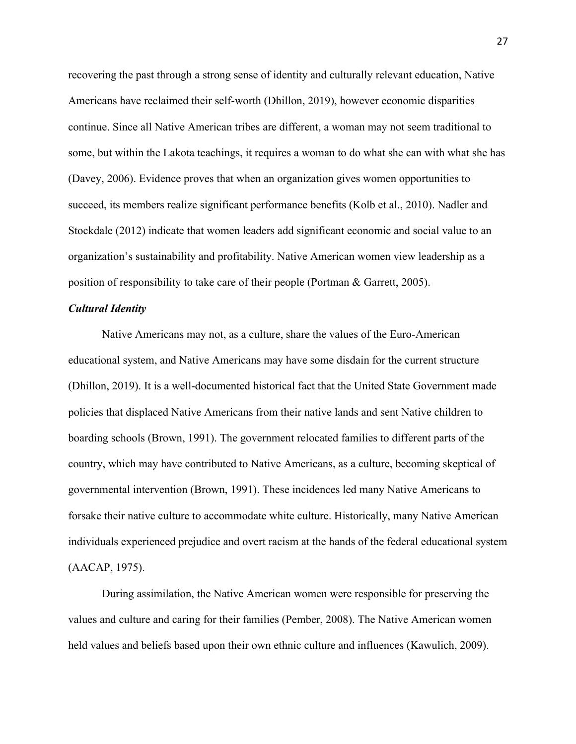position of responsibility to take care of their people (Portman & Garrett, 2005). recovering the past through a strong sense of identity and culturally relevant education, Native Americans have reclaimed their self-worth (Dhillon, 2019), however economic disparities continue. Since all Native American tribes are different, a woman may not seem traditional to some, but within the Lakota teachings, it requires a woman to do what she can with what she has (Davey, 2006). Evidence proves that when an organization gives women opportunities to succeed, its members realize significant performance benefits (Kolb et al., 2010). Nadler and Stockdale (2012) indicate that women leaders add significant economic and social value to an organization's sustainability and profitability. Native American women view leadership as a

## *Cultural Identity*

 (Dhillon, 2019). It is a well-documented historical fact that the United State Government made forsake their native culture to accommodate white culture. Historically, many Native American Native Americans may not, as a culture, share the values of the Euro-American educational system, and Native Americans may have some disdain for the current structure policies that displaced Native Americans from their native lands and sent Native children to boarding schools (Brown, 1991). The government relocated families to different parts of the country, which may have contributed to Native Americans, as a culture, becoming skeptical of governmental intervention (Brown, 1991). These incidences led many Native Americans to individuals experienced prejudice and overt racism at the hands of the federal educational system (AACAP, 1975).

During assimilation, the Native American women were responsible for preserving the values and culture and caring for their families (Pember, 2008). The Native American women held values and beliefs based upon their own ethnic culture and influences (Kawulich, 2009).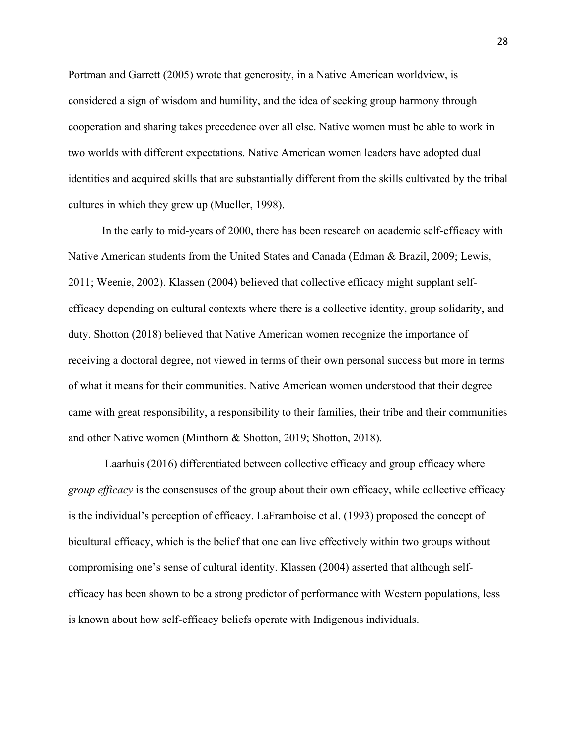Portman and Garrett (2005) wrote that generosity, in a Native American worldview, is considered a sign of wisdom and humility, and the idea of seeking group harmony through cooperation and sharing takes precedence over all else. Native women must be able to work in two worlds with different expectations. Native American women leaders have adopted dual identities and acquired skills that are substantially different from the skills cultivated by the tribal cultures in which they grew up (Mueller, 1998).

 duty. Shotton (2018) believed that Native American women recognize the importance of In the early to mid-years of 2000, there has been research on academic self-efficacy with Native American students from the United States and Canada (Edman & Brazil, 2009; Lewis, 2011; Weenie, 2002). Klassen (2004) believed that collective efficacy might supplant selfefficacy depending on cultural contexts where there is a collective identity, group solidarity, and receiving a doctoral degree, not viewed in terms of their own personal success but more in terms of what it means for their communities. Native American women understood that their degree came with great responsibility, a responsibility to their families, their tribe and their communities and other Native women (Minthorn & Shotton, 2019; Shotton, 2018).

 compromising one's sense of cultural identity. Klassen (2004) asserted that although self-Laarhuis (2016) differentiated between collective efficacy and group efficacy where *group efficacy* is the consensuses of the group about their own efficacy, while collective efficacy is the individual's perception of efficacy. LaFramboise et al. (1993) proposed the concept of bicultural efficacy, which is the belief that one can live effectively within two groups without efficacy has been shown to be a strong predictor of performance with Western populations, less is known about how self-efficacy beliefs operate with Indigenous individuals.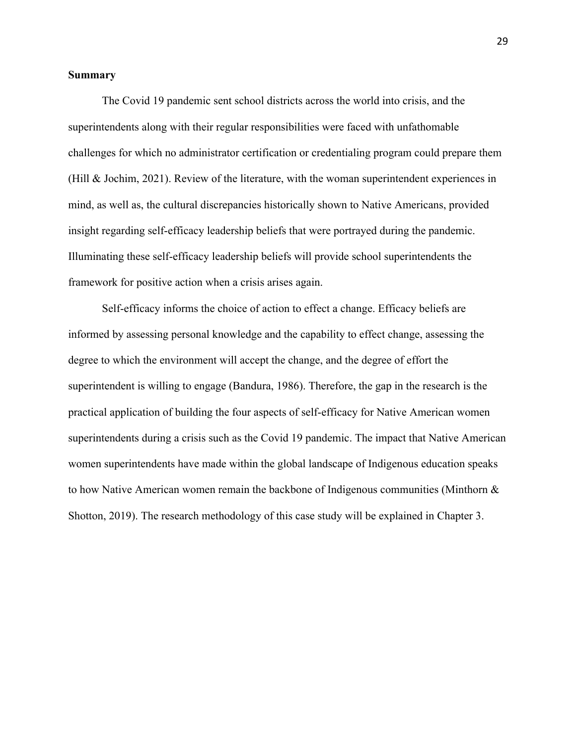# **Summary**

The Covid 19 pandemic sent school districts across the world into crisis, and the superintendents along with their regular responsibilities were faced with unfathomable challenges for which no administrator certification or credentialing program could prepare them (Hill & Jochim, 2021). Review of the literature, with the woman superintendent experiences in mind, as well as, the cultural discrepancies historically shown to Native Americans, provided insight regarding self-efficacy leadership beliefs that were portrayed during the pandemic. Illuminating these self-efficacy leadership beliefs will provide school superintendents the framework for positive action when a crisis arises again.

 Shotton, 2019). The research methodology of this case study will be explained in Chapter 3. Self-efficacy informs the choice of action to effect a change. Efficacy beliefs are informed by assessing personal knowledge and the capability to effect change, assessing the degree to which the environment will accept the change, and the degree of effort the superintendent is willing to engage (Bandura, 1986). Therefore, the gap in the research is the practical application of building the four aspects of self-efficacy for Native American women superintendents during a crisis such as the Covid 19 pandemic. The impact that Native American women superintendents have made within the global landscape of Indigenous education speaks to how Native American women remain the backbone of Indigenous communities (Minthorn &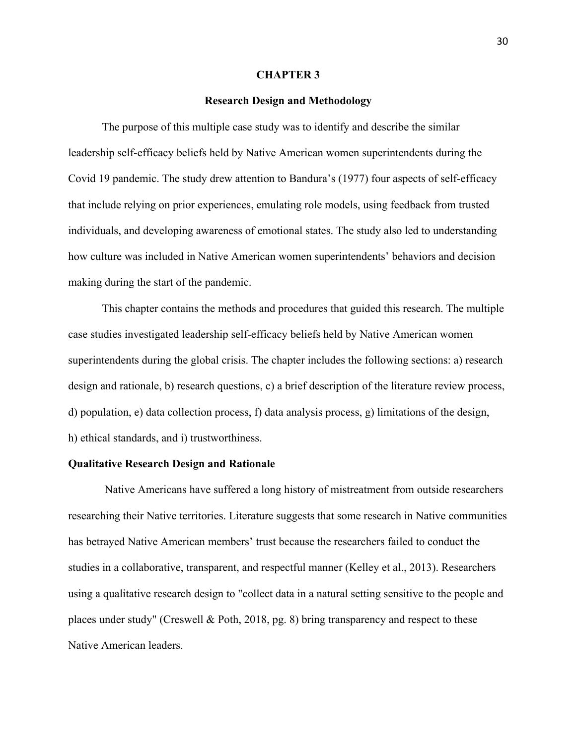#### **CHAPTER 3**

## **Research Design and Methodology**

 leadership self-efficacy beliefs held by Native American women superintendents during the Covid 19 pandemic. The study drew attention to Bandura's (1977) four aspects of self-efficacy The purpose of this multiple case study was to identify and describe the similar that include relying on prior experiences, emulating role models, using feedback from trusted individuals, and developing awareness of emotional states. The study also led to understanding how culture was included in Native American women superintendents' behaviors and decision making during the start of the pandemic.

This chapter contains the methods and procedures that guided this research. The multiple case studies investigated leadership self-efficacy beliefs held by Native American women superintendents during the global crisis. The chapter includes the following sections: a) research design and rationale, b) research questions, c) a brief description of the literature review process, d) population, e) data collection process, f) data analysis process, g) limitations of the design, h) ethical standards, and i) trustworthiness.

## **Qualitative Research Design and Rationale**

Native Americans have suffered a long history of mistreatment from outside researchers researching their Native territories. Literature suggests that some research in Native communities has betrayed Native American members' trust because the researchers failed to conduct the studies in a collaborative, transparent, and respectful manner (Kelley et al., 2013). Researchers using a qualitative research design to "collect data in a natural setting sensitive to the people and places under study" (Creswell & Poth, 2018, pg. 8) bring transparency and respect to these Native American leaders.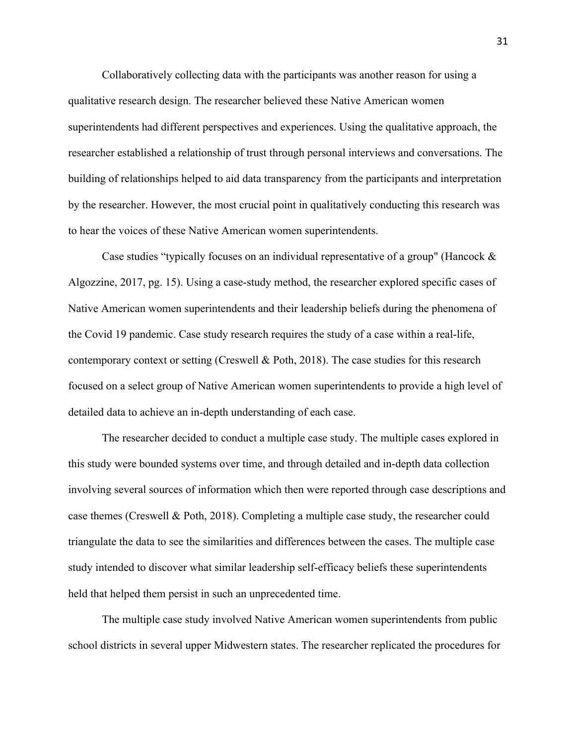Collaboratively collecting data with the participants was another reason for using a qualitative research design. The researcher believed these Native American women superintendents had different perspectives and experiences. Using the qualitative approach, the researcher established a relationship of trust through personal interviews and conversations. The building of relationships helped to aid data transparency from the participants and interpretation by the researcher. However, the most crucial point in qualitatively conducting this research was to hear the voices of these Native American women superintendents.

 contemporary context or setting (Creswell & Poth, 2018). The case studies for this research Case studies "typically focuses on an individual representative of a group" (Hancock & Algozzine, 2017, pg. 15). Using a case-study method, the researcher explored specific cases of Native American women superintendents and their leadership beliefs during the phenomena of the Covid 19 pandemic. Case study research requires the study of a case within a real-life, focused on a select group of Native American women superintendents to provide a high level of detailed data to achieve an in-depth understanding of each case.

 The researcher decided to conduct a multiple case study. The multiple cases explored in this study were bounded systems over time, and through detailed and in-depth data collection involving several sources of information which then were reported through case descriptions and case themes (Creswell & Poth, 2018). Completing a multiple case study, the researcher could triangulate the data to see the similarities and differences between the cases. The multiple case study intended to discover what similar leadership self-efficacy beliefs these superintendents held that helped them persist in such an unprecedented time.

The multiple case study involved Native American women superintendents from public school districts in several upper Midwestern states. The researcher replicated the procedures for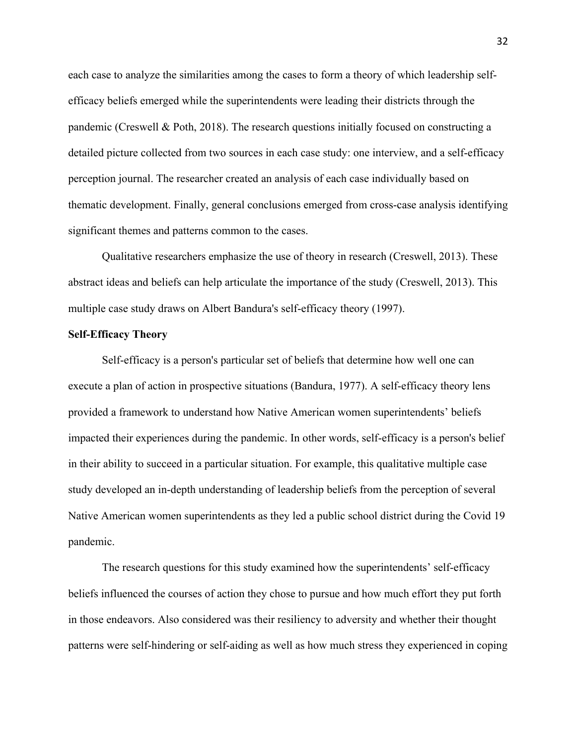detailed picture collected from two sources in each case study: one interview, and a self-efficacy each case to analyze the similarities among the cases to form a theory of which leadership selfefficacy beliefs emerged while the superintendents were leading their districts through the pandemic (Creswell & Poth, 2018). The research questions initially focused on constructing a perception journal. The researcher created an analysis of each case individually based on thematic development. Finally, general conclusions emerged from cross-case analysis identifying significant themes and patterns common to the cases.

Qualitative researchers emphasize the use of theory in research (Creswell, 2013). These abstract ideas and beliefs can help articulate the importance of the study (Creswell, 2013). This multiple case study draws on Albert Bandura's self-efficacy theory (1997).

# **Self-Efficacy Theory**

Self-efficacy is a person's particular set of beliefs that determine how well one can execute a plan of action in prospective situations (Bandura, 1977). A self-efficacy theory lens provided a framework to understand how Native American women superintendents' beliefs impacted their experiences during the pandemic. In other words, self-efficacy is a person's belief in their ability to succeed in a particular situation. For example, this qualitative multiple case study developed an in-depth understanding of leadership beliefs from the perception of several Native American women superintendents as they led a public school district during the Covid 19 pandemic.

The research questions for this study examined how the superintendents' self-efficacy beliefs influenced the courses of action they chose to pursue and how much effort they put forth in those endeavors. Also considered was their resiliency to adversity and whether their thought patterns were self-hindering or self-aiding as well as how much stress they experienced in coping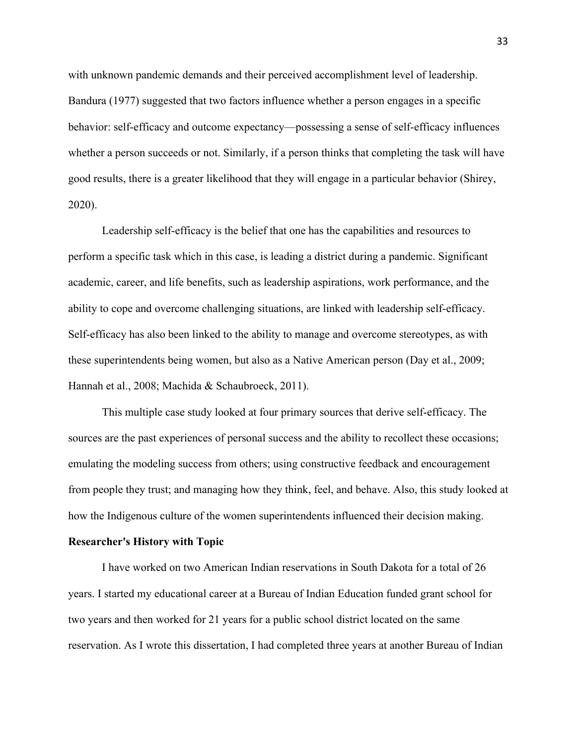with unknown pandemic demands and their perceived accomplishment level of leadership. Bandura (1977) suggested that two factors influence whether a person engages in a specific behavior: self-efficacy and outcome expectancy—possessing a sense of self-efficacy influences whether a person succeeds or not. Similarly, if a person thinks that completing the task will have good results, there is a greater likelihood that they will engage in a particular behavior (Shirey, 2020).

 these superintendents being women, but also as a Native American person (Day et al., 2009; Leadership self-efficacy is the belief that one has the capabilities and resources to perform a specific task which in this case, is leading a district during a pandemic. Significant academic, career, and life benefits, such as leadership aspirations, work performance, and the ability to cope and overcome challenging situations, are linked with leadership self-efficacy. Self-efficacy has also been linked to the ability to manage and overcome stereotypes, as with Hannah et al., 2008; Machida & Schaubroeck, 2011).

This multiple case study looked at four primary sources that derive self-efficacy. The sources are the past experiences of personal success and the ability to recollect these occasions; emulating the modeling success from others; using constructive feedback and encouragement from people they trust; and managing how they think, feel, and behave. Also, this study looked at how the Indigenous culture of the women superintendents influenced their decision making.

#### **Researcher's History with Topic**

I have worked on two American Indian reservations in South Dakota for a total of 26 years. I started my educational career at a Bureau of Indian Education funded grant school for two years and then worked for 21 years for a public school district located on the same reservation. As I wrote this dissertation, I had completed three years at another Bureau of Indian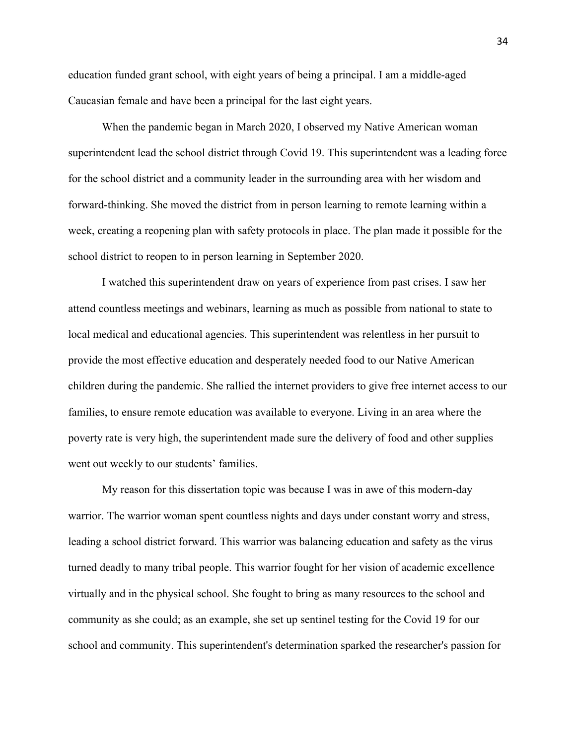education funded grant school, with eight years of being a principal. I am a middle-aged Caucasian female and have been a principal for the last eight years.

When the pandemic began in March 2020, I observed my Native American woman superintendent lead the school district through Covid 19. This superintendent was a leading force for the school district and a community leader in the surrounding area with her wisdom and forward-thinking. She moved the district from in person learning to remote learning within a week, creating a reopening plan with safety protocols in place. The plan made it possible for the school district to reopen to in person learning in September 2020.

 went out weekly to our students' families. I watched this superintendent draw on years of experience from past crises. I saw her attend countless meetings and webinars, learning as much as possible from national to state to local medical and educational agencies. This superintendent was relentless in her pursuit to provide the most effective education and desperately needed food to our Native American children during the pandemic. She rallied the internet providers to give free internet access to our families, to ensure remote education was available to everyone. Living in an area where the poverty rate is very high, the superintendent made sure the delivery of food and other supplies

My reason for this dissertation topic was because I was in awe of this modern-day warrior. The warrior woman spent countless nights and days under constant worry and stress, leading a school district forward. This warrior was balancing education and safety as the virus turned deadly to many tribal people. This warrior fought for her vision of academic excellence virtually and in the physical school. She fought to bring as many resources to the school and community as she could; as an example, she set up sentinel testing for the Covid 19 for our school and community. This superintendent's determination sparked the researcher's passion for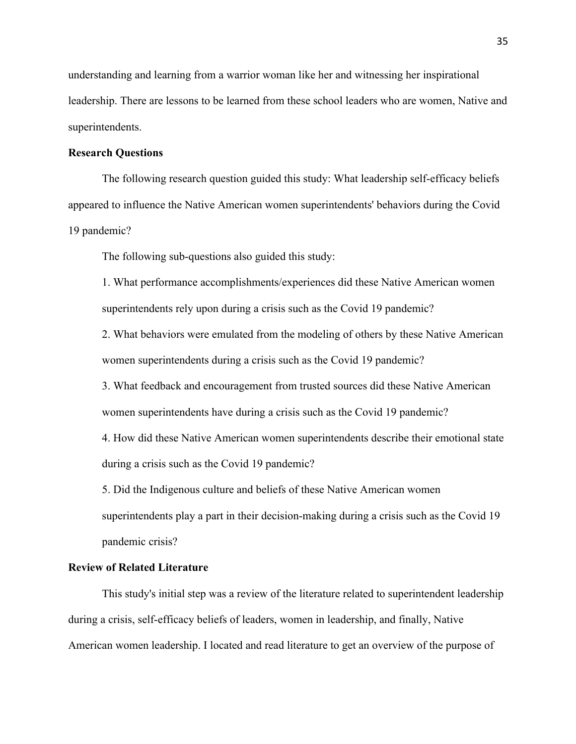understanding and learning from a warrior woman like her and witnessing her inspirational leadership. There are lessons to be learned from these school leaders who are women, Native and superintendents.

## **Research Questions**

The following research question guided this study: What leadership self-efficacy beliefs appeared to influence the Native American women superintendents' behaviors during the Covid 19 pandemic?

The following sub-questions also guided this study:

1. What performance accomplishments/experiences did these Native American women superintendents rely upon during a crisis such as the Covid 19 pandemic?

women superintendents during a crisis such as the Covid 19 pandemic? 2. What behaviors were emulated from the modeling of others by these Native American

3. What feedback and encouragement from trusted sources did these Native American women superintendents have during a crisis such as the Covid 19 pandemic?

4. How did these Native American women superintendents describe their emotional state during a crisis such as the Covid 19 pandemic?

 pandemic crisis? 5. Did the Indigenous culture and beliefs of these Native American women superintendents play a part in their decision-making during a crisis such as the Covid 19

# **Review of Related Literature**

This study's initial step was a review of the literature related to superintendent leadership during a crisis, self-efficacy beliefs of leaders, women in leadership, and finally, Native American women leadership. I located and read literature to get an overview of the purpose of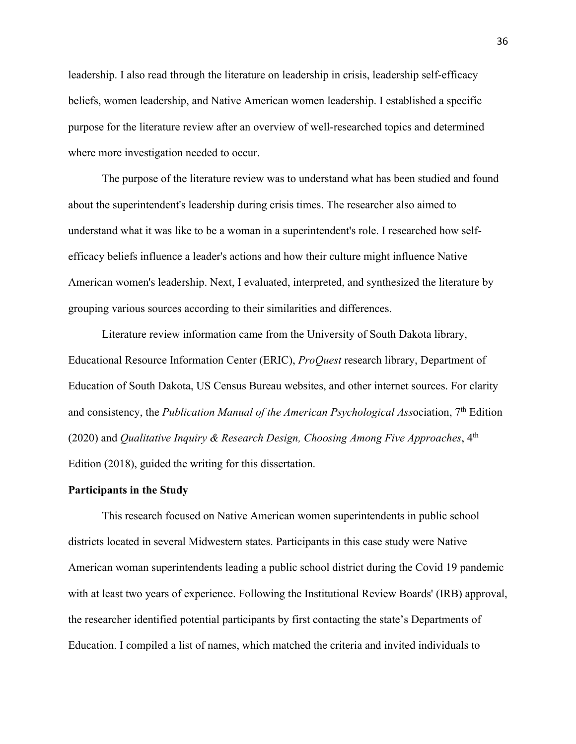leadership. I also read through the literature on leadership in crisis, leadership self-efficacy beliefs, women leadership, and Native American women leadership. I established a specific purpose for the literature review after an overview of well-researched topics and determined where more investigation needed to occur.

The purpose of the literature review was to understand what has been studied and found about the superintendent's leadership during crisis times. The researcher also aimed to understand what it was like to be a woman in a superintendent's role. I researched how selfefficacy beliefs influence a leader's actions and how their culture might influence Native American women's leadership. Next, I evaluated, interpreted, and synthesized the literature by grouping various sources according to their similarities and differences.

Literature review information came from the University of South Dakota library, Educational Resource Information Center (ERIC), *ProQuest* research library, Department of Education of South Dakota, US Census Bureau websites, and other internet sources. For clarity and consistency, the *Publication Manual of the American Psychological Ass*ociation, 7th Edition (2020) and *Qualitative Inquiry & Research Design, Choosing Among Five Approaches*, 4th Edition (2018), guided the writing for this dissertation.

#### **Participants in the Study**

 with at least two years of experience. Following the Institutional Review Boards' (IRB) approval, the researcher identified potential participants by first contacting the state's Departments of This research focused on Native American women superintendents in public school districts located in several Midwestern states. Participants in this case study were Native American woman superintendents leading a public school district during the Covid 19 pandemic Education. I compiled a list of names, which matched the criteria and invited individuals to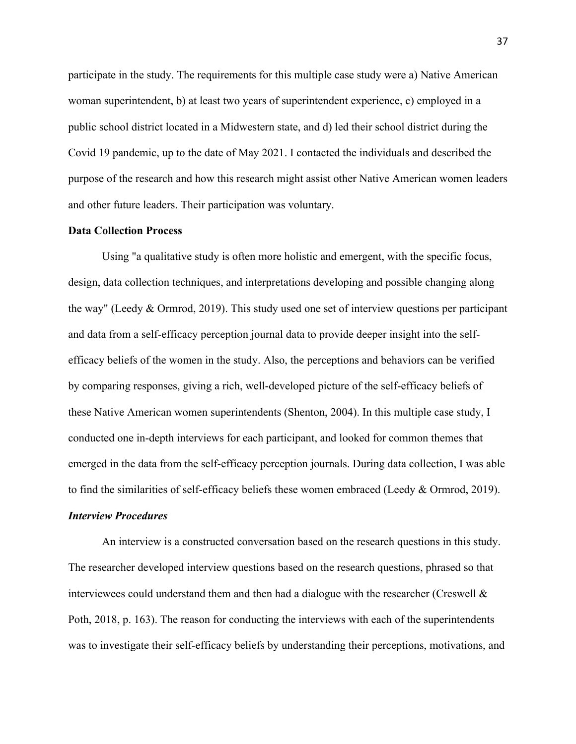woman superintendent, b) at least two years of superintendent experience, c) employed in a public school district located in a Midwestern state, and d) led their school district during the participate in the study. The requirements for this multiple case study were a) Native American Covid 19 pandemic, up to the date of May 2021. I contacted the individuals and described the purpose of the research and how this research might assist other Native American women leaders and other future leaders. Their participation was voluntary.

#### **Data Collection Process**

Using "a qualitative study is often more holistic and emergent, with the specific focus, design, data collection techniques, and interpretations developing and possible changing along the way" (Leedy & Ormrod, 2019). This study used one set of interview questions per participant and data from a self-efficacy perception journal data to provide deeper insight into the selfefficacy beliefs of the women in the study. Also, the perceptions and behaviors can be verified by comparing responses, giving a rich, well-developed picture of the self-efficacy beliefs of these Native American women superintendents (Shenton, 2004). In this multiple case study, I conducted one in-depth interviews for each participant, and looked for common themes that emerged in the data from the self-efficacy perception journals. During data collection, I was able to find the similarities of self-efficacy beliefs these women embraced (Leedy & Ormrod, 2019).

#### *Interview Procedures*

 The researcher developed interview questions based on the research questions, phrased so that Poth, 2018, p. 163). The reason for conducting the interviews with each of the superintendents An interview is a constructed conversation based on the research questions in this study. interviewees could understand them and then had a dialogue with the researcher (Creswell & was to investigate their self-efficacy beliefs by understanding their perceptions, motivations, and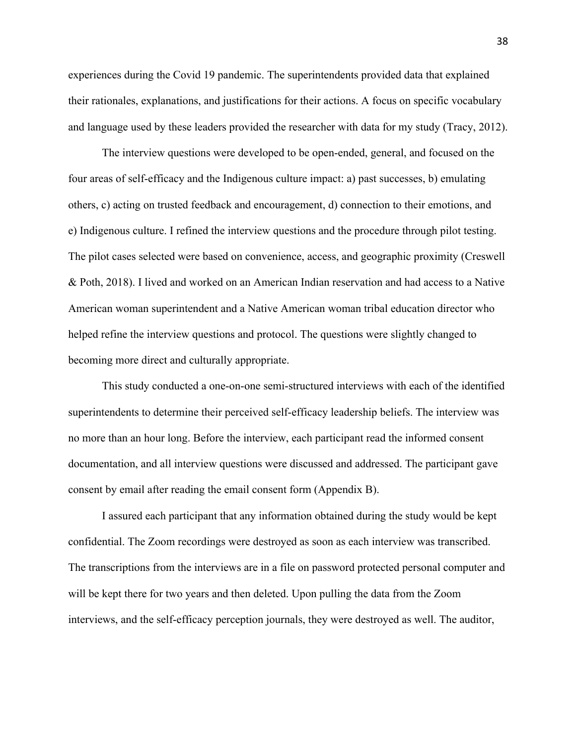experiences during the Covid 19 pandemic. The superintendents provided data that explained their rationales, explanations, and justifications for their actions. A focus on specific vocabulary and language used by these leaders provided the researcher with data for my study (Tracy, 2012).

 The interview questions were developed to be open-ended, general, and focused on the four areas of self-efficacy and the Indigenous culture impact: a) past successes, b) emulating others, c) acting on trusted feedback and encouragement, d) connection to their emotions, and e) Indigenous culture. I refined the interview questions and the procedure through pilot testing. The pilot cases selected were based on convenience, access, and geographic proximity (Creswell & Poth, 2018). I lived and worked on an American Indian reservation and had access to a Native American woman superintendent and a Native American woman tribal education director who helped refine the interview questions and protocol. The questions were slightly changed to becoming more direct and culturally appropriate.

 documentation, and all interview questions were discussed and addressed. The participant gave consent by email after reading the email consent form (Appendix B). This study conducted a one-on-one semi-structured interviews with each of the identified superintendents to determine their perceived self-efficacy leadership beliefs. The interview was no more than an hour long. Before the interview, each participant read the informed consent

 The transcriptions from the interviews are in a file on password protected personal computer and I assured each participant that any information obtained during the study would be kept confidential. The Zoom recordings were destroyed as soon as each interview was transcribed. will be kept there for two years and then deleted. Upon pulling the data from the Zoom interviews, and the self-efficacy perception journals, they were destroyed as well. The auditor,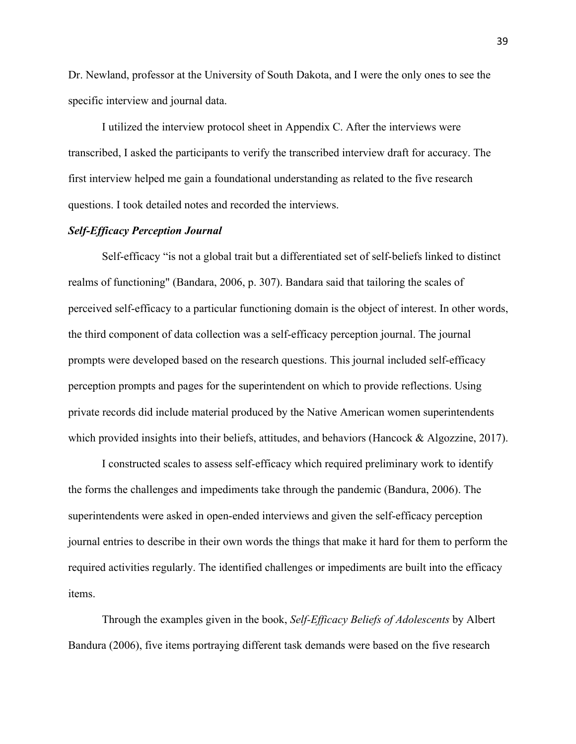Dr. Newland, professor at the University of South Dakota, and I were the only ones to see the specific interview and journal data.

I utilized the interview protocol sheet in Appendix C. After the interviews were transcribed, I asked the participants to verify the transcribed interview draft for accuracy. The first interview helped me gain a foundational understanding as related to the five research questions. I took detailed notes and recorded the interviews.

## *Self-Efficacy Perception Journal*

 private records did include material produced by the Native American women superintendents Self-efficacy "is not a global trait but a differentiated set of self-beliefs linked to distinct realms of functioning" (Bandara, 2006, p. 307). Bandara said that tailoring the scales of perceived self-efficacy to a particular functioning domain is the object of interest. In other words, the third component of data collection was a self-efficacy perception journal. The journal prompts were developed based on the research questions. This journal included self-efficacy perception prompts and pages for the superintendent on which to provide reflections. Using which provided insights into their beliefs, attitudes, and behaviors (Hancock & Algozzine, 2017).

I constructed scales to assess self-efficacy which required preliminary work to identify the forms the challenges and impediments take through the pandemic (Bandura, 2006). The superintendents were asked in open-ended interviews and given the self-efficacy perception journal entries to describe in their own words the things that make it hard for them to perform the required activities regularly. The identified challenges or impediments are built into the efficacy items.

Through the examples given in the book, *Self-Efficacy Beliefs of Adolescents* by Albert Bandura (2006), five items portraying different task demands were based on the five research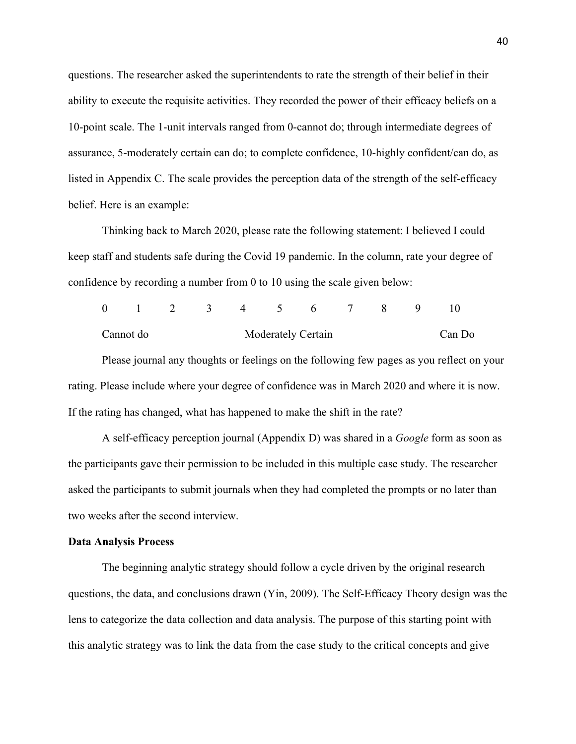listed in Appendix C. The scale provides the perception data of the strength of the self-efficacy questions. The researcher asked the superintendents to rate the strength of their belief in their ability to execute the requisite activities. They recorded the power of their efficacy beliefs on a 10-point scale. The 1-unit intervals ranged from 0-cannot do; through intermediate degrees of assurance, 5-moderately certain can do; to complete confidence, 10-highly confident/can do, as belief. Here is an example:

confidence by recording a number from 0 to 10 using the scale given below:<br>0 1 2 3 4 5 6 7 8 9 10 Thinking back to March 2020, please rate the following statement: I believed I could keep staff and students safe during the Covid 19 pandemic. In the column, rate your degree of

|                                                                                           |  |  |  | 0 1 2 3 4 5 6 7 8 9 |  |  |  |  |  |        |  |
|-------------------------------------------------------------------------------------------|--|--|--|---------------------|--|--|--|--|--|--------|--|
| Moderately Certain<br>Cannot do                                                           |  |  |  |                     |  |  |  |  |  | Can Do |  |
| Please journal any thoughts or feelings on the following few pages as you reflect on your |  |  |  |                     |  |  |  |  |  |        |  |

rating. Please include where your degree of confidence was in March 2020 and where it is now. If the rating has changed, what has happened to make the shift in the rate?

 A self-efficacy perception journal (Appendix D) was shared in a *Google* form as soon as the participants gave their permission to be included in this multiple case study. The researcher asked the participants to submit journals when they had completed the prompts or no later than two weeks after the second interview.

## **Data Analysis Process**

The beginning analytic strategy should follow a cycle driven by the original research questions, the data, and conclusions drawn (Yin, 2009). The Self-Efficacy Theory design was the lens to categorize the data collection and data analysis. The purpose of this starting point with this analytic strategy was to link the data from the case study to the critical concepts and give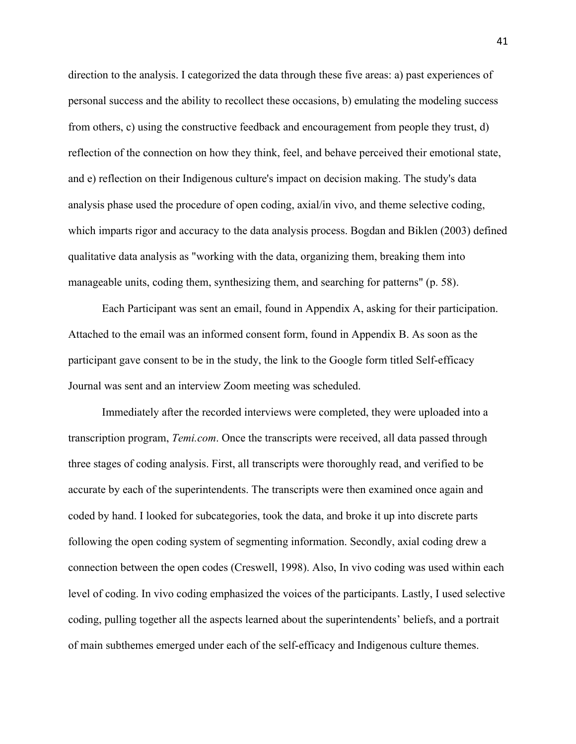manageable units, coding them, synthesizing them, and searching for patterns" (p. 58). direction to the analysis. I categorized the data through these five areas: a) past experiences of personal success and the ability to recollect these occasions, b) emulating the modeling success from others, c) using the constructive feedback and encouragement from people they trust, d) reflection of the connection on how they think, feel, and behave perceived their emotional state, and e) reflection on their Indigenous culture's impact on decision making. The study's data analysis phase used the procedure of open coding, axial/in vivo, and theme selective coding, which imparts rigor and accuracy to the data analysis process. Bogdan and Biklen (2003) defined qualitative data analysis as "working with the data, organizing them, breaking them into

Each Participant was sent an email, found in Appendix A, asking for their participation. Attached to the email was an informed consent form, found in Appendix B. As soon as the participant gave consent to be in the study, the link to the Google form titled Self-efficacy Journal was sent and an interview Zoom meeting was scheduled.

Immediately after the recorded interviews were completed, they were uploaded into a transcription program, *Temi.com*. Once the transcripts were received, all data passed through three stages of coding analysis. First, all transcripts were thoroughly read, and verified to be accurate by each of the superintendents. The transcripts were then examined once again and coded by hand. I looked for subcategories, took the data, and broke it up into discrete parts following the open coding system of segmenting information. Secondly, axial coding drew a connection between the open codes (Creswell, 1998). Also, In vivo coding was used within each level of coding. In vivo coding emphasized the voices of the participants. Lastly, I used selective coding, pulling together all the aspects learned about the superintendents' beliefs, and a portrait of main subthemes emerged under each of the self-efficacy and Indigenous culture themes.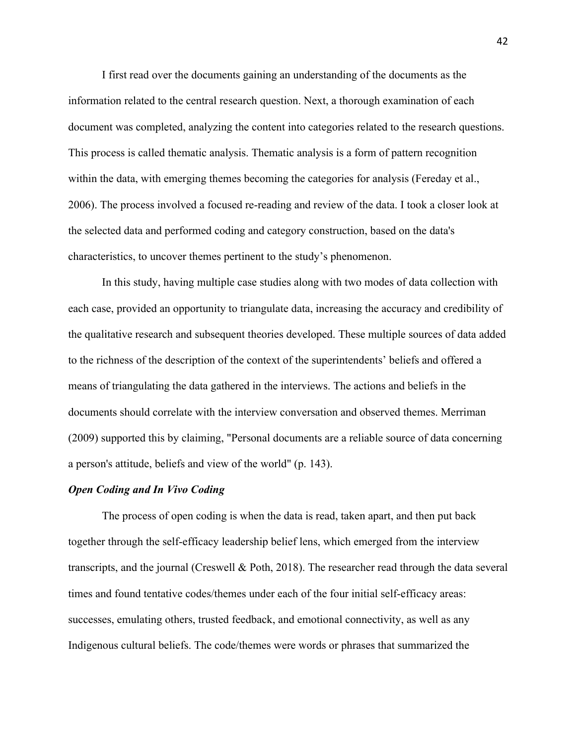I first read over the documents gaining an understanding of the documents as the information related to the central research question. Next, a thorough examination of each document was completed, analyzing the content into categories related to the research questions. This process is called thematic analysis. Thematic analysis is a form of pattern recognition within the data, with emerging themes becoming the categories for analysis (Fereday et al., 2006). The process involved a focused re-reading and review of the data. I took a closer look at the selected data and performed coding and category construction, based on the data's characteristics, to uncover themes pertinent to the study's phenomenon.

 In this study, having multiple case studies along with two modes of data collection with each case, provided an opportunity to triangulate data, increasing the accuracy and credibility of the qualitative research and subsequent theories developed. These multiple sources of data added to the richness of the description of the context of the superintendents' beliefs and offered a means of triangulating the data gathered in the interviews. The actions and beliefs in the documents should correlate with the interview conversation and observed themes. Merriman (2009) supported this by claiming, "Personal documents are a reliable source of data concerning a person's attitude, beliefs and view of the world" (p. 143).

## *Open Coding and In Vivo Coding*

The process of open coding is when the data is read, taken apart, and then put back together through the self-efficacy leadership belief lens, which emerged from the interview transcripts, and the journal (Creswell & Poth, 2018). The researcher read through the data several times and found tentative codes/themes under each of the four initial self-efficacy areas: successes, emulating others, trusted feedback, and emotional connectivity, as well as any Indigenous cultural beliefs. The code/themes were words or phrases that summarized the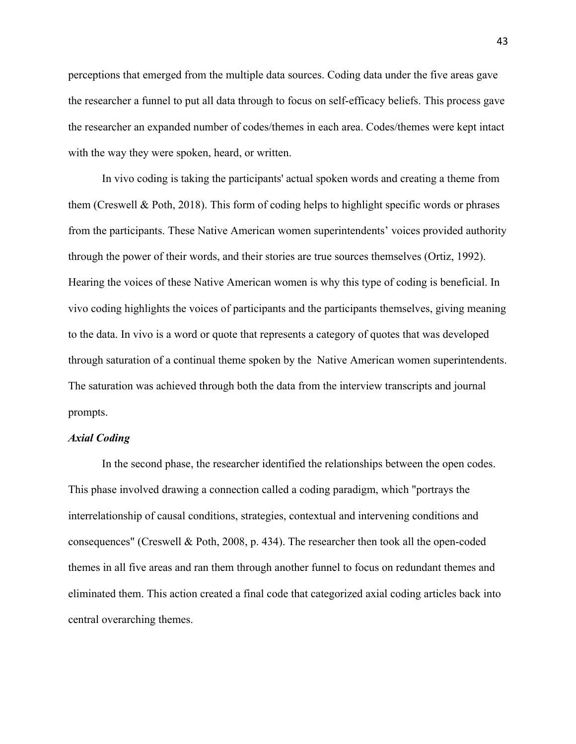perceptions that emerged from the multiple data sources. Coding data under the five areas gave the researcher a funnel to put all data through to focus on self-efficacy beliefs. This process gave the researcher an expanded number of codes/themes in each area. Codes/themes were kept intact with the way they were spoken, heard, or written.

 through the power of their words, and their stories are true sources themselves (Ortiz, 1992). through saturation of a continual theme spoken by the Native American women superintendents. In vivo coding is taking the participants' actual spoken words and creating a theme from them (Creswell & Poth, 2018). This form of coding helps to highlight specific words or phrases from the participants. These Native American women superintendents' voices provided authority Hearing the voices of these Native American women is why this type of coding is beneficial. In vivo coding highlights the voices of participants and the participants themselves, giving meaning to the data. In vivo is a word or quote that represents a category of quotes that was developed The saturation was achieved through both the data from the interview transcripts and journal prompts.

#### *Axial Coding*

In the second phase, the researcher identified the relationships between the open codes. This phase involved drawing a connection called a coding paradigm, which "portrays the interrelationship of causal conditions, strategies, contextual and intervening conditions and consequences" (Creswell & Poth, 2008, p. 434). The researcher then took all the open-coded themes in all five areas and ran them through another funnel to focus on redundant themes and eliminated them. This action created a final code that categorized axial coding articles back into central overarching themes.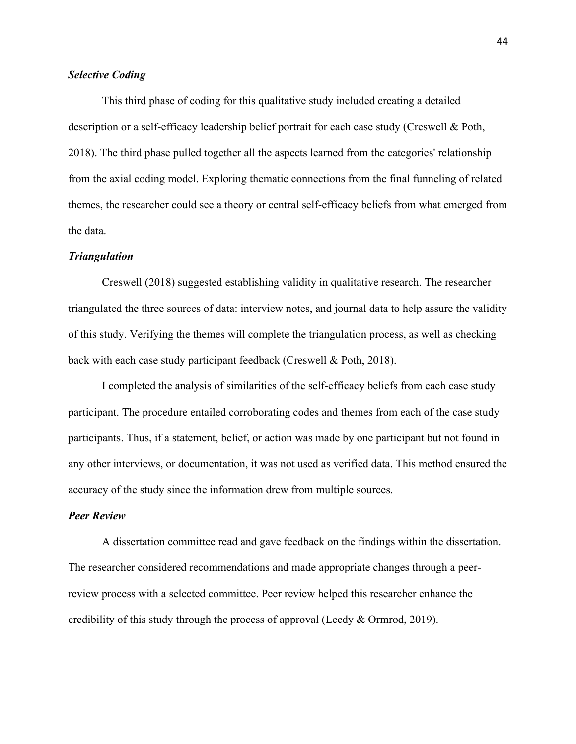# *Selective Coding*

This third phase of coding for this qualitative study included creating a detailed description or a self-efficacy leadership belief portrait for each case study (Creswell & Poth, 2018). The third phase pulled together all the aspects learned from the categories' relationship from the axial coding model. Exploring thematic connections from the final funneling of related themes, the researcher could see a theory or central self-efficacy beliefs from what emerged from the data.

## *Triangulation*

Creswell (2018) suggested establishing validity in qualitative research. The researcher triangulated the three sources of data: interview notes, and journal data to help assure the validity of this study. Verifying the themes will complete the triangulation process, as well as checking back with each case study participant feedback (Creswell & Poth, 2018).

I completed the analysis of similarities of the self-efficacy beliefs from each case study participant. The procedure entailed corroborating codes and themes from each of the case study participants. Thus, if a statement, belief, or action was made by one participant but not found in any other interviews, or documentation, it was not used as verified data. This method ensured the accuracy of the study since the information drew from multiple sources.

## *Peer Review*

A dissertation committee read and gave feedback on the findings within the dissertation. The researcher considered recommendations and made appropriate changes through a peerreview process with a selected committee. Peer review helped this researcher enhance the credibility of this study through the process of approval (Leedy & Ormrod, 2019).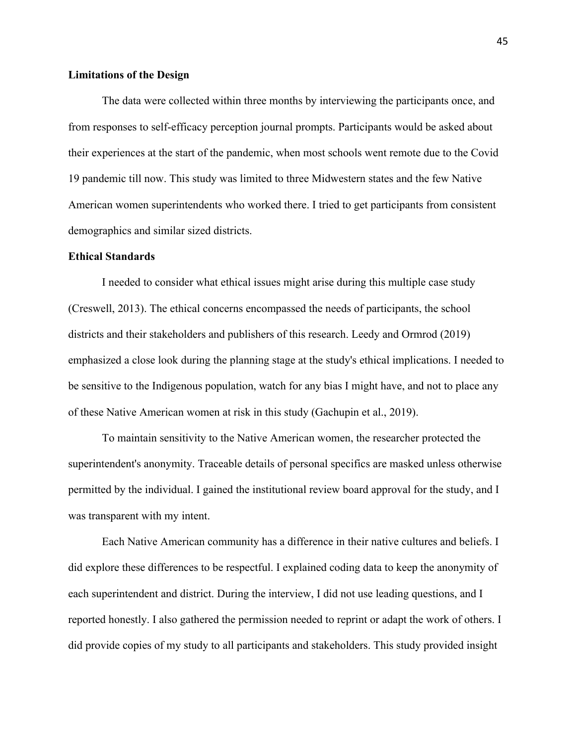## **Limitations of the Design**

 demographics and similar sized districts. The data were collected within three months by interviewing the participants once, and from responses to self-efficacy perception journal prompts. Participants would be asked about their experiences at the start of the pandemic, when most schools went remote due to the Covid 19 pandemic till now. This study was limited to three Midwestern states and the few Native American women superintendents who worked there. I tried to get participants from consistent

## **Ethical Standards**

 districts and their stakeholders and publishers of this research. Leedy and Ormrod (2019) of these Native American women at risk in this study (Gachupin et al., 2019). I needed to consider what ethical issues might arise during this multiple case study (Creswell, 2013). The ethical concerns encompassed the needs of participants, the school emphasized a close look during the planning stage at the study's ethical implications. I needed to be sensitive to the Indigenous population, watch for any bias I might have, and not to place any

To maintain sensitivity to the Native American women, the researcher protected the superintendent's anonymity. Traceable details of personal specifics are masked unless otherwise permitted by the individual. I gained the institutional review board approval for the study, and I was transparent with my intent.

Each Native American community has a difference in their native cultures and beliefs. I did explore these differences to be respectful. I explained coding data to keep the anonymity of each superintendent and district. During the interview, I did not use leading questions, and I reported honestly. I also gathered the permission needed to reprint or adapt the work of others. I did provide copies of my study to all participants and stakeholders. This study provided insight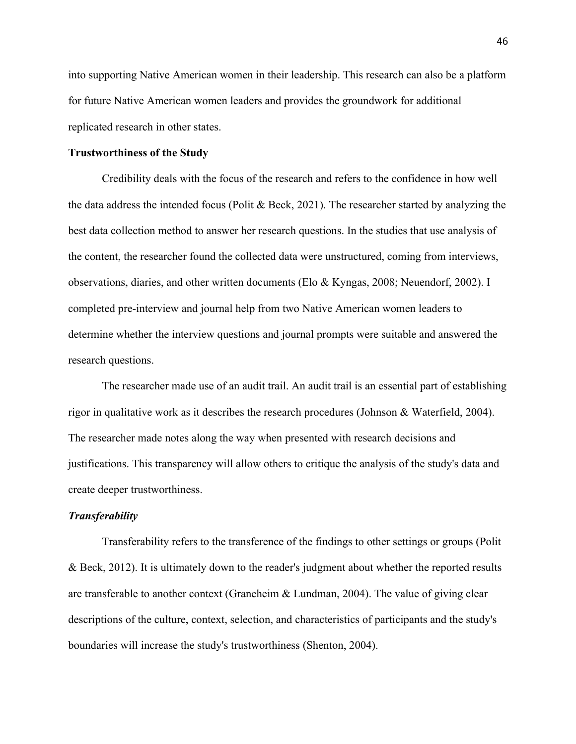into supporting Native American women in their leadership. This research can also be a platform for future Native American women leaders and provides the groundwork for additional replicated research in other states.

## **Trustworthiness of the Study**

 the data address the intended focus (Polit & Beck, 2021). The researcher started by analyzing the Credibility deals with the focus of the research and refers to the confidence in how well best data collection method to answer her research questions. In the studies that use analysis of the content, the researcher found the collected data were unstructured, coming from interviews, observations, diaries, and other written documents (Elo & Kyngas, 2008; Neuendorf, 2002). I completed pre-interview and journal help from two Native American women leaders to determine whether the interview questions and journal prompts were suitable and answered the research questions.

The researcher made use of an audit trail. An audit trail is an essential part of establishing rigor in qualitative work as it describes the research procedures (Johnson & Waterfield, 2004). The researcher made notes along the way when presented with research decisions and justifications. This transparency will allow others to critique the analysis of the study's data and create deeper trustworthiness.

## *Transferability*

Transferability refers to the transference of the findings to other settings or groups (Polit & Beck, 2012). It is ultimately down to the reader's judgment about whether the reported results are transferable to another context (Graneheim & Lundman, 2004). The value of giving clear descriptions of the culture, context, selection, and characteristics of participants and the study's boundaries will increase the study's trustworthiness (Shenton, 2004).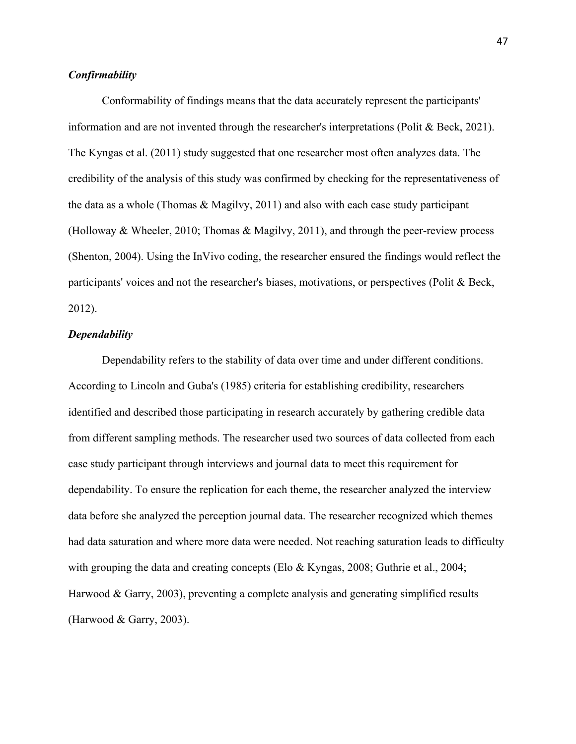## *Confirmability*

Conformability of findings means that the data accurately represent the participants' information and are not invented through the researcher's interpretations (Polit & Beck, 2021). The Kyngas et al. (2011) study suggested that one researcher most often analyzes data. The credibility of the analysis of this study was confirmed by checking for the representativeness of the data as a whole (Thomas & Magilvy, 2011) and also with each case study participant (Holloway & Wheeler, 2010; Thomas & Magilvy, 2011), and through the peer-review process (Shenton, 2004). Using the InVivo coding, the researcher ensured the findings would reflect the participants' voices and not the researcher's biases, motivations, or perspectives (Polit & Beck, 2012).

#### *Dependability*

Dependability refers to the stability of data over time and under different conditions. According to Lincoln and Guba's (1985) criteria for establishing credibility, researchers identified and described those participating in research accurately by gathering credible data from different sampling methods. The researcher used two sources of data collected from each case study participant through interviews and journal data to meet this requirement for dependability. To ensure the replication for each theme, the researcher analyzed the interview data before she analyzed the perception journal data. The researcher recognized which themes had data saturation and where more data were needed. Not reaching saturation leads to difficulty with grouping the data and creating concepts (Elo & Kyngas, 2008; Guthrie et al., 2004; Harwood & Garry, 2003), preventing a complete analysis and generating simplified results (Harwood & Garry, 2003).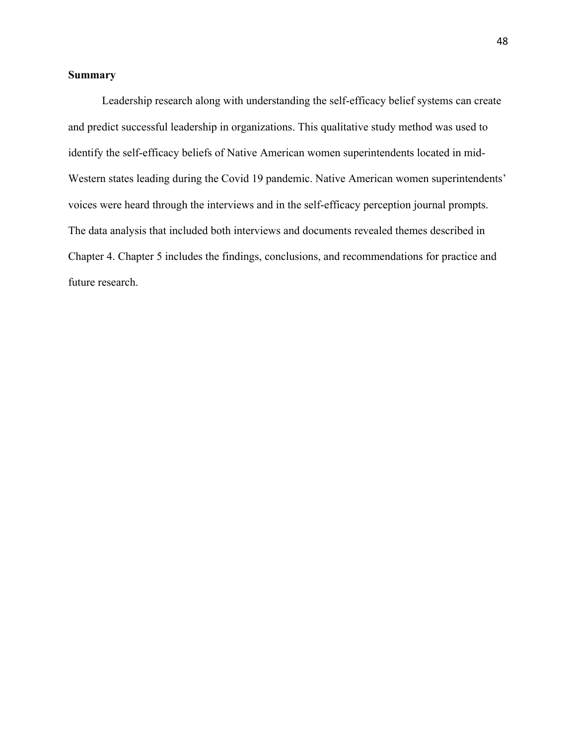# **Summary**

 Leadership research along with understanding the self-efficacy belief systems can create Chapter 4. Chapter 5 includes the findings, conclusions, and recommendations for practice and and predict successful leadership in organizations. This qualitative study method was used to identify the self-efficacy beliefs of Native American women superintendents located in mid-Western states leading during the Covid 19 pandemic. Native American women superintendents' voices were heard through the interviews and in the self-efficacy perception journal prompts. The data analysis that included both interviews and documents revealed themes described in future research.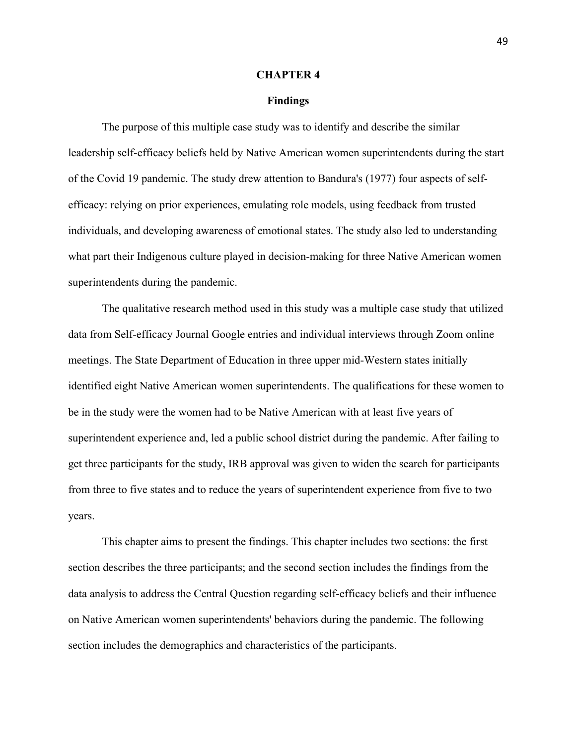#### **CHAPTER 4**

#### **Findings**

The purpose of this multiple case study was to identify and describe the similar leadership self-efficacy beliefs held by Native American women superintendents during the start of the Covid 19 pandemic. The study drew attention to Bandura's (1977) four aspects of selfefficacy: relying on prior experiences, emulating role models, using feedback from trusted individuals, and developing awareness of emotional states. The study also led to understanding what part their Indigenous culture played in decision-making for three Native American women superintendents during the pandemic.

The qualitative research method used in this study was a multiple case study that utilized data from Self-efficacy Journal Google entries and individual interviews through Zoom online meetings. The State Department of Education in three upper mid-Western states initially identified eight Native American women superintendents. The qualifications for these women to be in the study were the women had to be Native American with at least five years of superintendent experience and, led a public school district during the pandemic. After failing to get three participants for the study, IRB approval was given to widen the search for participants from three to five states and to reduce the years of superintendent experience from five to two years.

 This chapter aims to present the findings. This chapter includes two sections: the first section describes the three participants; and the second section includes the findings from the data analysis to address the Central Question regarding self-efficacy beliefs and their influence on Native American women superintendents' behaviors during the pandemic. The following section includes the demographics and characteristics of the participants.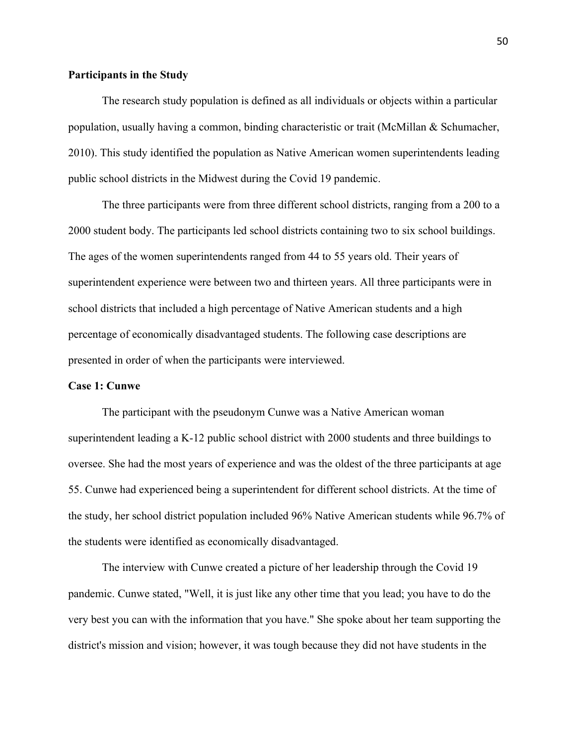# **Participants in the Study**

The research study population is defined as all individuals or objects within a particular population, usually having a common, binding characteristic or trait (McMillan & Schumacher, 2010). This study identified the population as Native American women superintendents leading public school districts in the Midwest during the Covid 19 pandemic.

The three participants were from three different school districts, ranging from a 200 to a 2000 student body. The participants led school districts containing two to six school buildings. The ages of the women superintendents ranged from 44 to 55 years old. Their years of superintendent experience were between two and thirteen years. All three participants were in school districts that included a high percentage of Native American students and a high percentage of economically disadvantaged students. The following case descriptions are presented in order of when the participants were interviewed.

### **Case 1: Cunwe**

The participant with the pseudonym Cunwe was a Native American woman superintendent leading a K-12 public school district with 2000 students and three buildings to oversee. She had the most years of experience and was the oldest of the three participants at age 55. Cunwe had experienced being a superintendent for different school districts. At the time of the study, her school district population included 96% Native American students while 96.7% of the students were identified as economically disadvantaged.

The interview with Cunwe created a picture of her leadership through the Covid 19 pandemic. Cunwe stated, "Well, it is just like any other time that you lead; you have to do the very best you can with the information that you have." She spoke about her team supporting the district's mission and vision; however, it was tough because they did not have students in the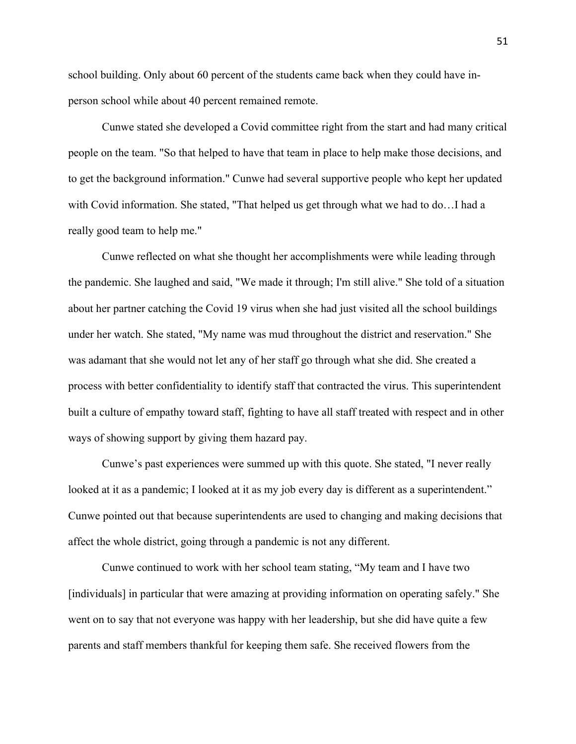school building. Only about 60 percent of the students came back when they could have inperson school while about 40 percent remained remote.

Cunwe stated she developed a Covid committee right from the start and had many critical people on the team. "So that helped to have that team in place to help make those decisions, and to get the background information." Cunwe had several supportive people who kept her updated with Covid information. She stated, "That helped us get through what we had to do…I had a really good team to help me."

Cunwe reflected on what she thought her accomplishments were while leading through the pandemic. She laughed and said, "We made it through; I'm still alive." She told of a situation about her partner catching the Covid 19 virus when she had just visited all the school buildings under her watch. She stated, "My name was mud throughout the district and reservation." She was adamant that she would not let any of her staff go through what she did. She created a process with better confidentiality to identify staff that contracted the virus. This superintendent built a culture of empathy toward staff, fighting to have all staff treated with respect and in other ways of showing support by giving them hazard pay.

Cunwe's past experiences were summed up with this quote. She stated, "I never really looked at it as a pandemic; I looked at it as my job every day is different as a superintendent." Cunwe pointed out that because superintendents are used to changing and making decisions that affect the whole district, going through a pandemic is not any different.

Cunwe continued to work with her school team stating, "My team and I have two [individuals] in particular that were amazing at providing information on operating safely." She went on to say that not everyone was happy with her leadership, but she did have quite a few parents and staff members thankful for keeping them safe. She received flowers from the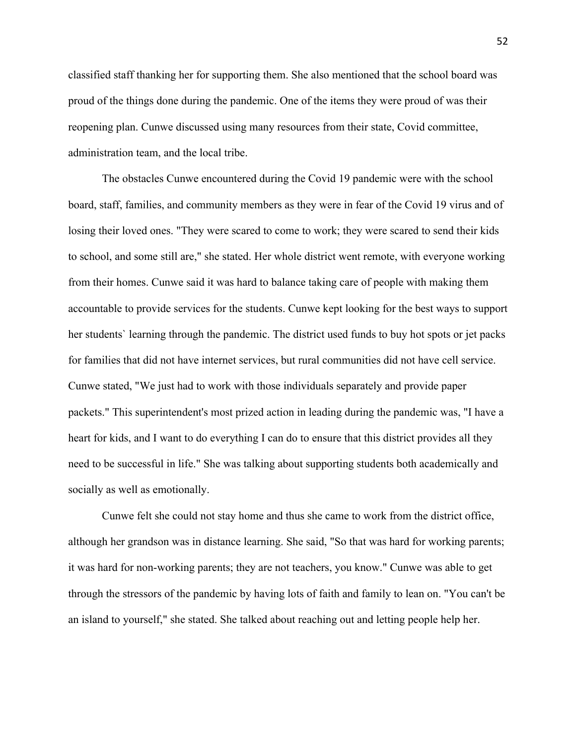classified staff thanking her for supporting them. She also mentioned that the school board was proud of the things done during the pandemic. One of the items they were proud of was their reopening plan. Cunwe discussed using many resources from their state, Covid committee, administration team, and the local tribe.

The obstacles Cunwe encountered during the Covid 19 pandemic were with the school board, staff, families, and community members as they were in fear of the Covid 19 virus and of losing their loved ones. "They were scared to come to work; they were scared to send their kids to school, and some still are," she stated. Her whole district went remote, with everyone working from their homes. Cunwe said it was hard to balance taking care of people with making them accountable to provide services for the students. Cunwe kept looking for the best ways to support her students` learning through the pandemic. The district used funds to buy hot spots or jet packs for families that did not have internet services, but rural communities did not have cell service. Cunwe stated, "We just had to work with those individuals separately and provide paper packets." This superintendent's most prized action in leading during the pandemic was, "I have a heart for kids, and I want to do everything I can do to ensure that this district provides all they need to be successful in life." She was talking about supporting students both academically and socially as well as emotionally.

Cunwe felt she could not stay home and thus she came to work from the district office, although her grandson was in distance learning. She said, "So that was hard for working parents; it was hard for non-working parents; they are not teachers, you know." Cunwe was able to get through the stressors of the pandemic by having lots of faith and family to lean on. "You can't be an island to yourself," she stated. She talked about reaching out and letting people help her.

52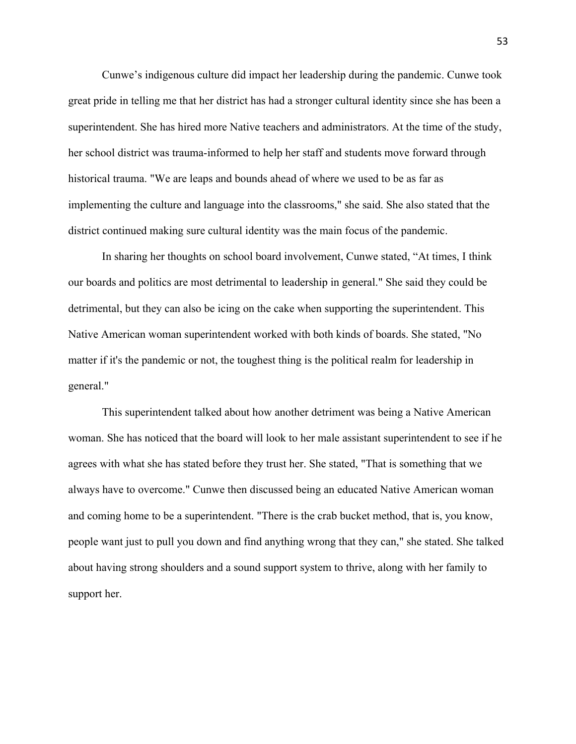Cunwe's indigenous culture did impact her leadership during the pandemic. Cunwe took great pride in telling me that her district has had a stronger cultural identity since she has been a superintendent. She has hired more Native teachers and administrators. At the time of the study, her school district was trauma-informed to help her staff and students move forward through historical trauma. "We are leaps and bounds ahead of where we used to be as far as implementing the culture and language into the classrooms," she said. She also stated that the district continued making sure cultural identity was the main focus of the pandemic.

general." In sharing her thoughts on school board involvement, Cunwe stated, "At times, I think our boards and politics are most detrimental to leadership in general." She said they could be detrimental, but they can also be icing on the cake when supporting the superintendent. This Native American woman superintendent worked with both kinds of boards. She stated, "No matter if it's the pandemic or not, the toughest thing is the political realm for leadership in

This superintendent talked about how another detriment was being a Native American woman. She has noticed that the board will look to her male assistant superintendent to see if he agrees with what she has stated before they trust her. She stated, "That is something that we always have to overcome." Cunwe then discussed being an educated Native American woman and coming home to be a superintendent. "There is the crab bucket method, that is, you know, people want just to pull you down and find anything wrong that they can," she stated. She talked about having strong shoulders and a sound support system to thrive, along with her family to support her.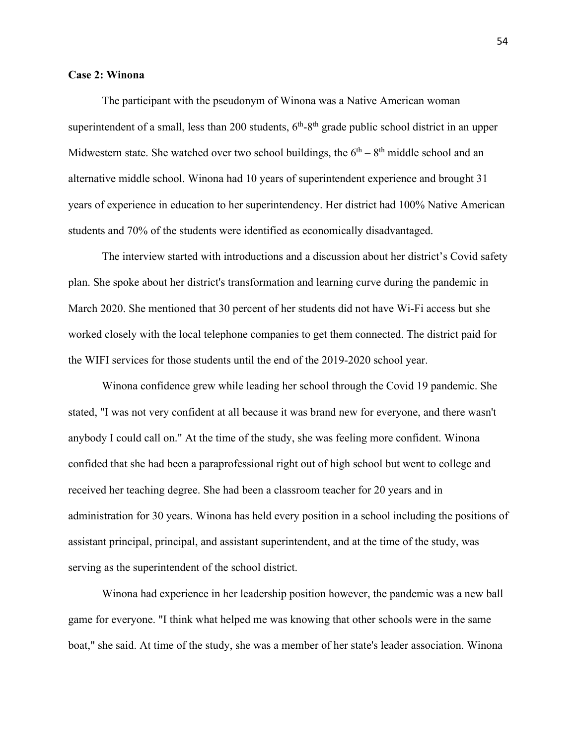### **Case 2: Winona**

Midwestern state. She watched over two school buildings, the  $6<sup>th</sup> - 8<sup>th</sup>$  middle school and an The participant with the pseudonym of Winona was a Native American woman superintendent of a small, less than 200 students,  $6<sup>th</sup>-8<sup>th</sup>$  grade public school district in an upper alternative middle school. Winona had 10 years of superintendent experience and brought 31 years of experience in education to her superintendency. Her district had 100% Native American students and 70% of the students were identified as economically disadvantaged.

The interview started with introductions and a discussion about her district's Covid safety plan. She spoke about her district's transformation and learning curve during the pandemic in March 2020. She mentioned that 30 percent of her students did not have Wi-Fi access but she worked closely with the local telephone companies to get them connected. The district paid for the WIFI services for those students until the end of the 2019-2020 school year.

Winona confidence grew while leading her school through the Covid 19 pandemic. She stated, "I was not very confident at all because it was brand new for everyone, and there wasn't anybody I could call on." At the time of the study, she was feeling more confident. Winona confided that she had been a paraprofessional right out of high school but went to college and received her teaching degree. She had been a classroom teacher for 20 years and in administration for 30 years. Winona has held every position in a school including the positions of assistant principal, principal, and assistant superintendent, and at the time of the study, was serving as the superintendent of the school district.

Winona had experience in her leadership position however, the pandemic was a new ball game for everyone. "I think what helped me was knowing that other schools were in the same boat," she said. At time of the study, she was a member of her state's leader association. Winona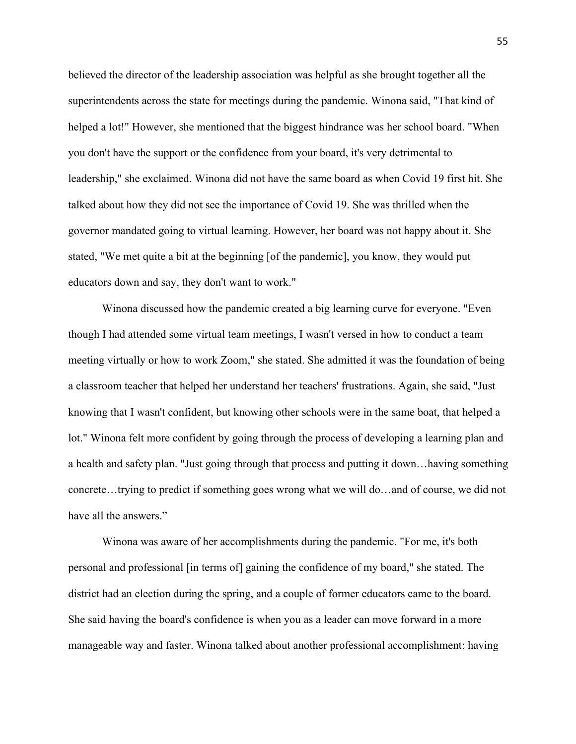educators down and say, they don't want to work." believed the director of the leadership association was helpful as she brought together all the superintendents across the state for meetings during the pandemic. Winona said, "That kind of helped a lot!" However, she mentioned that the biggest hindrance was her school board. "When you don't have the support or the confidence from your board, it's very detrimental to leadership," she exclaimed. Winona did not have the same board as when Covid 19 first hit. She talked about how they did not see the importance of Covid 19. She was thrilled when the governor mandated going to virtual learning. However, her board was not happy about it. She stated, "We met quite a bit at the beginning [of the pandemic], you know, they would put

have all the answers." Winona discussed how the pandemic created a big learning curve for everyone. "Even though I had attended some virtual team meetings, I wasn't versed in how to conduct a team meeting virtually or how to work Zoom," she stated. She admitted it was the foundation of being a classroom teacher that helped her understand her teachers' frustrations. Again, she said, "Just knowing that I wasn't confident, but knowing other schools were in the same boat, that helped a lot." Winona felt more confident by going through the process of developing a learning plan and a health and safety plan. "Just going through that process and putting it down…having something concrete…trying to predict if something goes wrong what we will do…and of course, we did not

Winona was aware of her accomplishments during the pandemic. "For me, it's both personal and professional [in terms of] gaining the confidence of my board," she stated. The district had an election during the spring, and a couple of former educators came to the board. She said having the board's confidence is when you as a leader can move forward in a more manageable way and faster. Winona talked about another professional accomplishment: having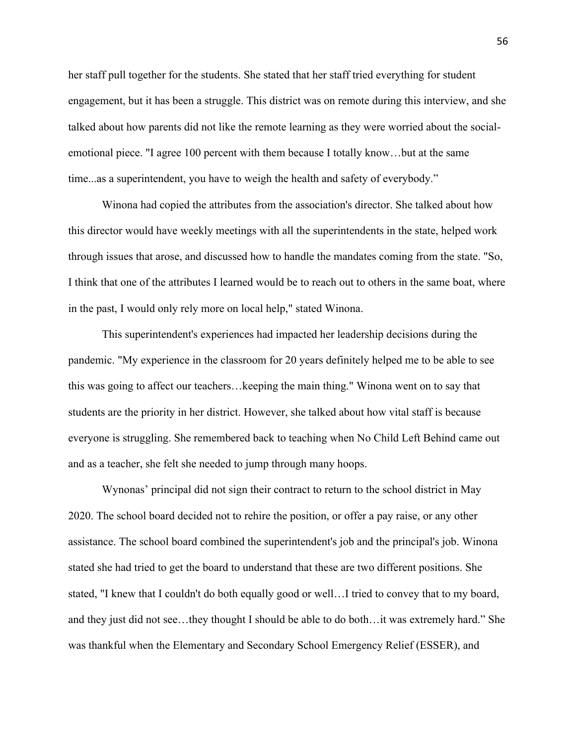time...as a superintendent, you have to weigh the health and safety of everybody." her staff pull together for the students. She stated that her staff tried everything for student engagement, but it has been a struggle. This district was on remote during this interview, and she talked about how parents did not like the remote learning as they were worried about the socialemotional piece. "I agree 100 percent with them because I totally know…but at the same

Winona had copied the attributes from the association's director. She talked about how this director would have weekly meetings with all the superintendents in the state, helped work through issues that arose, and discussed how to handle the mandates coming from the state. "So, I think that one of the attributes I learned would be to reach out to others in the same boat, where in the past, I would only rely more on local help," stated Winona.

 everyone is struggling. She remembered back to teaching when No Child Left Behind came out This superintendent's experiences had impacted her leadership decisions during the pandemic. "My experience in the classroom for 20 years definitely helped me to be able to see this was going to affect our teachers…keeping the main thing." Winona went on to say that students are the priority in her district. However, she talked about how vital staff is because and as a teacher, she felt she needed to jump through many hoops.

 2020. The school board decided not to rehire the position, or offer a pay raise, or any other Wynonas' principal did not sign their contract to return to the school district in May assistance. The school board combined the superintendent's job and the principal's job. Winona stated she had tried to get the board to understand that these are two different positions. She stated, "I knew that I couldn't do both equally good or well…I tried to convey that to my board, and they just did not see…they thought I should be able to do both…it was extremely hard." She was thankful when the Elementary and Secondary School Emergency Relief (ESSER), and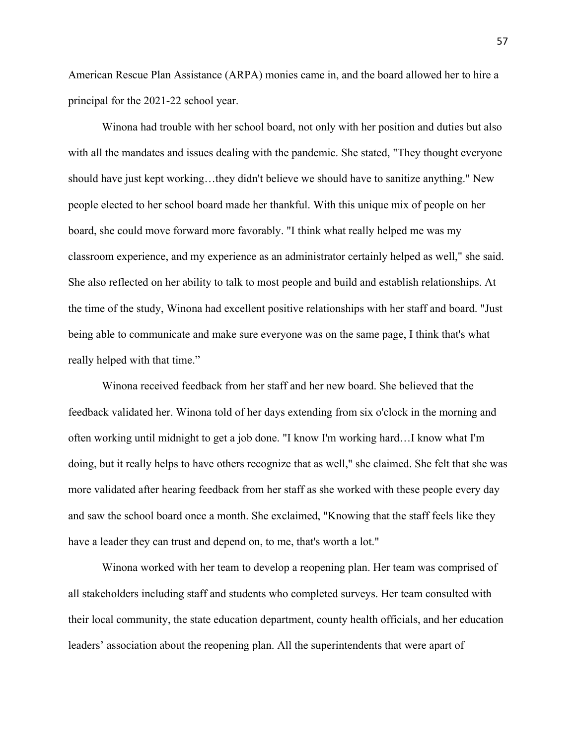American Rescue Plan Assistance (ARPA) monies came in, and the board allowed her to hire a principal for the 2021-22 school year.

really helped with that time." Winona had trouble with her school board, not only with her position and duties but also with all the mandates and issues dealing with the pandemic. She stated, "They thought everyone should have just kept working…they didn't believe we should have to sanitize anything." New people elected to her school board made her thankful. With this unique mix of people on her board, she could move forward more favorably. "I think what really helped me was my classroom experience, and my experience as an administrator certainly helped as well," she said. She also reflected on her ability to talk to most people and build and establish relationships. At the time of the study, Winona had excellent positive relationships with her staff and board. "Just being able to communicate and make sure everyone was on the same page, I think that's what

Winona received feedback from her staff and her new board. She believed that the feedback validated her. Winona told of her days extending from six o'clock in the morning and often working until midnight to get a job done. "I know I'm working hard…I know what I'm doing, but it really helps to have others recognize that as well," she claimed. She felt that she was more validated after hearing feedback from her staff as she worked with these people every day and saw the school board once a month. She exclaimed, "Knowing that the staff feels like they have a leader they can trust and depend on, to me, that's worth a lot."

Winona worked with her team to develop a reopening plan. Her team was comprised of all stakeholders including staff and students who completed surveys. Her team consulted with their local community, the state education department, county health officials, and her education leaders' association about the reopening plan. All the superintendents that were apart of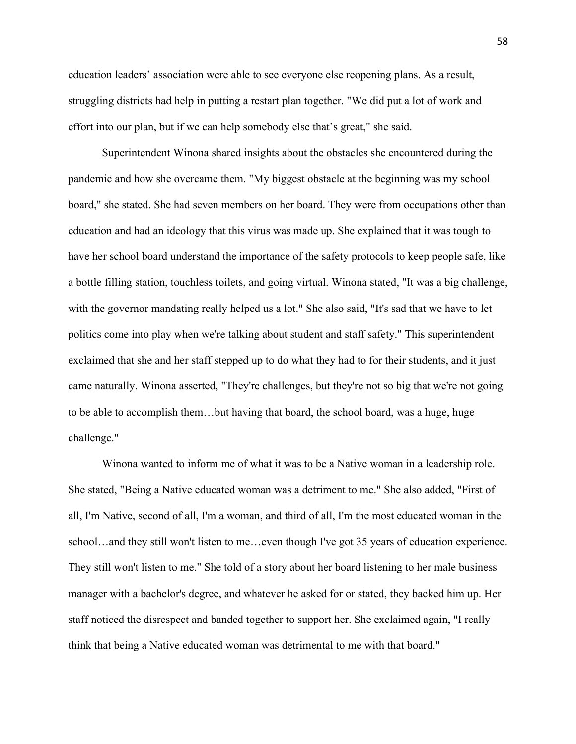effort into our plan, but if we can help somebody else that's great," she said. education leaders' association were able to see everyone else reopening plans. As a result, struggling districts had help in putting a restart plan together. "We did put a lot of work and

Superintendent Winona shared insights about the obstacles she encountered during the pandemic and how she overcame them. "My biggest obstacle at the beginning was my school board," she stated. She had seven members on her board. They were from occupations other than education and had an ideology that this virus was made up. She explained that it was tough to have her school board understand the importance of the safety protocols to keep people safe, like a bottle filling station, touchless toilets, and going virtual. Winona stated, "It was a big challenge, with the governor mandating really helped us a lot." She also said, "It's sad that we have to let politics come into play when we're talking about student and staff safety." This superintendent exclaimed that she and her staff stepped up to do what they had to for their students, and it just came naturally. Winona asserted, "They're challenges, but they're not so big that we're not going to be able to accomplish them…but having that board, the school board, was a huge, huge challenge."

Winona wanted to inform me of what it was to be a Native woman in a leadership role. She stated, "Being a Native educated woman was a detriment to me." She also added, "First of all, I'm Native, second of all, I'm a woman, and third of all, I'm the most educated woman in the school…and they still won't listen to me…even though I've got 35 years of education experience. They still won't listen to me." She told of a story about her board listening to her male business manager with a bachelor's degree, and whatever he asked for or stated, they backed him up. Her staff noticed the disrespect and banded together to support her. She exclaimed again, "I really think that being a Native educated woman was detrimental to me with that board."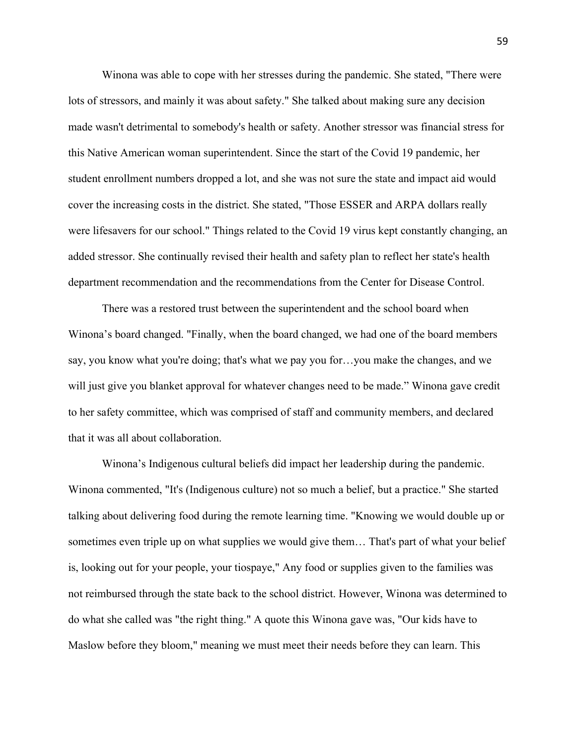Winona was able to cope with her stresses during the pandemic. She stated, "There were lots of stressors, and mainly it was about safety." She talked about making sure any decision made wasn't detrimental to somebody's health or safety. Another stressor was financial stress for this Native American woman superintendent. Since the start of the Covid 19 pandemic, her student enrollment numbers dropped a lot, and she was not sure the state and impact aid would cover the increasing costs in the district. She stated, "Those ESSER and ARPA dollars really were lifesavers for our school." Things related to the Covid 19 virus kept constantly changing, an added stressor. She continually revised their health and safety plan to reflect her state's health department recommendation and the recommendations from the Center for Disease Control.

There was a restored trust between the superintendent and the school board when Winona's board changed. "Finally, when the board changed, we had one of the board members say, you know what you're doing; that's what we pay you for...you make the changes, and we will just give you blanket approval for whatever changes need to be made." Winona gave credit to her safety committee, which was comprised of staff and community members, and declared that it was all about collaboration.

 Maslow before they bloom," meaning we must meet their needs before they can learn. This Winona's Indigenous cultural beliefs did impact her leadership during the pandemic. Winona commented, "It's (Indigenous culture) not so much a belief, but a practice." She started talking about delivering food during the remote learning time. "Knowing we would double up or sometimes even triple up on what supplies we would give them… That's part of what your belief is, looking out for your people, your tiospaye," Any food or supplies given to the families was not reimbursed through the state back to the school district. However, Winona was determined to do what she called was "the right thing." A quote this Winona gave was, "Our kids have to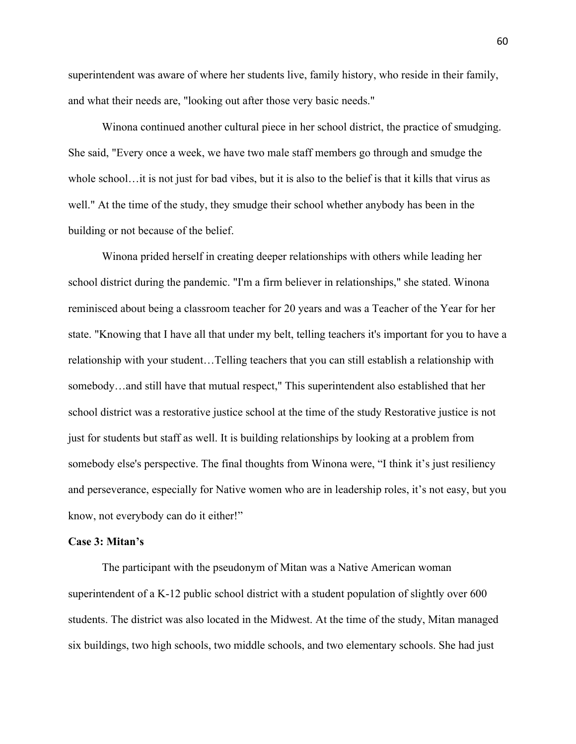superintendent was aware of where her students live, family history, who reside in their family, and what their needs are, "looking out after those very basic needs."

Winona continued another cultural piece in her school district, the practice of smudging. She said, "Every once a week, we have two male staff members go through and smudge the whole school…it is not just for bad vibes, but it is also to the belief is that it kills that virus as well." At the time of the study, they smudge their school whether anybody has been in the building or not because of the belief.

 know, not everybody can do it either!" Winona prided herself in creating deeper relationships with others while leading her school district during the pandemic. "I'm a firm believer in relationships," she stated. Winona reminisced about being a classroom teacher for 20 years and was a Teacher of the Year for her state. "Knowing that I have all that under my belt, telling teachers it's important for you to have a relationship with your student…Telling teachers that you can still establish a relationship with somebody…and still have that mutual respect," This superintendent also established that her school district was a restorative justice school at the time of the study Restorative justice is not just for students but staff as well. It is building relationships by looking at a problem from somebody else's perspective. The final thoughts from Winona were, "I think it's just resiliency and perseverance, especially for Native women who are in leadership roles, it's not easy, but you

## **Case 3: Mitan's**

The participant with the pseudonym of Mitan was a Native American woman superintendent of a K-12 public school district with a student population of slightly over 600 students. The district was also located in the Midwest. At the time of the study, Mitan managed six buildings, two high schools, two middle schools, and two elementary schools. She had just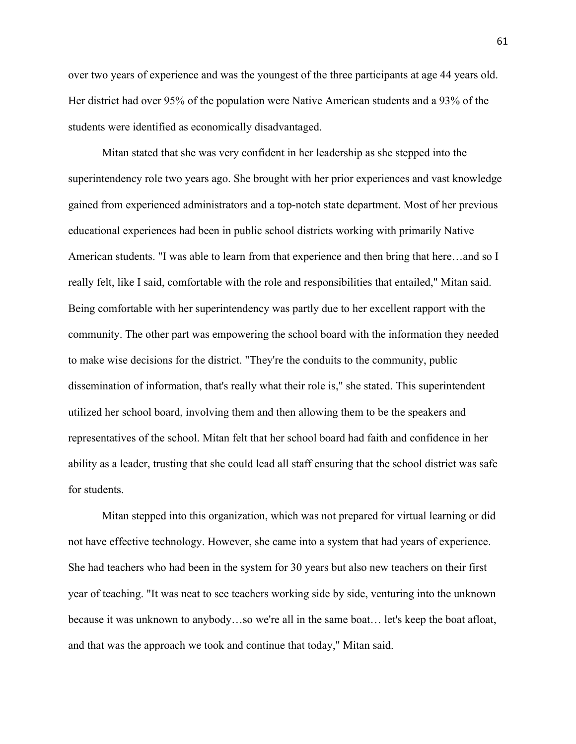over two years of experience and was the youngest of the three participants at age 44 years old. Her district had over 95% of the population were Native American students and a 93% of the students were identified as economically disadvantaged.

Mitan stated that she was very confident in her leadership as she stepped into the superintendency role two years ago. She brought with her prior experiences and vast knowledge gained from experienced administrators and a top-notch state department. Most of her previous educational experiences had been in public school districts working with primarily Native American students. "I was able to learn from that experience and then bring that here…and so I really felt, like I said, comfortable with the role and responsibilities that entailed," Mitan said. Being comfortable with her superintendency was partly due to her excellent rapport with the community. The other part was empowering the school board with the information they needed to make wise decisions for the district. "They're the conduits to the community, public dissemination of information, that's really what their role is," she stated. This superintendent utilized her school board, involving them and then allowing them to be the speakers and representatives of the school. Mitan felt that her school board had faith and confidence in her ability as a leader, trusting that she could lead all staff ensuring that the school district was safe for students.

Mitan stepped into this organization, which was not prepared for virtual learning or did not have effective technology. However, she came into a system that had years of experience. She had teachers who had been in the system for 30 years but also new teachers on their first year of teaching. "It was neat to see teachers working side by side, venturing into the unknown because it was unknown to anybody…so we're all in the same boat… let's keep the boat afloat, and that was the approach we took and continue that today," Mitan said.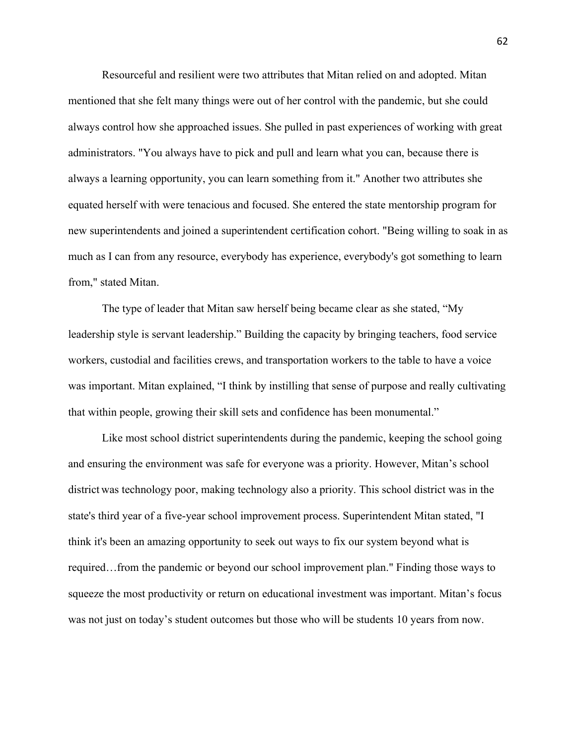Resourceful and resilient were two attributes that Mitan relied on and adopted. Mitan mentioned that she felt many things were out of her control with the pandemic, but she could always control how she approached issues. She pulled in past experiences of working with great administrators. "You always have to pick and pull and learn what you can, because there is always a learning opportunity, you can learn something from it." Another two attributes she equated herself with were tenacious and focused. She entered the state mentorship program for new superintendents and joined a superintendent certification cohort. "Being willing to soak in as much as I can from any resource, everybody has experience, everybody's got something to learn from," stated Mitan.

 workers, custodial and facilities crews, and transportation workers to the table to have a voice The type of leader that Mitan saw herself being became clear as she stated, "My leadership style is servant leadership." Building the capacity by bringing teachers, food service was important. Mitan explained, "I think by instilling that sense of purpose and really cultivating that within people, growing their skill sets and confidence has been monumental."

Like most school district superintendents during the pandemic, keeping the school going and ensuring the environment was safe for everyone was a priority. However, Mitan's school district was technology poor, making technology also a priority. This school district was in the state's third year of a five-year school improvement process. Superintendent Mitan stated, "I think it's been an amazing opportunity to seek out ways to fix our system beyond what is required…from the pandemic or beyond our school improvement plan." Finding those ways to squeeze the most productivity or return on educational investment was important. Mitan's focus was not just on today's student outcomes but those who will be students 10 years from now.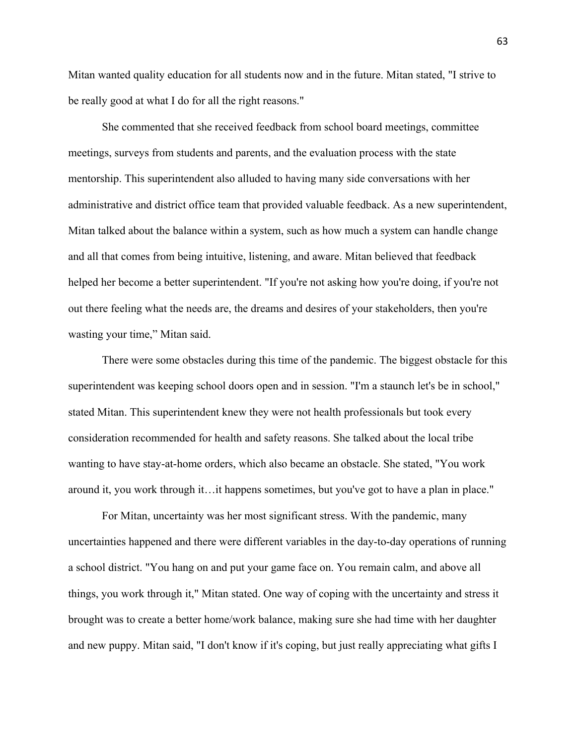be really good at what I do for all the right reasons." Mitan wanted quality education for all students now and in the future. Mitan stated, "I strive to

wasting your time," Mitan said. She commented that she received feedback from school board meetings, committee meetings, surveys from students and parents, and the evaluation process with the state mentorship. This superintendent also alluded to having many side conversations with her administrative and district office team that provided valuable feedback. As a new superintendent, Mitan talked about the balance within a system, such as how much a system can handle change and all that comes from being intuitive, listening, and aware. Mitan believed that feedback helped her become a better superintendent. "If you're not asking how you're doing, if you're not out there feeling what the needs are, the dreams and desires of your stakeholders, then you're

around it, you work through it…it happens sometimes, but you've got to have a plan in place."<br>For Mitan, uncertainty was her most significant stress. With the pandemic, many There were some obstacles during this time of the pandemic. The biggest obstacle for this superintendent was keeping school doors open and in session. "I'm a staunch let's be in school," stated Mitan. This superintendent knew they were not health professionals but took every consideration recommended for health and safety reasons. She talked about the local tribe wanting to have stay-at-home orders, which also became an obstacle. She stated, "You work

uncertainties happened and there were different variables in the day-to-day operations of running a school district. "You hang on and put your game face on. You remain calm, and above all things, you work through it," Mitan stated. One way of coping with the uncertainty and stress it brought was to create a better home/work balance, making sure she had time with her daughter and new puppy. Mitan said, "I don't know if it's coping, but just really appreciating what gifts I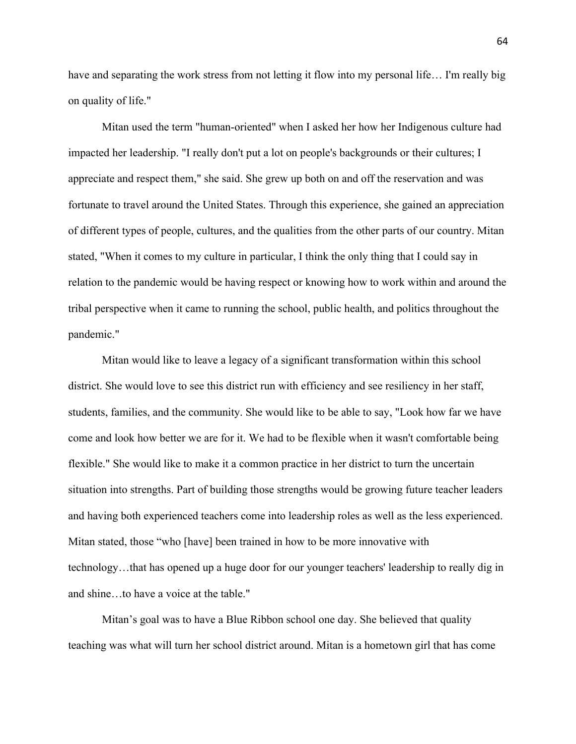have and separating the work stress from not letting it flow into my personal life... I'm really big on quality of life."

pandemic." Mitan used the term "human-oriented" when I asked her how her Indigenous culture had impacted her leadership. "I really don't put a lot on people's backgrounds or their cultures; I appreciate and respect them," she said. She grew up both on and off the reservation and was fortunate to travel around the United States. Through this experience, she gained an appreciation of different types of people, cultures, and the qualities from the other parts of our country. Mitan stated, "When it comes to my culture in particular, I think the only thing that I could say in relation to the pandemic would be having respect or knowing how to work within and around the tribal perspective when it came to running the school, public health, and politics throughout the

Mitan would like to leave a legacy of a significant transformation within this school district. She would love to see this district run with efficiency and see resiliency in her staff, students, families, and the community. She would like to be able to say, "Look how far we have come and look how better we are for it. We had to be flexible when it wasn't comfortable being flexible." She would like to make it a common practice in her district to turn the uncertain situation into strengths. Part of building those strengths would be growing future teacher leaders and having both experienced teachers come into leadership roles as well as the less experienced. Mitan stated, those "who [have] been trained in how to be more innovative with technology…that has opened up a huge door for our younger teachers' leadership to really dig in and shine…to have a voice at the table."

Mitan's goal was to have a Blue Ribbon school one day. She believed that quality teaching was what will turn her school district around. Mitan is a hometown girl that has come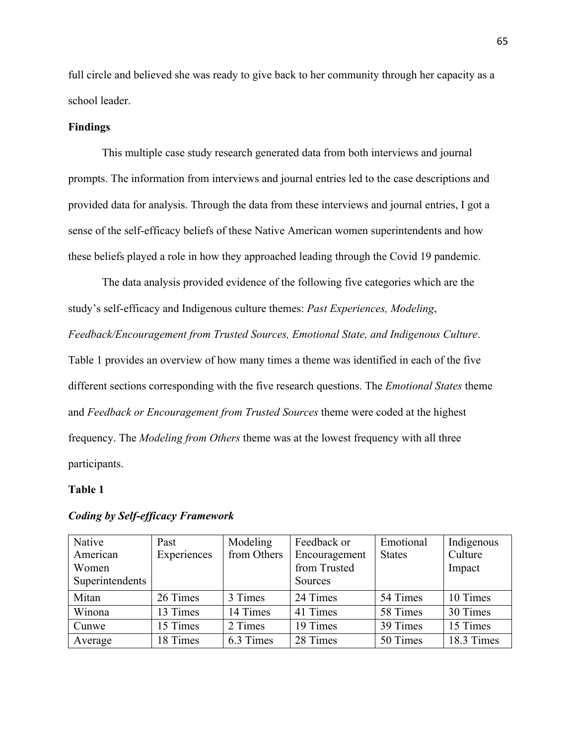full circle and believed she was ready to give back to her community through her capacity as a school leader.

# **Findings**

This multiple case study research generated data from both interviews and journal prompts. The information from interviews and journal entries led to the case descriptions and provided data for analysis. Through the data from these interviews and journal entries, I got a sense of the self-efficacy beliefs of these Native American women superintendents and how these beliefs played a role in how they approached leading through the Covid 19 pandemic.

 study's self-efficacy and Indigenous culture themes: *Past Experiences, Modeling*,  different sections corresponding with the five research questions. The *Emotional States* theme The data analysis provided evidence of the following five categories which are the *Feedback/Encouragement from Trusted Sources, Emotional State, and Indigenous Culture*. Table 1 provides an overview of how many times a theme was identified in each of the five and *Feedback or Encouragement from Trusted Sources* theme were coded at the highest frequency. The *Modeling from Others* theme was at the lowest frequency with all three participants.

# **Table 1**

| Native<br>American<br>Women<br>Superintendents | Past<br>Experiences | Modeling<br>from Others | Feedback or<br>Encouragement<br>from Trusted<br>Sources | Emotional<br><b>States</b> | Indigenous<br>Culture<br>Impact |
|------------------------------------------------|---------------------|-------------------------|---------------------------------------------------------|----------------------------|---------------------------------|
| Mitan                                          | 26 Times            | 3 Times                 | 24 Times                                                | 54 Times                   | 10 Times                        |
| Winona                                         | 13 Times            | 14 Times                | 41 Times                                                | 58 Times                   | 30 Times                        |
| Cunwe                                          | 15 Times            | 2 Times                 | 19 Times                                                | 39 Times                   | 15 Times                        |
| Average                                        | 18 Times            | 6.3 Times               | 28 Times                                                | 50 Times                   | 18.3 Times                      |

#### *Coding by Self-efficacy Framework*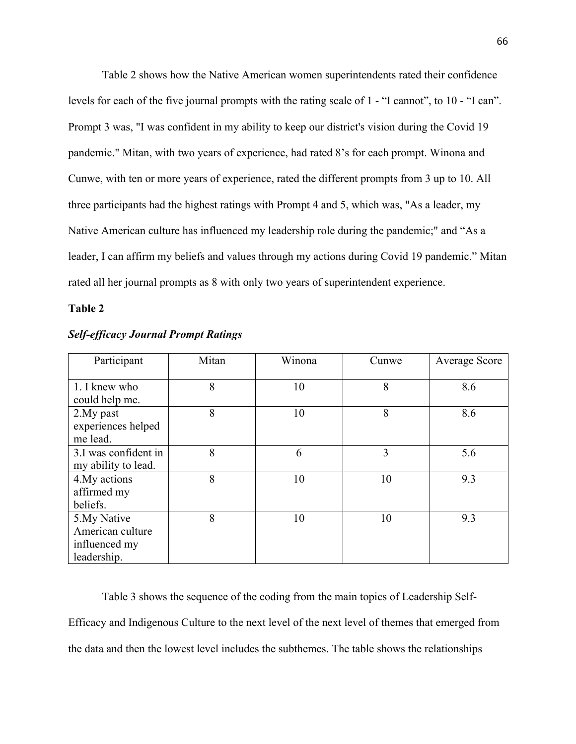Table 2 shows how the Native American women superintendents rated their confidence levels for each of the five journal prompts with the rating scale of 1 - "I cannot", to 10 - "I can". Prompt 3 was, "I was confident in my ability to keep our district's vision during the Covid 19 pandemic." Mitan, with two years of experience, had rated 8's for each prompt. Winona and Cunwe, with ten or more years of experience, rated the different prompts from 3 up to 10. All three participants had the highest ratings with Prompt 4 and 5, which was, "As a leader, my Native American culture has influenced my leadership role during the pandemic;" and "As a leader, I can affirm my beliefs and values through my actions during Covid 19 pandemic." Mitan rated all her journal prompts as 8 with only two years of superintendent experience.

# **Table 2**

| Participant          | Mitan | Winona | Cunwe | <b>Average Score</b> |
|----------------------|-------|--------|-------|----------------------|
| 1. I knew who        | 8     | 10     | 8     | 8.6                  |
| could help me.       |       |        |       |                      |
| 2. My past           | 8     | 10     | 8     | 8.6                  |
| experiences helped   |       |        |       |                      |
| me lead.             |       |        |       |                      |
| 3.I was confident in | 8     | 6      | 3     | 5.6                  |
| my ability to lead.  |       |        |       |                      |
| 4. My actions        | 8     | 10     | 10    | 9.3                  |
| affirmed my          |       |        |       |                      |
| beliefs.             |       |        |       |                      |
| 5. My Native         | 8     | 10     | 10    | 9.3                  |
| American culture     |       |        |       |                      |
| influenced my        |       |        |       |                      |
| leadership.          |       |        |       |                      |

### *Self-efficacy Journal Prompt Ratings*

Table 3 shows the sequence of the coding from the main topics of Leadership Self-Efficacy and Indigenous Culture to the next level of the next level of themes that emerged from the data and then the lowest level includes the subthemes. The table shows the relationships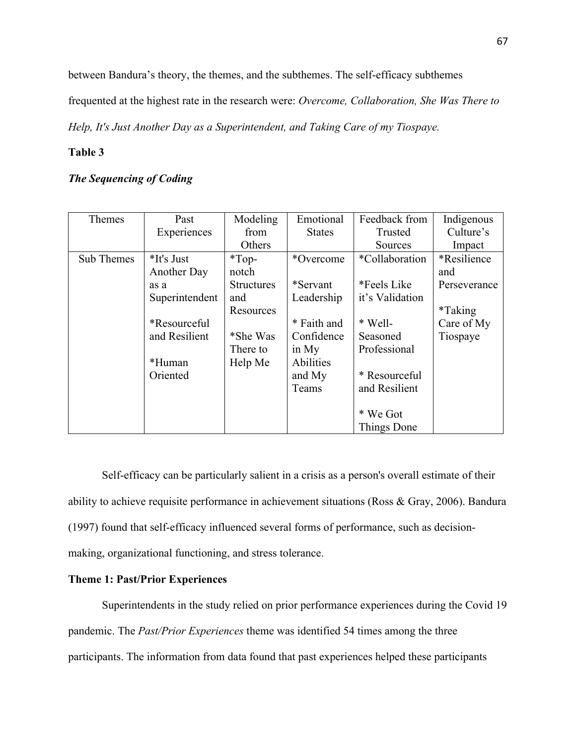between Bandura's theory, the themes, and the subthemes. The self-efficacy subthemes

frequented at the highest rate in the research were: *Overcome, Collaboration, She Was There to* 

*Help, It's Just Another Day as a Superintendent, and Taking Care of my Tiospaye.* 

# **Table 3**

# *The Sequencing of Coding*

| Themes                                                                                        | Past               | Modeling          | Emotional        | Feedback from   | Indigenous     |  |
|-----------------------------------------------------------------------------------------------|--------------------|-------------------|------------------|-----------------|----------------|--|
|                                                                                               | Experiences        | from              | <b>States</b>    | Trusted         | Culture's      |  |
|                                                                                               |                    | Others            |                  | Sources         | Impact         |  |
| Sub Themes                                                                                    | *It's Just         | $*Top-$           | *Overcome        | *Collaboration  | *Resilience    |  |
|                                                                                               | <b>Another Day</b> | notch             |                  |                 | and            |  |
|                                                                                               | as a               | <b>Structures</b> | *Servant         | *Feels Like     | Perseverance   |  |
|                                                                                               | Superintendent     | and               | Leadership       | it's Validation |                |  |
|                                                                                               |                    | Resources         |                  |                 | <i>*Taking</i> |  |
|                                                                                               | *Resourceful       |                   | * Faith and      | * Well-         | Care of My     |  |
|                                                                                               | and Resilient      | *She Was          | Confidence       | Seasoned        | Tiospaye       |  |
|                                                                                               |                    | There to          | in $My$          | Professional    |                |  |
|                                                                                               | *Human             | Help Me           | <b>Abilities</b> |                 |                |  |
|                                                                                               | Oriented           |                   | and My           | * Resourceful   |                |  |
|                                                                                               |                    |                   | Teams            | and Resilient   |                |  |
|                                                                                               |                    |                   |                  |                 |                |  |
|                                                                                               |                    |                   |                  | * We Got        |                |  |
|                                                                                               |                    |                   |                  | Things Done     |                |  |
|                                                                                               |                    |                   |                  |                 |                |  |
|                                                                                               |                    |                   |                  |                 |                |  |
| Self-efficacy can be particularly salient in a crisis as a person's overall estimate of their |                    |                   |                  |                 |                |  |

ability to achieve requisite performance in achievement situations (Ross & Gray, 2006). Bandura (1997) found that self-efficacy influenced several forms of performance, such as decisionmaking, organizational functioning, and stress tolerance.

# **Theme 1: Past/Prior Experiences**

Superintendents in the study relied on prior performance experiences during the Covid 19 pandemic. The *Past/Prior Experiences* theme was identified 54 times among the three participants. The information from data found that past experiences helped these participants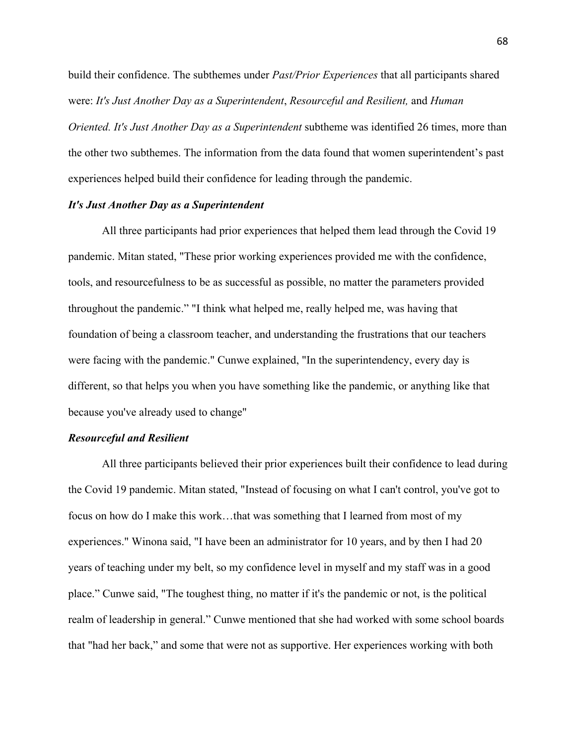build their confidence. The subthemes under *Past/Prior Experiences* that all participants shared  *Oriented. It's Just Another Day as a Superintendent* subtheme was identified 26 times, more than were: *It's Just Another Day as a Superintendent*, *Resourceful and Resilient,* and *Human*  the other two subthemes. The information from the data found that women superintendent's past experiences helped build their confidence for leading through the pandemic.

### *It's Just Another Day as a Superintendent*

 because you've already used to change" All three participants had prior experiences that helped them lead through the Covid 19 pandemic. Mitan stated, "These prior working experiences provided me with the confidence, tools, and resourcefulness to be as successful as possible, no matter the parameters provided throughout the pandemic." "I think what helped me, really helped me, was having that foundation of being a classroom teacher, and understanding the frustrations that our teachers were facing with the pandemic." Cunwe explained, "In the superintendency, every day is different, so that helps you when you have something like the pandemic, or anything like that

# *Resourceful and Resilient*

All three participants believed their prior experiences built their confidence to lead during the Covid 19 pandemic. Mitan stated, "Instead of focusing on what I can't control, you've got to focus on how do I make this work…that was something that I learned from most of my experiences." Winona said, "I have been an administrator for 10 years, and by then I had 20 years of teaching under my belt, so my confidence level in myself and my staff was in a good place." Cunwe said, "The toughest thing, no matter if it's the pandemic or not, is the political realm of leadership in general." Cunwe mentioned that she had worked with some school boards that "had her back," and some that were not as supportive. Her experiences working with both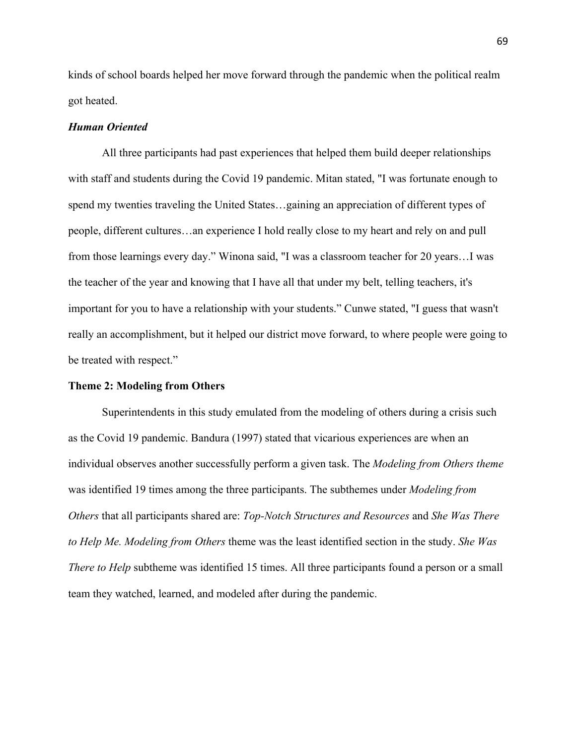kinds of school boards helped her move forward through the pandemic when the political realm got heated.

# *Human Oriented*

 people, different cultures…an experience I hold really close to my heart and rely on and pull be treated with respect." All three participants had past experiences that helped them build deeper relationships with staff and students during the Covid 19 pandemic. Mitan stated, "I was fortunate enough to spend my twenties traveling the United States…gaining an appreciation of different types of from those learnings every day." Winona said, "I was a classroom teacher for 20 years…I was the teacher of the year and knowing that I have all that under my belt, telling teachers, it's important for you to have a relationship with your students." Cunwe stated, "I guess that wasn't really an accomplishment, but it helped our district move forward, to where people were going to

#### **Theme 2: Modeling from Others**

 *Others* that all participants shared are: *Top-Notch Structures and Resources* and *She Was There*  Superintendents in this study emulated from the modeling of others during a crisis such as the Covid 19 pandemic. Bandura (1997) stated that vicarious experiences are when an individual observes another successfully perform a given task. The *Modeling from Others theme*  was identified 19 times among the three participants. The subthemes under *Modeling from to Help Me. Modeling from Others* theme was the least identified section in the study. *She Was There to Help* subtheme was identified 15 times. All three participants found a person or a small team they watched, learned, and modeled after during the pandemic.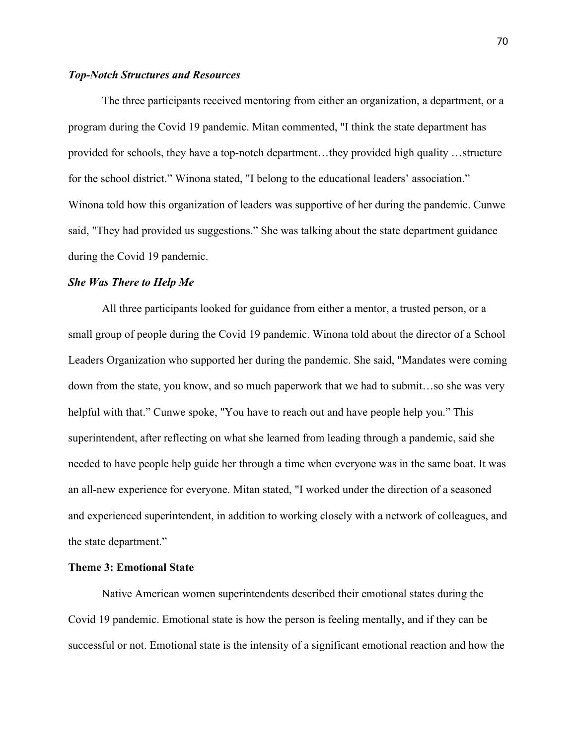# *Top-Notch Structures and Resources*

The three participants received mentoring from either an organization, a department, or a program during the Covid 19 pandemic. Mitan commented, "I think the state department has provided for schools, they have a top-notch department…they provided high quality …structure for the school district." Winona stated, "I belong to the educational leaders' association." Winona told how this organization of leaders was supportive of her during the pandemic. Cunwe said, "They had provided us suggestions." She was talking about the state department guidance during the Covid 19 pandemic.

#### *She Was There to Help Me*

All three participants looked for guidance from either a mentor, a trusted person, or a small group of people during the Covid 19 pandemic. Winona told about the director of a School Leaders Organization who supported her during the pandemic. She said, "Mandates were coming down from the state, you know, and so much paperwork that we had to submit…so she was very helpful with that." Cunwe spoke, "You have to reach out and have people help you." This superintendent, after reflecting on what she learned from leading through a pandemic, said she needed to have people help guide her through a time when everyone was in the same boat. It was an all-new experience for everyone. Mitan stated, "I worked under the direction of a seasoned and experienced superintendent, in addition to working closely with a network of colleagues, and the state department."

# **Theme 3: Emotional State**

 Covid 19 pandemic. Emotional state is how the person is feeling mentally, and if they can be Native American women superintendents described their emotional states during the successful or not. Emotional state is the intensity of a significant emotional reaction and how the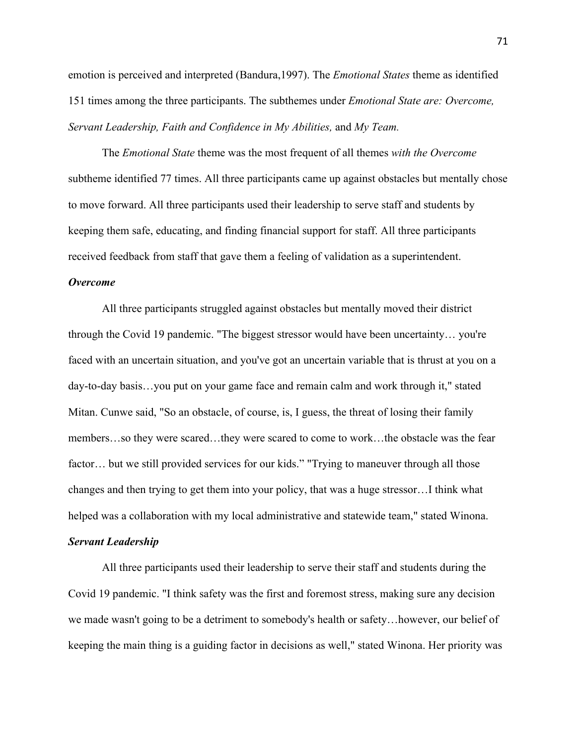151 times among the three participants. The subthemes under *Emotional State are: Overcome, Servant Leadership, Faith and Confidence in My Abilities,* and *My Team.*  emotion is perceived and interpreted (Bandura,1997). The *Emotional States* theme as identified

 The *Emotional State* theme was the most frequent of all themes *with the Overcome*  subtheme identified 77 times. All three participants came up against obstacles but mentally chose to move forward. All three participants used their leadership to serve staff and students by keeping them safe, educating, and finding financial support for staff. All three participants received feedback from staff that gave them a feeling of validation as a superintendent.

# *Overcome*

All three participants struggled against obstacles but mentally moved their district through the Covid 19 pandemic. "The biggest stressor would have been uncertainty… you're faced with an uncertain situation, and you've got an uncertain variable that is thrust at you on a day-to-day basis…you put on your game face and remain calm and work through it," stated Mitan. Cunwe said, "So an obstacle, of course, is, I guess, the threat of losing their family members…so they were scared…they were scared to come to work…the obstacle was the fear factor… but we still provided services for our kids." "Trying to maneuver through all those changes and then trying to get them into your policy, that was a huge stressor…I think what helped was a collaboration with my local administrative and statewide team," stated Winona.

# *Servant Leadership*

All three participants used their leadership to serve their staff and students during the Covid 19 pandemic. "I think safety was the first and foremost stress, making sure any decision we made wasn't going to be a detriment to somebody's health or safety…however, our belief of keeping the main thing is a guiding factor in decisions as well," stated Winona. Her priority was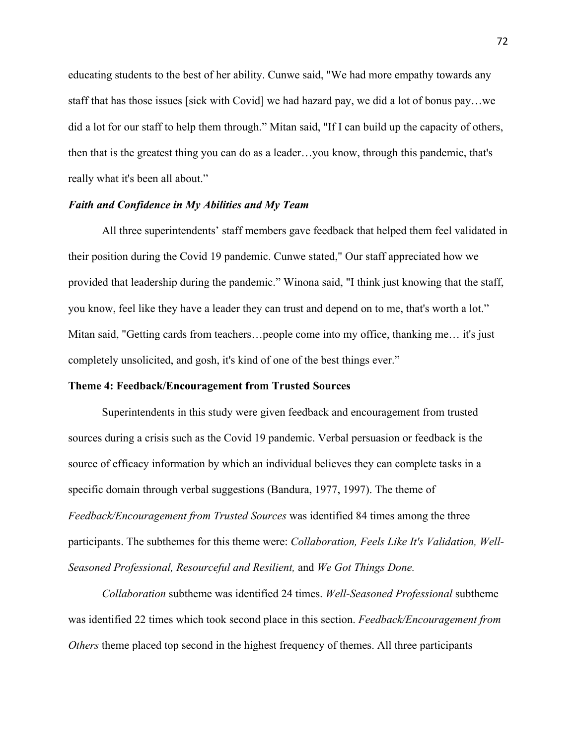really what it's been all about." educating students to the best of her ability. Cunwe said, "We had more empathy towards any staff that has those issues [sick with Covid] we had hazard pay, we did a lot of bonus pay…we did a lot for our staff to help them through." Mitan said, "If I can build up the capacity of others, then that is the greatest thing you can do as a leader…you know, through this pandemic, that's

# *Faith and Confidence in My Abilities and My Team*

you know, feel like they have a leader they can trust and depend on to me, that's worth a lot." All three superintendents' staff members gave feedback that helped them feel validated in their position during the Covid 19 pandemic. Cunwe stated," Our staff appreciated how we provided that leadership during the pandemic." Winona said, "I think just knowing that the staff, Mitan said, "Getting cards from teachers... people come into my office, thanking me... it's just completely unsolicited, and gosh, it's kind of one of the best things ever."

# **Theme 4: Feedback/Encouragement from Trusted Sources**

 participants. The subthemes for this theme were: *Collaboration, Feels Like It's Validation, Well-*Superintendents in this study were given feedback and encouragement from trusted sources during a crisis such as the Covid 19 pandemic. Verbal persuasion or feedback is the source of efficacy information by which an individual believes they can complete tasks in a specific domain through verbal suggestions (Bandura, 1977, 1997). The theme of *Feedback/Encouragement from Trusted Sources* was identified 84 times among the three *Seasoned Professional, Resourceful and Resilient,* and *We Got Things Done.* 

 was identified 22 times which took second place in this section. *Feedback/Encouragement from Collaboration* subtheme was identified 24 times. *Well-Seasoned Professional* subtheme *Others* theme placed top second in the highest frequency of themes. All three participants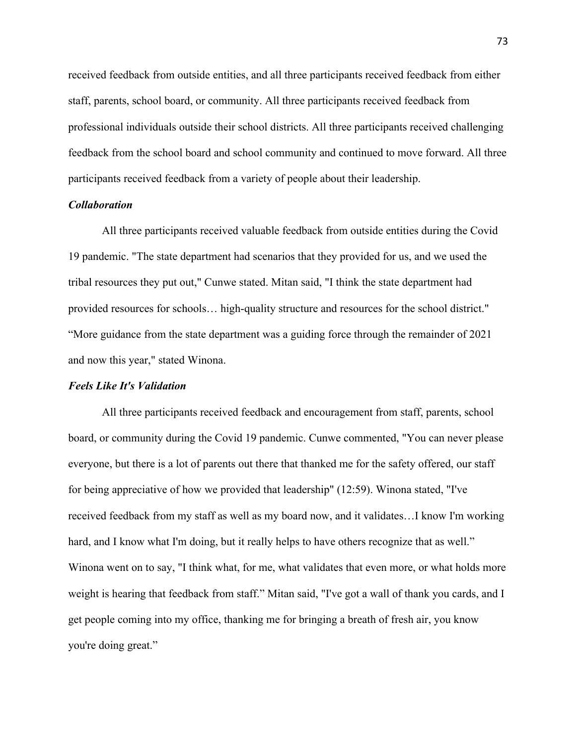feedback from the school board and school community and continued to move forward. All three received feedback from outside entities, and all three participants received feedback from either staff, parents, school board, or community. All three participants received feedback from professional individuals outside their school districts. All three participants received challenging participants received feedback from a variety of people about their leadership.

# *Collaboration*

All three participants received valuable feedback from outside entities during the Covid 19 pandemic. "The state department had scenarios that they provided for us, and we used the tribal resources they put out," Cunwe stated. Mitan said, "I think the state department had provided resources for schools… high-quality structure and resources for the school district." "More guidance from the state department was a guiding force through the remainder of 2021 and now this year," stated Winona.

# *Feels Like It's Validation*

 you're doing great." All three participants received feedback and encouragement from staff, parents, school board, or community during the Covid 19 pandemic. Cunwe commented, "You can never please everyone, but there is a lot of parents out there that thanked me for the safety offered, our staff for being appreciative of how we provided that leadership" (12:59). Winona stated, "I've received feedback from my staff as well as my board now, and it validates…I know I'm working hard, and I know what I'm doing, but it really helps to have others recognize that as well." Winona went on to say, "I think what, for me, what validates that even more, or what holds more weight is hearing that feedback from staff." Mitan said, "I've got a wall of thank you cards, and I get people coming into my office, thanking me for bringing a breath of fresh air, you know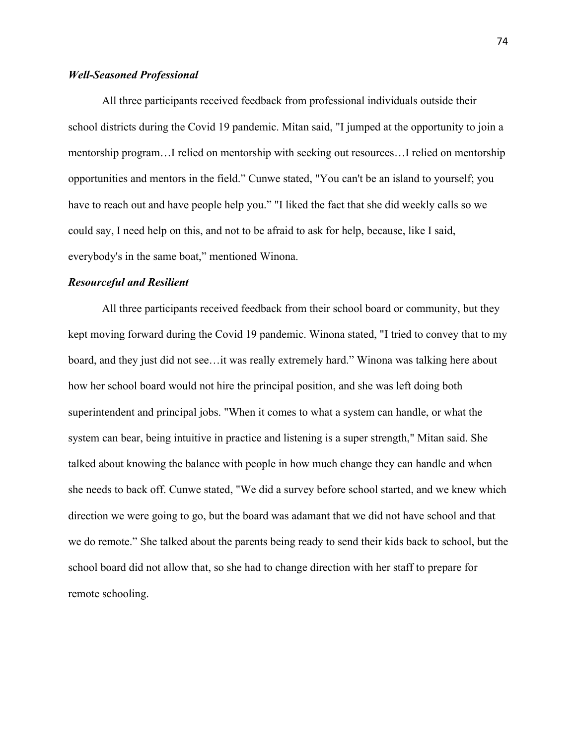# *Well-Seasoned Professional*

All three participants received feedback from professional individuals outside their school districts during the Covid 19 pandemic. Mitan said, "I jumped at the opportunity to join a mentorship program…I relied on mentorship with seeking out resources…I relied on mentorship opportunities and mentors in the field." Cunwe stated, "You can't be an island to yourself; you have to reach out and have people help you." "I liked the fact that she did weekly calls so we could say, I need help on this, and not to be afraid to ask for help, because, like I said, everybody's in the same boat," mentioned Winona.

# *Resourceful and Resilient*

All three participants received feedback from their school board or community, but they kept moving forward during the Covid 19 pandemic. Winona stated, "I tried to convey that to my board, and they just did not see…it was really extremely hard." Winona was talking here about how her school board would not hire the principal position, and she was left doing both superintendent and principal jobs. "When it comes to what a system can handle, or what the system can bear, being intuitive in practice and listening is a super strength," Mitan said. She talked about knowing the balance with people in how much change they can handle and when she needs to back off. Cunwe stated, "We did a survey before school started, and we knew which direction we were going to go, but the board was adamant that we did not have school and that we do remote." She talked about the parents being ready to send their kids back to school, but the school board did not allow that, so she had to change direction with her staff to prepare for remote schooling.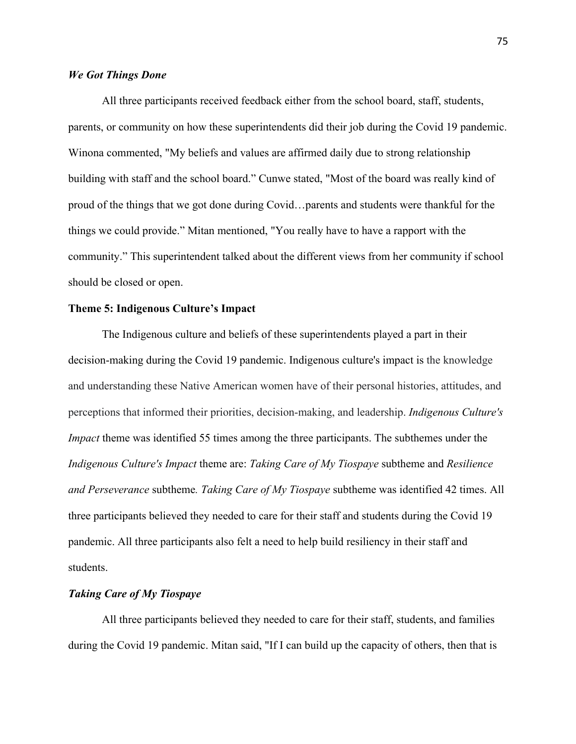# *We Got Things Done*

All three participants received feedback either from the school board, staff, students, parents, or community on how these superintendents did their job during the Covid 19 pandemic. Winona commented, "My beliefs and values are affirmed daily due to strong relationship building with staff and the school board." Cunwe stated, "Most of the board was really kind of proud of the things that we got done during Covid…parents and students were thankful for the things we could provide." Mitan mentioned, "You really have to have a rapport with the community." This superintendent talked about the different views from her community if school should be closed or open.

# **Theme 5: Indigenous Culture's Impact**

 decision-making during the Covid 19 pandemic. Indigenous culture's impact is the knowledge perceptions that informed their priorities, decision-making, and leadership. *Indigenous Culture's Impact* theme was identified 55 times among the three participants. The subthemes under the *Indigenous Culture's Impact* theme are: *Taking Care of My Tiospaye* subtheme and *Resilience and Perseverance* subtheme*. Taking Care of My Tiospaye* subtheme was identified 42 times. All pandemic. All three participants also felt a need to help build resiliency in their staff and The Indigenous culture and beliefs of these superintendents played a part in their and understanding these Native American women have of their personal histories, attitudes, and three participants believed they needed to care for their staff and students during the Covid 19 students.

# *Taking Care of My Tiospaye*

All three participants believed they needed to care for their staff, students, and families during the Covid 19 pandemic. Mitan said, "If I can build up the capacity of others, then that is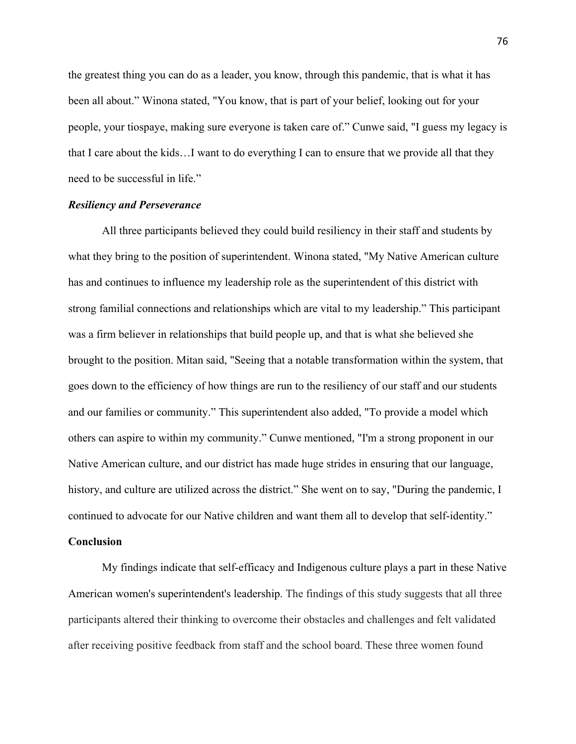need to be successful in life." the greatest thing you can do as a leader, you know, through this pandemic, that is what it has been all about." Winona stated, "You know, that is part of your belief, looking out for your people, your tiospaye, making sure everyone is taken care of." Cunwe said, "I guess my legacy is that I care about the kids…I want to do everything I can to ensure that we provide all that they

# *Resiliency and Perseverance*

All three participants believed they could build resiliency in their staff and students by what they bring to the position of superintendent. Winona stated, "My Native American culture has and continues to influence my leadership role as the superintendent of this district with strong familial connections and relationships which are vital to my leadership." This participant was a firm believer in relationships that build people up, and that is what she believed she brought to the position. Mitan said, "Seeing that a notable transformation within the system, that goes down to the efficiency of how things are run to the resiliency of our staff and our students and our families or community." This superintendent also added, "To provide a model which others can aspire to within my community." Cunwe mentioned, "I'm a strong proponent in our Native American culture, and our district has made huge strides in ensuring that our language, history, and culture are utilized across the district." She went on to say, "During the pandemic, I continued to advocate for our Native children and want them all to develop that self-identity."

### **Conclusion**

 American women's superintendent's leadership. The findings of this study suggests that all three participants altered their thinking to overcome their obstacles and challenges and felt validated My findings indicate that self-efficacy and Indigenous culture plays a part in these Native after receiving positive feedback from staff and the school board. These three women found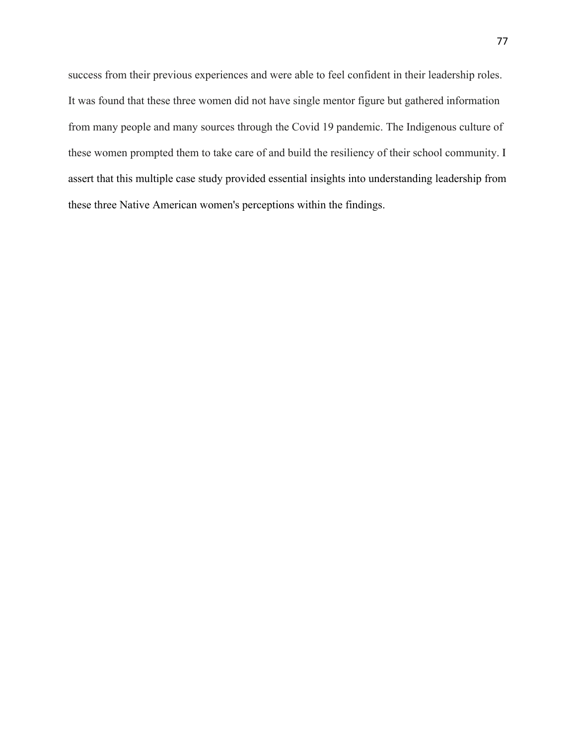success from their previous experiences and were able to feel confident in their leadership roles. It was found that these three women did not have single mentor figure but gathered information from many people and many sources through the Covid 19 pandemic. The Indigenous culture of these women prompted them to take care of and build the resiliency of their school community. I assert that this multiple case study provided essential insights into understanding leadership from these three Native American women's perceptions within the findings.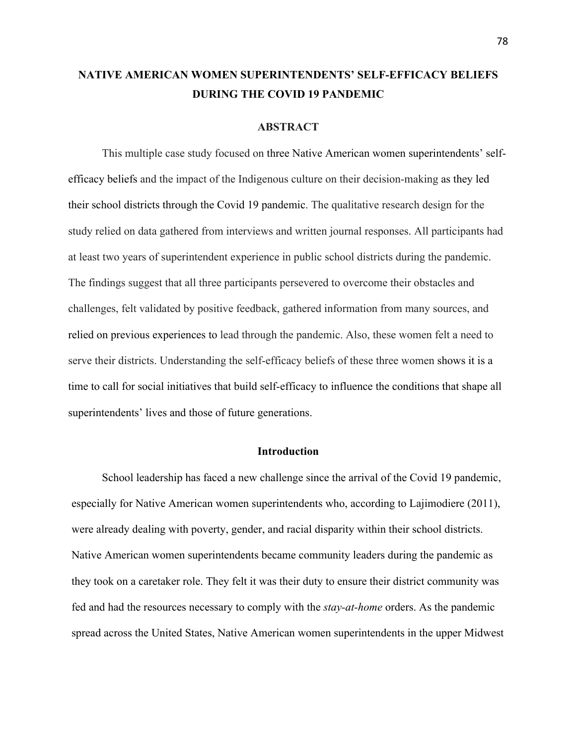# **NATIVE AMERICAN WOMEN SUPERINTENDENTS' SELF-EFFICACY BELIEFS DURING THE COVID 19 PANDEMIC**

### **ABSTRACT**

 their school districts through the Covid 19 pandemic. The qualitative research design for the at least two years of superintendent experience in public school districts during the pandemic. The findings suggest that all three participants persevered to overcome their obstacles and serve their districts. Understanding the self-efficacy beliefs of these three women shows it is a This multiple case study focused on three Native American women superintendents' selfefficacy beliefs and the impact of the Indigenous culture on their decision-making as they led study relied on data gathered from interviews and written journal responses. All participants had challenges, felt validated by positive feedback, gathered information from many sources, and relied on previous experiences to lead through the pandemic. Also, these women felt a need to time to call for social initiatives that build self-efficacy to influence the conditions that shape all superintendents' lives and those of future generations.

# **Introduction**

School leadership has faced a new challenge since the arrival of the Covid 19 pandemic, especially for Native American women superintendents who, according to Lajimodiere (2011), were already dealing with poverty, gender, and racial disparity within their school districts. Native American women superintendents became community leaders during the pandemic as they took on a caretaker role. They felt it was their duty to ensure their district community was fed and had the resources necessary to comply with the *stay-at-home* orders. As the pandemic spread across the United States, Native American women superintendents in the upper Midwest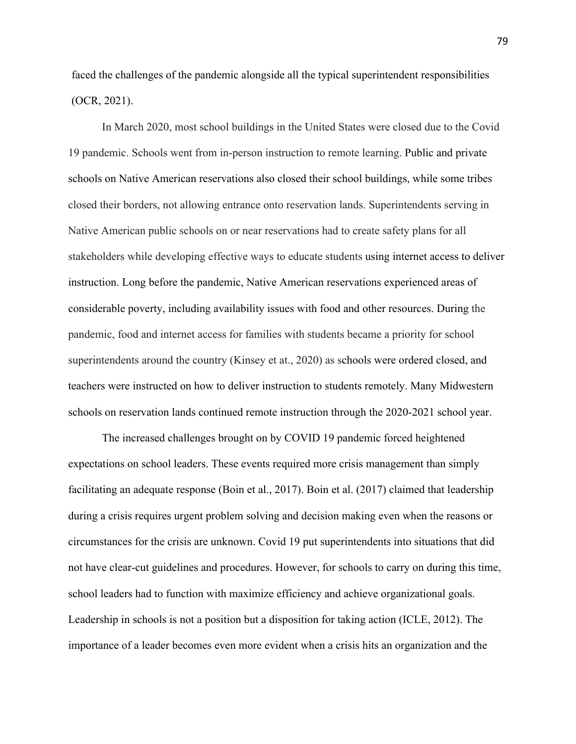faced the challenges of the pandemic alongside all the typical superintendent responsibilities (OCR, 2021).

 considerable poverty, including availability issues with food and other resources. During the In March 2020, most school buildings in the United States were closed due to the Covid 19 pandemic. Schools went from in-person instruction to remote learning. Public and private schools on Native American reservations also closed their school buildings, while some tribes closed their borders, not allowing entrance onto reservation lands. Superintendents serving in Native American public schools on or near reservations had to create safety plans for all stakeholders while developing effective ways to educate students using internet access to deliver instruction. Long before the pandemic, Native American reservations experienced areas of pandemic, food and internet access for families with students became a priority for school superintendents around the country (Kinsey et at., 2020) as schools were ordered closed, and teachers were instructed on how to deliver instruction to students remotely. Many Midwestern schools on reservation lands continued remote instruction through the 2020-2021 school year.

 expectations on school leaders. These events required more crisis management than simply circumstances for the crisis are unknown. Covid 19 put superintendents into situations that did Leadership in schools is not a position but a disposition for taking action (ICLE, 2012). The The increased challenges brought on by COVID 19 pandemic forced heightened facilitating an adequate response (Boin et al., 2017). Boin et al. (2017) claimed that leadership during a crisis requires urgent problem solving and decision making even when the reasons or not have clear-cut guidelines and procedures. However, for schools to carry on during this time, school leaders had to function with maximize efficiency and achieve organizational goals. importance of a leader becomes even more evident when a crisis hits an organization and the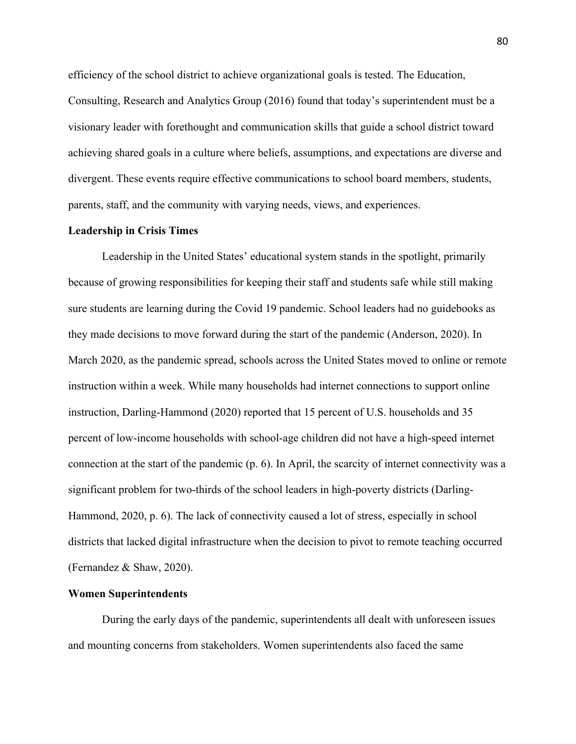efficiency of the school district to achieve organizational goals is tested. The Education, Consulting, Research and Analytics Group (2016) found that today's superintendent must be a visionary leader with forethought and communication skills that guide a school district toward achieving shared goals in a culture where beliefs, assumptions, and expectations are diverse and divergent. These events require effective communications to school board members, students, parents, staff, and the community with varying needs, views, and experiences.

#### **Leadership in Crisis Times**

 Leadership in the United States' educational system stands in the spotlight, primarily they made decisions to move forward during the start of the pandemic (Anderson, 2020). In instruction within a week. While many households had internet connections to support online significant problem for two-thirds of the school leaders in high-poverty districts (Darling- Hammond, 2020, p. 6). The lack of connectivity caused a lot of stress, especially in school because of growing responsibilities for keeping their staff and students safe while still making sure students are learning during the Covid 19 pandemic. School leaders had no guidebooks as March 2020, as the pandemic spread, schools across the United States moved to online or remote instruction, Darling-Hammond (2020) reported that 15 percent of U.S. households and 35 percent of low-income households with school-age children did not have a high-speed internet connection at the start of the pandemic (p. 6). In April, the scarcity of internet connectivity was a districts that lacked digital infrastructure when the decision to pivot to remote teaching occurred (Fernandez & Shaw, 2020).

# **Women Superintendents**

During the early days of the pandemic, superintendents all dealt with unforeseen issues and mounting concerns from stakeholders. Women superintendents also faced the same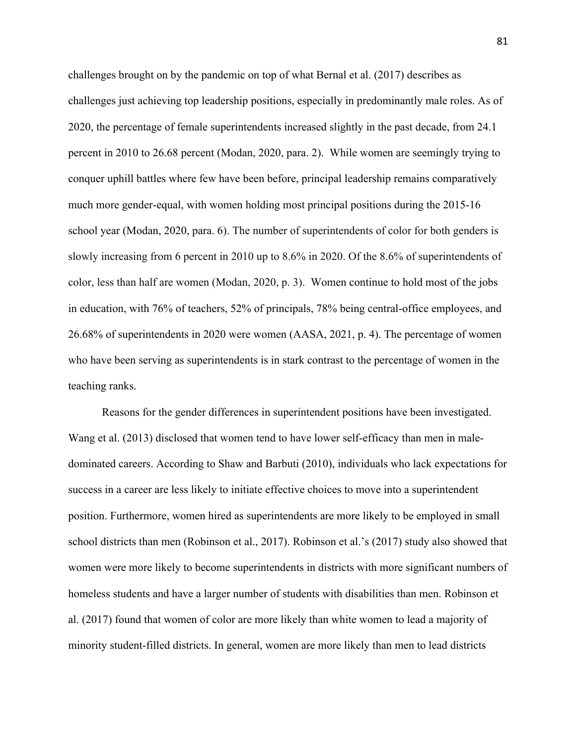2020, the percentage of female superintendents increased slightly in the past decade, from 24.1 percent in 2010 to 26.68 percent (Modan, 2020, para. 2). While women are seemingly trying to color, less than half are women (Modan, 2020, p. 3). Women continue to hold most of the jobs 26.68% of superintendents in 2020 were women (AASA, 2021, p. 4). The percentage of women who have been serving as superintendents is in stark contrast to the percentage of women in the challenges brought on by the pandemic on top of what Bernal et al. (2017) describes as challenges just achieving top leadership positions, especially in predominantly male roles. As of conquer uphill battles where few have been before, principal leadership remains comparatively much more gender-equal, with women holding most principal positions during the 2015-16 school year (Modan, 2020, para. 6). The number of superintendents of color for both genders is slowly increasing from 6 percent in 2010 up to 8.6% in 2020. Of the 8.6% of superintendents of in education, with 76% of teachers, 52% of principals, 78% being central-office employees, and teaching ranks.

Reasons for the gender differences in superintendent positions have been investigated. Wang et al. (2013) disclosed that women tend to have lower self-efficacy than men in maledominated careers. According to Shaw and Barbuti (2010), individuals who lack expectations for success in a career are less likely to initiate effective choices to move into a superintendent position. Furthermore, women hired as superintendents are more likely to be employed in small school districts than men (Robinson et al., 2017). Robinson et al.'s (2017) study also showed that women were more likely to become superintendents in districts with more significant numbers of homeless students and have a larger number of students with disabilities than men. Robinson et al. (2017) found that women of color are more likely than white women to lead a majority of minority student-filled districts. In general, women are more likely than men to lead districts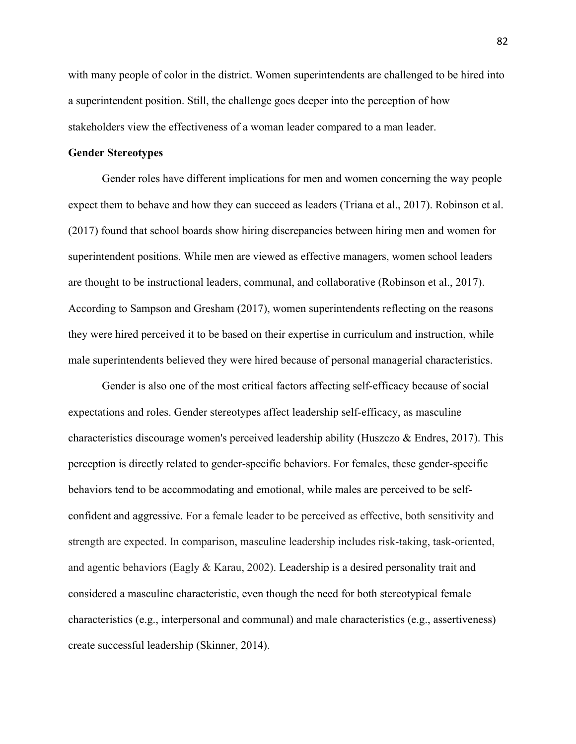stakeholders view the effectiveness of a woman leader compared to a man leader. with many people of color in the district. Women superintendents are challenged to be hired into a superintendent position. Still, the challenge goes deeper into the perception of how

# **Gender Stereotypes**

 they were hired perceived it to be based on their expertise in curriculum and instruction, while Gender roles have different implications for men and women concerning the way people expect them to behave and how they can succeed as leaders (Triana et al., 2017). Robinson et al. (2017) found that school boards show hiring discrepancies between hiring men and women for superintendent positions. While men are viewed as effective managers, women school leaders are thought to be instructional leaders, communal, and collaborative (Robinson et al., 2017). According to Sampson and Gresham (2017), women superintendents reflecting on the reasons male superintendents believed they were hired because of personal managerial characteristics.

 behaviors tend to be accommodating and emotional, while males are perceived to be self- and agentic behaviors (Eagly & Karau, 2002). Leadership is a desired personality trait and create successful leadership (Skinner, 2014). Gender is also one of the most critical factors affecting self-efficacy because of social expectations and roles. Gender stereotypes affect leadership self-efficacy, as masculine characteristics discourage women's perceived leadership ability (Huszczo  $\&$  Endres, 2017). This perception is directly related to gender-specific behaviors. For females, these gender-specific confident and aggressive. For a female leader to be perceived as effective, both sensitivity and strength are expected. In comparison, masculine leadership includes risk-taking, task-oriented, considered a masculine characteristic, even though the need for both stereotypical female characteristics (e.g., interpersonal and communal) and male characteristics (e.g., assertiveness)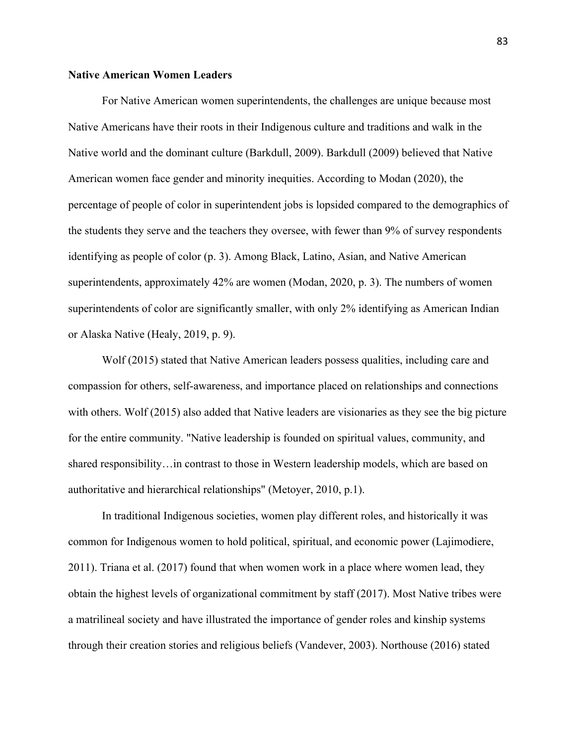# **Native American Women Leaders**

 Native Americans have their roots in their Indigenous culture and traditions and walk in the superintendents, approximately 42% are women (Modan, 2020, p. 3). The numbers of women or Alaska Native (Healy, 2019, p. 9). For Native American women superintendents, the challenges are unique because most Native world and the dominant culture (Barkdull, 2009). Barkdull (2009) believed that Native American women face gender and minority inequities. According to Modan (2020), the percentage of people of color in superintendent jobs is lopsided compared to the demographics of the students they serve and the teachers they oversee, with fewer than 9% of survey respondents identifying as people of color (p. 3). Among Black, Latino, Asian, and Native American superintendents of color are significantly smaller, with only 2% identifying as American Indian

 Wolf (2015) stated that Native American leaders possess qualities, including care and compassion for others, self-awareness, and importance placed on relationships and connections with others. Wolf (2015) also added that Native leaders are visionaries as they see the big picture for the entire community. "Native leadership is founded on spiritual values, community, and shared responsibility…in contrast to those in Western leadership models, which are based on authoritative and hierarchical relationships" (Metoyer, 2010, p.1).

 2011). Triana et al. (2017) found that when women work in a place where women lead, they obtain the highest levels of organizational commitment by staff (2017). Most Native tribes were In traditional Indigenous societies, women play different roles, and historically it was common for Indigenous women to hold political, spiritual, and economic power (Lajimodiere, a matrilineal society and have illustrated the importance of gender roles and kinship systems through their creation stories and religious beliefs (Vandever, 2003). Northouse (2016) stated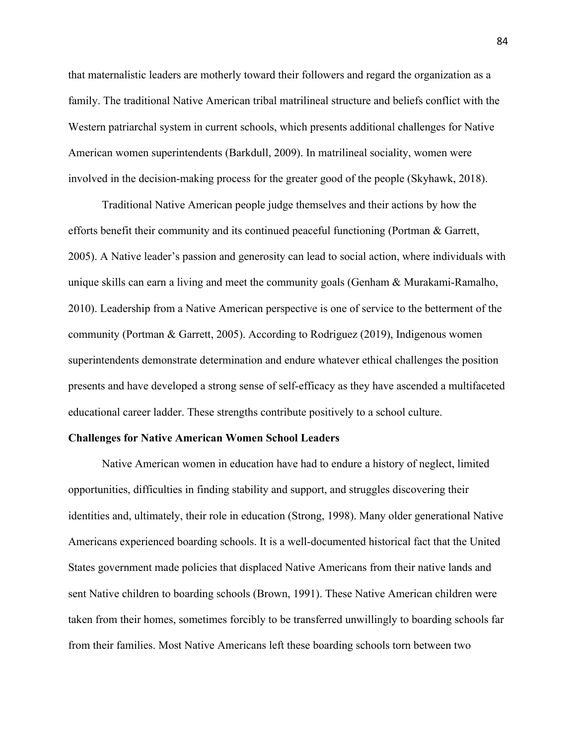that maternalistic leaders are motherly toward their followers and regard the organization as a family. The traditional Native American tribal matrilineal structure and beliefs conflict with the Western patriarchal system in current schools, which presents additional challenges for Native American women superintendents (Barkdull, 2009). In matrilineal sociality, women were involved in the decision-making process for the greater good of the people (Skyhawk, 2018).

 efforts benefit their community and its continued peaceful functioning (Portman & Garrett, 2010). Leadership from a Native American perspective is one of service to the betterment of the Traditional Native American people judge themselves and their actions by how the 2005). A Native leader's passion and generosity can lead to social action, where individuals with unique skills can earn a living and meet the community goals (Genham & Murakami-Ramalho, community (Portman & Garrett, 2005). According to Rodriguez (2019), Indigenous women superintendents demonstrate determination and endure whatever ethical challenges the position presents and have developed a strong sense of self-efficacy as they have ascended a multifaceted educational career ladder. These strengths contribute positively to a school culture.

# **Challenges for Native American Women School Leaders**

Native American women in education have had to endure a history of neglect, limited opportunities, difficulties in finding stability and support, and struggles discovering their identities and, ultimately, their role in education (Strong, 1998). Many older generational Native Americans experienced boarding schools. It is a well-documented historical fact that the United States government made policies that displaced Native Americans from their native lands and sent Native children to boarding schools (Brown, 1991). These Native American children were taken from their homes, sometimes forcibly to be transferred unwillingly to boarding schools far from their families. Most Native Americans left these boarding schools torn between two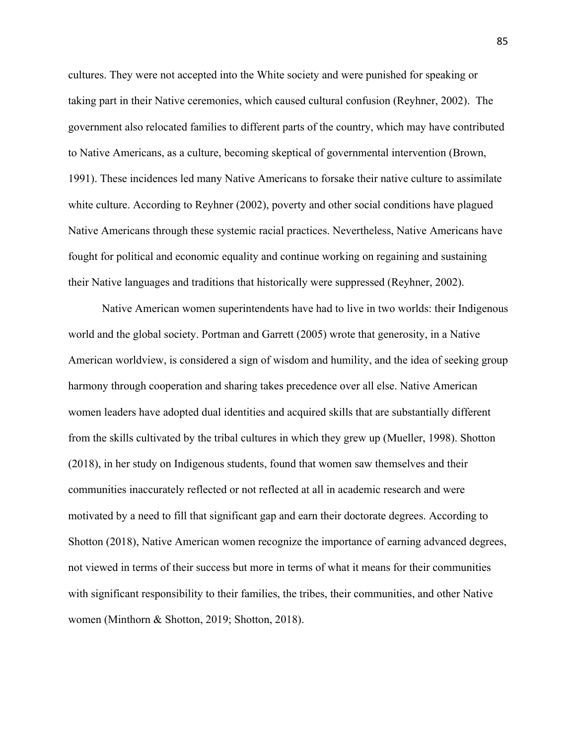cultures. They were not accepted into the White society and were punished for speaking or taking part in their Native ceremonies, which caused cultural confusion (Reyhner, 2002). The government also relocated families to different parts of the country, which may have contributed to Native Americans, as a culture, becoming skeptical of governmental intervention (Brown, 1991). These incidences led many Native Americans to forsake their native culture to assimilate white culture. According to Reyhner (2002), poverty and other social conditions have plagued Native Americans through these systemic racial practices. Nevertheless, Native Americans have fought for political and economic equality and continue working on regaining and sustaining their Native languages and traditions that historically were suppressed (Reyhner, 2002).

 with significant responsibility to their families, the tribes, their communities, and other Native Native American women superintendents have had to live in two worlds: their Indigenous world and the global society. Portman and Garrett (2005) wrote that generosity, in a Native American worldview, is considered a sign of wisdom and humility, and the idea of seeking group harmony through cooperation and sharing takes precedence over all else. Native American women leaders have adopted dual identities and acquired skills that are substantially different from the skills cultivated by the tribal cultures in which they grew up (Mueller, 1998). Shotton (2018), in her study on Indigenous students, found that women saw themselves and their communities inaccurately reflected or not reflected at all in academic research and were motivated by a need to fill that significant gap and earn their doctorate degrees. According to Shotton (2018), Native American women recognize the importance of earning advanced degrees, not viewed in terms of their success but more in terms of what it means for their communities women (Minthorn & Shotton, 2019; Shotton, 2018).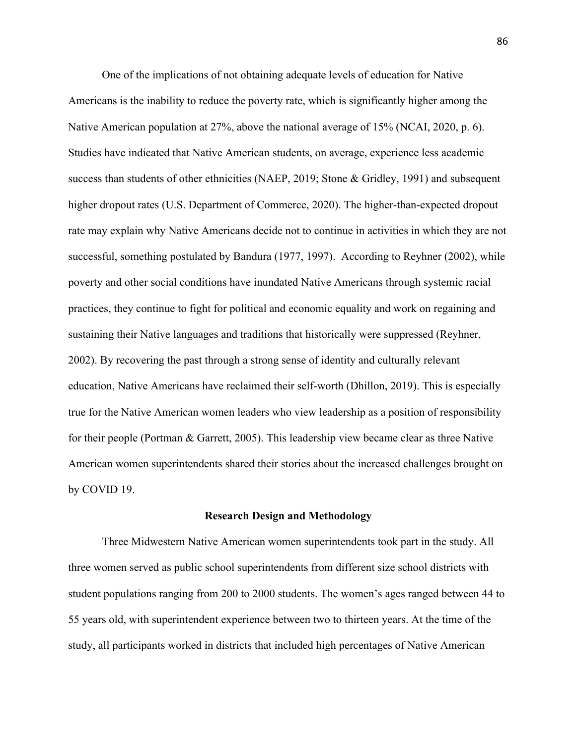Studies have indicated that Native American students, on average, experience less academic rate may explain why Native Americans decide not to continue in activities in which they are not One of the implications of not obtaining adequate levels of education for Native Americans is the inability to reduce the poverty rate, which is significantly higher among the Native American population at 27%, above the national average of 15% (NCAI, 2020, p. 6). success than students of other ethnicities (NAEP, 2019; Stone & Gridley, 1991) and subsequent higher dropout rates (U.S. Department of Commerce, 2020). The higher-than-expected dropout successful, something postulated by Bandura (1977, 1997). According to Reyhner (2002), while poverty and other social conditions have inundated Native Americans through systemic racial practices, they continue to fight for political and economic equality and work on regaining and sustaining their Native languages and traditions that historically were suppressed (Reyhner, 2002). By recovering the past through a strong sense of identity and culturally relevant education, Native Americans have reclaimed their self-worth (Dhillon, 2019). This is especially true for the Native American women leaders who view leadership as a position of responsibility for their people (Portman & Garrett, 2005). This leadership view became clear as three Native American women superintendents shared their stories about the increased challenges brought on by COVID 19.

#### **Research Design and Methodology**

 three women served as public school superintendents from different size school districts with 55 years old, with superintendent experience between two to thirteen years. At the time of the Three Midwestern Native American women superintendents took part in the study. All student populations ranging from 200 to 2000 students. The women's ages ranged between 44 to study, all participants worked in districts that included high percentages of Native American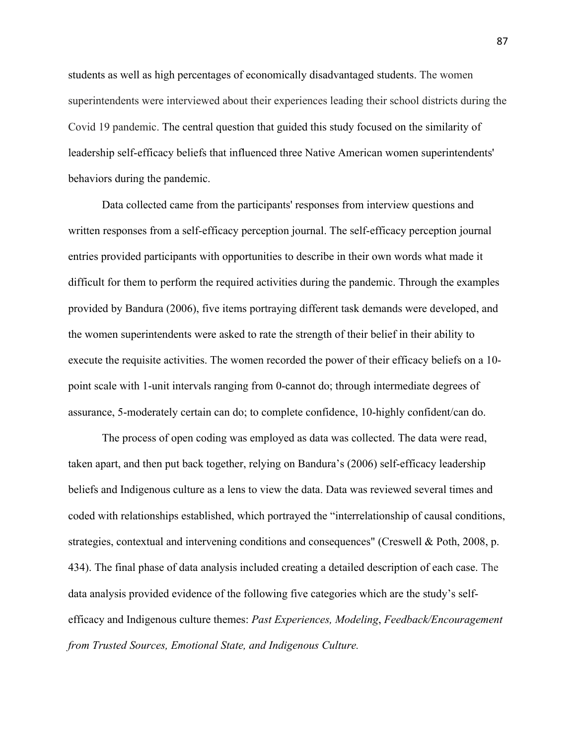Covid 19 pandemic. The central question that guided this study focused on the similarity of leadership self-efficacy beliefs that influenced three Native American women superintendents' students as well as high percentages of economically disadvantaged students. The women superintendents were interviewed about their experiences leading their school districts during the behaviors during the pandemic.

 entries provided participants with opportunities to describe in their own words what made it execute the requisite activities. The women recorded the power of their efficacy beliefs on a 10- Data collected came from the participants' responses from interview questions and written responses from a self-efficacy perception journal. The self-efficacy perception journal difficult for them to perform the required activities during the pandemic. Through the examples provided by Bandura (2006), five items portraying different task demands were developed, and the women superintendents were asked to rate the strength of their belief in their ability to point scale with 1-unit intervals ranging from 0-cannot do; through intermediate degrees of assurance, 5-moderately certain can do; to complete confidence, 10-highly confident/can do.

 The process of open coding was employed as data was collected. The data were read, taken apart, and then put back together, relying on Bandura's (2006) self-efficacy leadership beliefs and Indigenous culture as a lens to view the data. Data was reviewed several times and coded with relationships established, which portrayed the "interrelationship of causal conditions, data analysis provided evidence of the following five categories which are the study's self- efficacy and Indigenous culture themes: *Past Experiences, Modeling*, *Feedback/Encouragement from Trusted Sources, Emotional State, and Indigenous Culture.* strategies, contextual and intervening conditions and consequences" (Creswell & Poth, 2008, p. 434). The final phase of data analysis included creating a detailed description of each case. The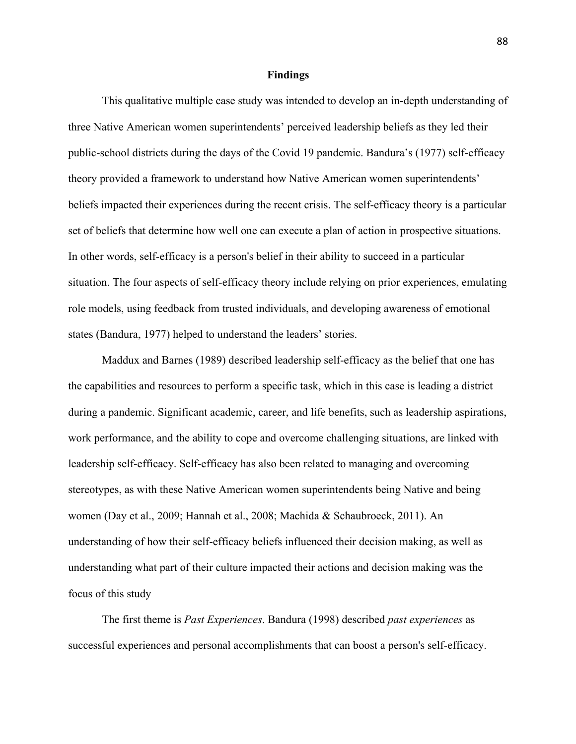#### **Findings**

 public-school districts during the days of the Covid 19 pandemic. Bandura's (1977) self-efficacy This qualitative multiple case study was intended to develop an in-depth understanding of three Native American women superintendents' perceived leadership beliefs as they led their theory provided a framework to understand how Native American women superintendents' beliefs impacted their experiences during the recent crisis. The self-efficacy theory is a particular set of beliefs that determine how well one can execute a plan of action in prospective situations. In other words, self-efficacy is a person's belief in their ability to succeed in a particular situation. The four aspects of self-efficacy theory include relying on prior experiences, emulating role models, using feedback from trusted individuals, and developing awareness of emotional states (Bandura, 1977) helped to understand the leaders' stories.

 work performance, and the ability to cope and overcome challenging situations, are linked with women (Day et al., 2009; Hannah et al., 2008; Machida & Schaubroeck, 2011). An Maddux and Barnes (1989) described leadership self-efficacy as the belief that one has the capabilities and resources to perform a specific task, which in this case is leading a district during a pandemic. Significant academic, career, and life benefits, such as leadership aspirations, leadership self-efficacy. Self-efficacy has also been related to managing and overcoming stereotypes, as with these Native American women superintendents being Native and being understanding of how their self-efficacy beliefs influenced their decision making, as well as understanding what part of their culture impacted their actions and decision making was the focus of this study

The first theme is *Past Experiences*. Bandura (1998) described *past experiences* as successful experiences and personal accomplishments that can boost a person's self-efficacy.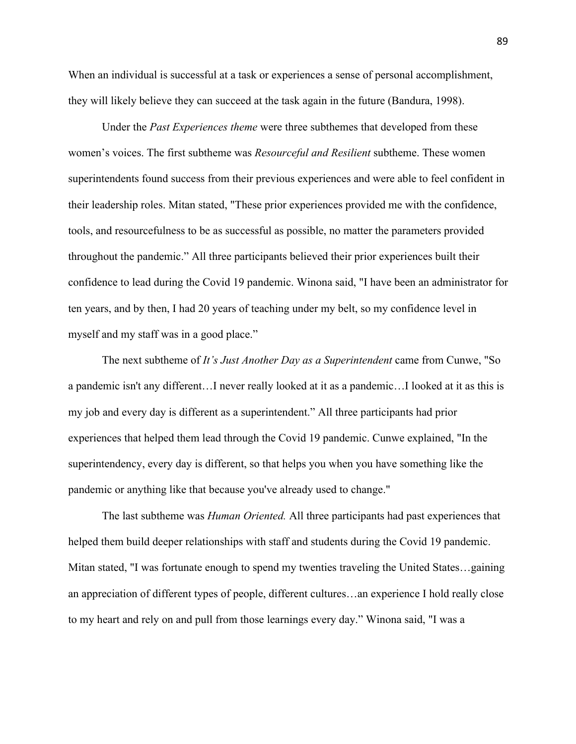When an individual is successful at a task or experiences a sense of personal accomplishment, they will likely believe they can succeed at the task again in the future (Bandura, 1998).

myself and my staff was in a good place." Under the *Past Experiences theme* were three subthemes that developed from these women's voices. The first subtheme was *Resourceful and Resilient* subtheme. These women superintendents found success from their previous experiences and were able to feel confident in their leadership roles. Mitan stated, "These prior experiences provided me with the confidence, tools, and resourcefulness to be as successful as possible, no matter the parameters provided throughout the pandemic." All three participants believed their prior experiences built their confidence to lead during the Covid 19 pandemic. Winona said, "I have been an administrator for ten years, and by then, I had 20 years of teaching under my belt, so my confidence level in

pandemic or anything like that because you've already used to change." The next subtheme of *It's Just Another Day as a Superintendent* came from Cunwe, "So a pandemic isn't any different…I never really looked at it as a pandemic…I looked at it as this is my job and every day is different as a superintendent." All three participants had prior experiences that helped them lead through the Covid 19 pandemic. Cunwe explained, "In the superintendency, every day is different, so that helps you when you have something like the

The last subtheme was *Human Oriented*. All three participants had past experiences that helped them build deeper relationships with staff and students during the Covid 19 pandemic. Mitan stated, "I was fortunate enough to spend my twenties traveling the United States…gaining an appreciation of different types of people, different cultures…an experience I hold really close to my heart and rely on and pull from those learnings every day." Winona said, "I was a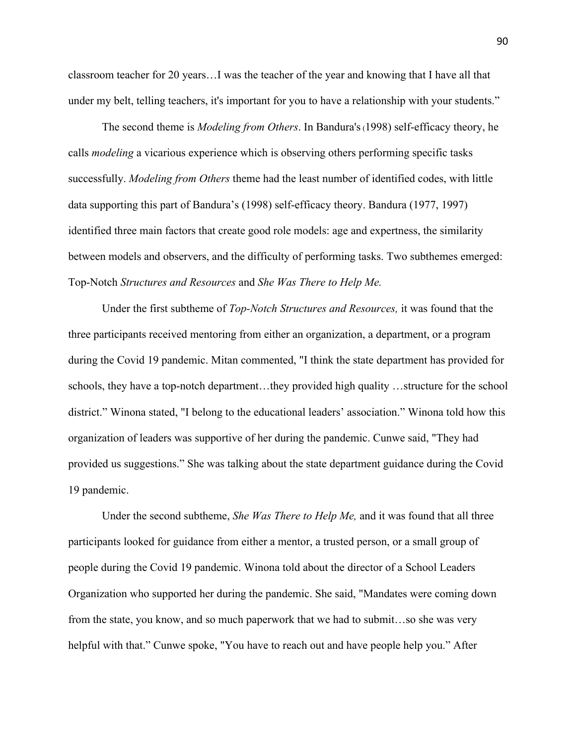classroom teacher for 20 years…I was the teacher of the year and knowing that I have all that under my belt, telling teachers, it's important for you to have a relationship with your students."

 successfully. *Modeling from Others* theme had the least number of identified codes, with little  Top-Notch *Structures and Resources* and *She Was There to Help Me.*  The second theme is *Modeling from Others*. In Bandura's(1998) self-efficacy theory, he calls *modeling* a vicarious experience which is observing others performing specific tasks data supporting this part of Bandura's (1998) self-efficacy theory. Bandura (1977, 1997) identified three main factors that create good role models: age and expertness, the similarity between models and observers, and the difficulty of performing tasks. Two subthemes emerged:

Under the first subtheme of *Top-Notch Structures and Resources,* it was found that the three participants received mentoring from either an organization, a department, or a program during the Covid 19 pandemic. Mitan commented, "I think the state department has provided for schools, they have a top-notch department…they provided high quality …structure for the school district." Winona stated, "I belong to the educational leaders' association." Winona told how this organization of leaders was supportive of her during the pandemic. Cunwe said, "They had provided us suggestions." She was talking about the state department guidance during the Covid 19 pandemic.

Under the second subtheme, *She Was There to Help Me,* and it was found that all three participants looked for guidance from either a mentor, a trusted person, or a small group of people during the Covid 19 pandemic. Winona told about the director of a School Leaders Organization who supported her during the pandemic. She said, "Mandates were coming down from the state, you know, and so much paperwork that we had to submit…so she was very helpful with that." Cunwe spoke, "You have to reach out and have people help you." After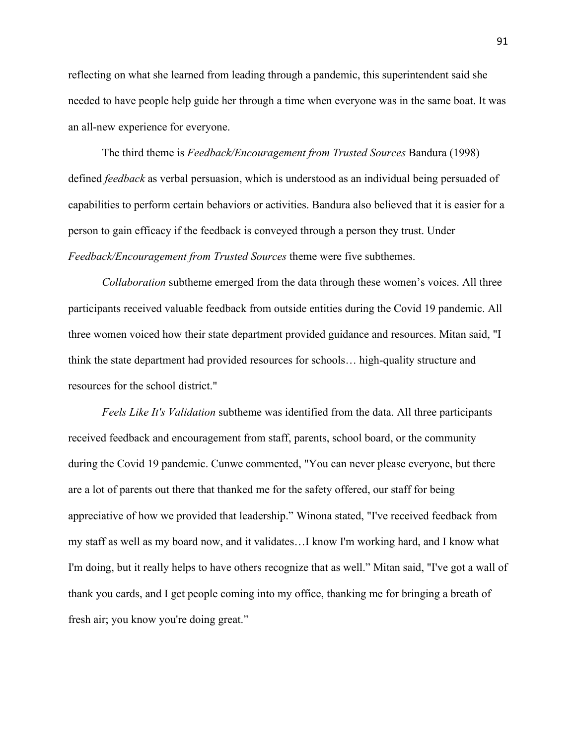an all-new experience for everyone. reflecting on what she learned from leading through a pandemic, this superintendent said she needed to have people help guide her through a time when everyone was in the same boat. It was

The third theme is *Feedback/Encouragement from Trusted Sources* Bandura (1998) defined *feedback* as verbal persuasion, which is understood as an individual being persuaded of capabilities to perform certain behaviors or activities. Bandura also believed that it is easier for a person to gain efficacy if the feedback is conveyed through a person they trust. Under *Feedback/Encouragement from Trusted Sources* theme were five subthemes.

*Collaboration* subtheme emerged from the data through these women's voices. All three participants received valuable feedback from outside entities during the Covid 19 pandemic. All three women voiced how their state department provided guidance and resources. Mitan said, "I think the state department had provided resources for schools… high-quality structure and resources for the school district."

 fresh air; you know you're doing great." *Feels Like It's Validation* subtheme was identified from the data. All three participants received feedback and encouragement from staff, parents, school board, or the community during the Covid 19 pandemic. Cunwe commented, "You can never please everyone, but there are a lot of parents out there that thanked me for the safety offered, our staff for being appreciative of how we provided that leadership." Winona stated, "I've received feedback from my staff as well as my board now, and it validates…I know I'm working hard, and I know what I'm doing, but it really helps to have others recognize that as well." Mitan said, "I've got a wall of thank you cards, and I get people coming into my office, thanking me for bringing a breath of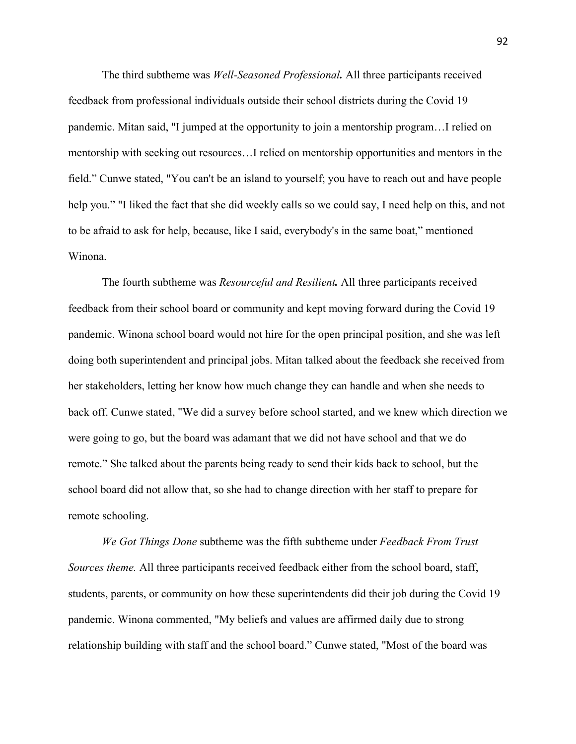The third subtheme was *Well-Seasoned Professional.* All three participants received feedback from professional individuals outside their school districts during the Covid 19 pandemic. Mitan said, "I jumped at the opportunity to join a mentorship program…I relied on mentorship with seeking out resources…I relied on mentorship opportunities and mentors in the field." Cunwe stated, "You can't be an island to yourself; you have to reach out and have people help you." "I liked the fact that she did weekly calls so we could say, I need help on this, and not to be afraid to ask for help, because, like I said, everybody's in the same boat," mentioned Winona.

The fourth subtheme was *Resourceful and Resilient.* All three participants received feedback from their school board or community and kept moving forward during the Covid 19 pandemic. Winona school board would not hire for the open principal position, and she was left doing both superintendent and principal jobs. Mitan talked about the feedback she received from her stakeholders, letting her know how much change they can handle and when she needs to back off. Cunwe stated, "We did a survey before school started, and we knew which direction we were going to go, but the board was adamant that we did not have school and that we do remote." She talked about the parents being ready to send their kids back to school, but the school board did not allow that, so she had to change direction with her staff to prepare for remote schooling.

*We Got Things Done* subtheme was the fifth subtheme under *Feedback From Trust Sources theme.* All three participants received feedback either from the school board, staff, students, parents, or community on how these superintendents did their job during the Covid 19 pandemic. Winona commented, "My beliefs and values are affirmed daily due to strong relationship building with staff and the school board." Cunwe stated, "Most of the board was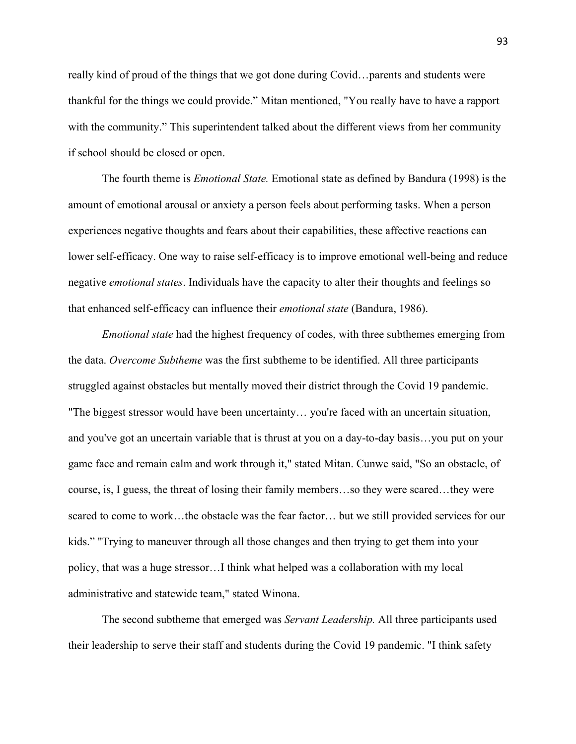really kind of proud of the things that we got done during Covid…parents and students were thankful for the things we could provide." Mitan mentioned, "You really have to have a rapport with the community." This superintendent talked about the different views from her community if school should be closed or open.

The fourth theme is *Emotional State.* Emotional state as defined by Bandura (1998) is the amount of emotional arousal or anxiety a person feels about performing tasks. When a person experiences negative thoughts and fears about their capabilities, these affective reactions can lower self-efficacy. One way to raise self-efficacy is to improve emotional well-being and reduce negative *emotional states*. Individuals have the capacity to alter their thoughts and feelings so that enhanced self-efficacy can influence their *emotional state* (Bandura, 1986).

 *Emotional state* had the highest frequency of codes, with three subthemes emerging from the data. *Overcome Subtheme* was the first subtheme to be identified. All three participants struggled against obstacles but mentally moved their district through the Covid 19 pandemic. "The biggest stressor would have been uncertainty… you're faced with an uncertain situation, and you've got an uncertain variable that is thrust at you on a day-to-day basis…you put on your game face and remain calm and work through it," stated Mitan. Cunwe said, "So an obstacle, of course, is, I guess, the threat of losing their family members…so they were scared…they were scared to come to work…the obstacle was the fear factor… but we still provided services for our kids." "Trying to maneuver through all those changes and then trying to get them into your policy, that was a huge stressor…I think what helped was a collaboration with my local administrative and statewide team," stated Winona.

 The second subtheme that emerged was *Servant Leadership.* All three participants used their leadership to serve their staff and students during the Covid 19 pandemic. "I think safety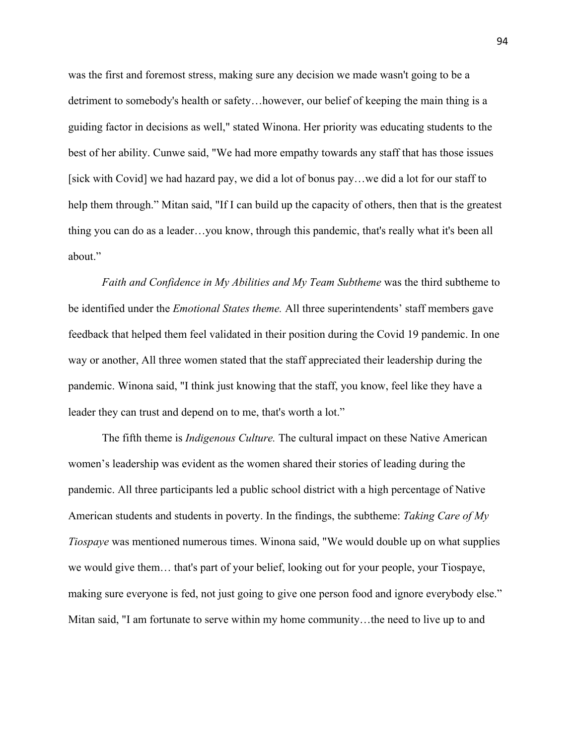was the first and foremost stress, making sure any decision we made wasn't going to be a detriment to somebody's health or safety…however, our belief of keeping the main thing is a guiding factor in decisions as well," stated Winona. Her priority was educating students to the best of her ability. Cunwe said, "We had more empathy towards any staff that has those issues [sick with Covid] we had hazard pay, we did a lot of bonus pay…we did a lot for our staff to help them through." Mitan said, "If I can build up the capacity of others, then that is the greatest thing you can do as a leader…you know, through this pandemic, that's really what it's been all about."

leader they can trust and depend on to me, that's worth a lot." *Faith and Confidence in My Abilities and My Team Subtheme* was the third subtheme to be identified under the *Emotional States theme.* All three superintendents' staff members gave feedback that helped them feel validated in their position during the Covid 19 pandemic. In one way or another, All three women stated that the staff appreciated their leadership during the pandemic. Winona said, "I think just knowing that the staff, you know, feel like they have a

The fifth theme is *Indigenous Culture*. The cultural impact on these Native American women's leadership was evident as the women shared their stories of leading during the pandemic. All three participants led a public school district with a high percentage of Native American students and students in poverty. In the findings, the subtheme: *Taking Care of My Tiospaye* was mentioned numerous times. Winona said, "We would double up on what supplies we would give them… that's part of your belief, looking out for your people, your Tiospaye, making sure everyone is fed, not just going to give one person food and ignore everybody else." Mitan said, "I am fortunate to serve within my home community…the need to live up to and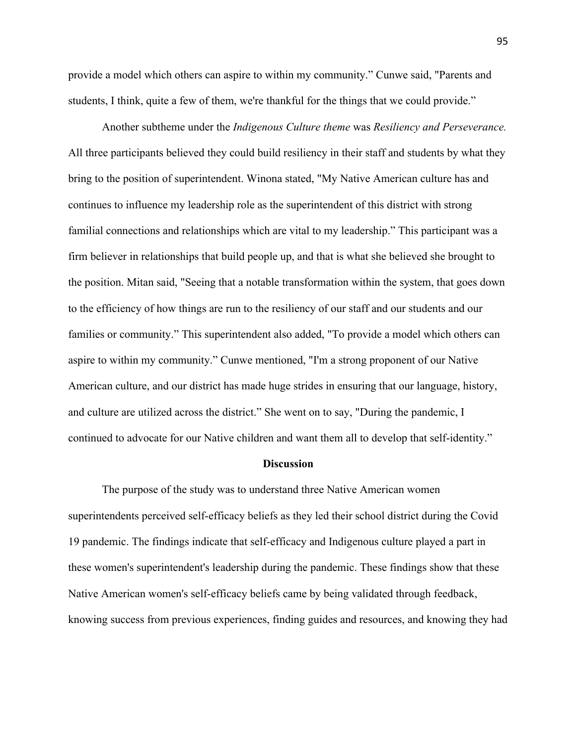students, I think, quite a few of them, we're thankful for the things that we could provide." provide a model which others can aspire to within my community." Cunwe said, "Parents and

Another subtheme under the *Indigenous Culture theme* was *Resiliency and Perseverance.* All three participants believed they could build resiliency in their staff and students by what they bring to the position of superintendent. Winona stated, "My Native American culture has and continues to influence my leadership role as the superintendent of this district with strong familial connections and relationships which are vital to my leadership." This participant was a firm believer in relationships that build people up, and that is what she believed she brought to the position. Mitan said, "Seeing that a notable transformation within the system, that goes down to the efficiency of how things are run to the resiliency of our staff and our students and our families or community." This superintendent also added, "To provide a model which others can aspire to within my community." Cunwe mentioned, "I'm a strong proponent of our Native American culture, and our district has made huge strides in ensuring that our language, history, and culture are utilized across the district." She went on to say, "During the pandemic, I continued to advocate for our Native children and want them all to develop that self-identity."

### **Discussion**

The purpose of the study was to understand three Native American women superintendents perceived self-efficacy beliefs as they led their school district during the Covid 19 pandemic. The findings indicate that self-efficacy and Indigenous culture played a part in these women's superintendent's leadership during the pandemic. These findings show that these Native American women's self-efficacy beliefs came by being validated through feedback, knowing success from previous experiences, finding guides and resources, and knowing they had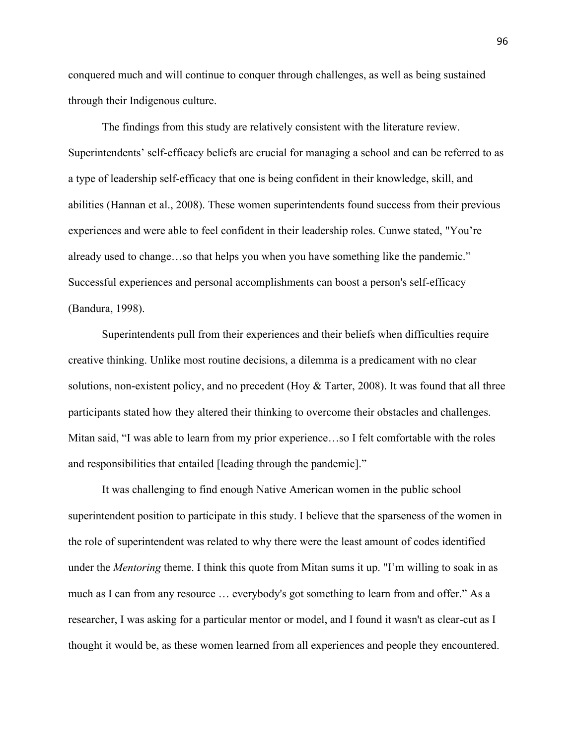conquered much and will continue to conquer through challenges, as well as being sustained through their Indigenous culture.

The findings from this study are relatively consistent with the literature review. Superintendents' self-efficacy beliefs are crucial for managing a school and can be referred to as a type of leadership self-efficacy that one is being confident in their knowledge, skill, and abilities (Hannan et al., 2008). These women superintendents found success from their previous experiences and were able to feel confident in their leadership roles. Cunwe stated, "You're already used to change…so that helps you when you have something like the pandemic." Successful experiences and personal accomplishments can boost a person's self-efficacy (Bandura, 1998).

 participants stated how they altered their thinking to overcome their obstacles and challenges. and responsibilities that entailed [leading through the pandemic]." Superintendents pull from their experiences and their beliefs when difficulties require creative thinking. Unlike most routine decisions, a dilemma is a predicament with no clear solutions, non-existent policy, and no precedent (Hoy & Tarter, 2008). It was found that all three Mitan said, "I was able to learn from my prior experience…so I felt comfortable with the roles

It was challenging to find enough Native American women in the public school superintendent position to participate in this study. I believe that the sparseness of the women in the role of superintendent was related to why there were the least amount of codes identified under the *Mentoring* theme. I think this quote from Mitan sums it up. "I'm willing to soak in as much as I can from any resource … everybody's got something to learn from and offer." As a researcher, I was asking for a particular mentor or model, and I found it wasn't as clear-cut as I thought it would be, as these women learned from all experiences and people they encountered.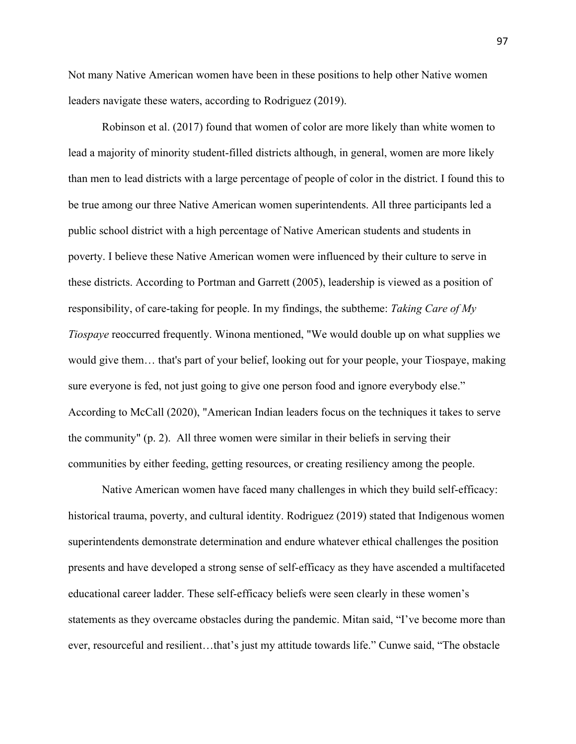Not many Native American women have been in these positions to help other Native women leaders navigate these waters, according to Rodriguez (2019).

 responsibility, of care-taking for people. In my findings, the subtheme: *Taking Care of My*  the community" (p. 2). All three women were similar in their beliefs in serving their Robinson et al. (2017) found that women of color are more likely than white women to lead a majority of minority student-filled districts although, in general, women are more likely than men to lead districts with a large percentage of people of color in the district. I found this to be true among our three Native American women superintendents. All three participants led a public school district with a high percentage of Native American students and students in poverty. I believe these Native American women were influenced by their culture to serve in these districts. According to Portman and Garrett (2005), leadership is viewed as a position of *Tiospaye* reoccurred frequently. Winona mentioned, "We would double up on what supplies we would give them… that's part of your belief, looking out for your people, your Tiospaye, making sure everyone is fed, not just going to give one person food and ignore everybody else." According to McCall (2020), "American Indian leaders focus on the techniques it takes to serve communities by either feeding, getting resources, or creating resiliency among the people.

 historical trauma, poverty, and cultural identity. Rodriguez (2019) stated that Indigenous women Native American women have faced many challenges in which they build self-efficacy: superintendents demonstrate determination and endure whatever ethical challenges the position presents and have developed a strong sense of self-efficacy as they have ascended a multifaceted educational career ladder. These self-efficacy beliefs were seen clearly in these women's statements as they overcame obstacles during the pandemic. Mitan said, "I've become more than ever, resourceful and resilient…that's just my attitude towards life." Cunwe said, "The obstacle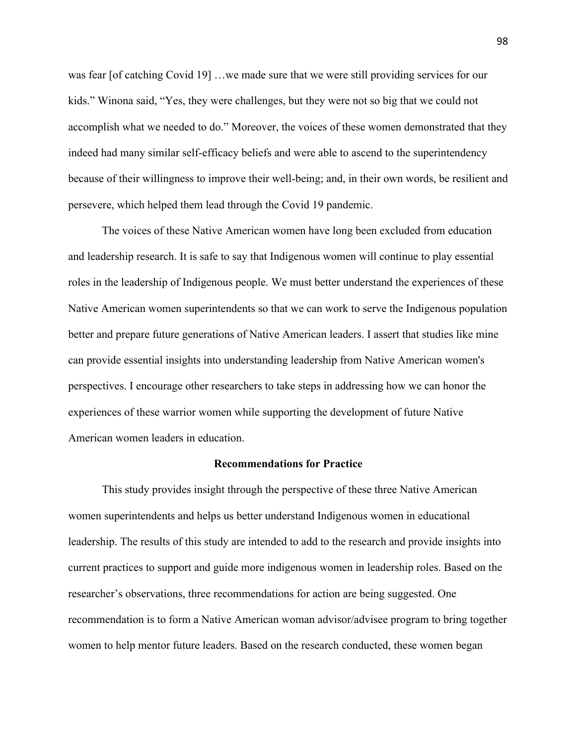was fear [of catching Covid 19] …we made sure that we were still providing services for our kids." Winona said, "Yes, they were challenges, but they were not so big that we could not accomplish what we needed to do." Moreover, the voices of these women demonstrated that they indeed had many similar self-efficacy beliefs and were able to ascend to the superintendency because of their willingness to improve their well-being; and, in their own words, be resilient and persevere, which helped them lead through the Covid 19 pandemic.

The voices of these Native American women have long been excluded from education and leadership research. It is safe to say that Indigenous women will continue to play essential roles in the leadership of Indigenous people. We must better understand the experiences of these Native American women superintendents so that we can work to serve the Indigenous population better and prepare future generations of Native American leaders. I assert that studies like mine can provide essential insights into understanding leadership from Native American women's perspectives. I encourage other researchers to take steps in addressing how we can honor the experiences of these warrior women while supporting the development of future Native American women leaders in education.

#### **Recommendations for Practice**

This study provides insight through the perspective of these three Native American women superintendents and helps us better understand Indigenous women in educational leadership. The results of this study are intended to add to the research and provide insights into current practices to support and guide more indigenous women in leadership roles. Based on the researcher's observations, three recommendations for action are being suggested. One recommendation is to form a Native American woman advisor/advisee program to bring together women to help mentor future leaders. Based on the research conducted, these women began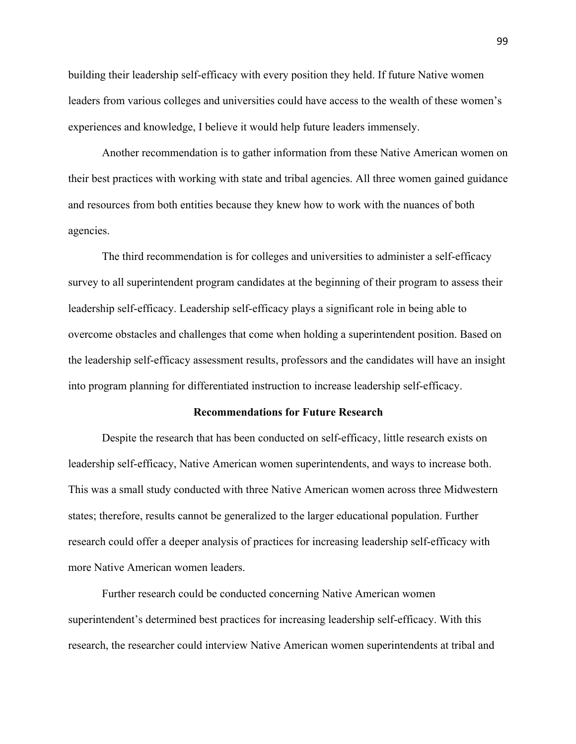building their leadership self-efficacy with every position they held. If future Native women leaders from various colleges and universities could have access to the wealth of these women's experiences and knowledge, I believe it would help future leaders immensely.

 Another recommendation is to gather information from these Native American women on their best practices with working with state and tribal agencies. All three women gained guidance and resources from both entities because they knew how to work with the nuances of both agencies.

 survey to all superintendent program candidates at the beginning of their program to assess their leadership self-efficacy. Leadership self-efficacy plays a significant role in being able to The third recommendation is for colleges and universities to administer a self-efficacy overcome obstacles and challenges that come when holding a superintendent position. Based on the leadership self-efficacy assessment results, professors and the candidates will have an insight into program planning for differentiated instruction to increase leadership self-efficacy.

#### **Recommendations for Future Research**

Despite the research that has been conducted on self-efficacy, little research exists on leadership self-efficacy, Native American women superintendents, and ways to increase both. This was a small study conducted with three Native American women across three Midwestern states; therefore, results cannot be generalized to the larger educational population. Further research could offer a deeper analysis of practices for increasing leadership self-efficacy with more Native American women leaders.

Further research could be conducted concerning Native American women superintendent's determined best practices for increasing leadership self-efficacy. With this research, the researcher could interview Native American women superintendents at tribal and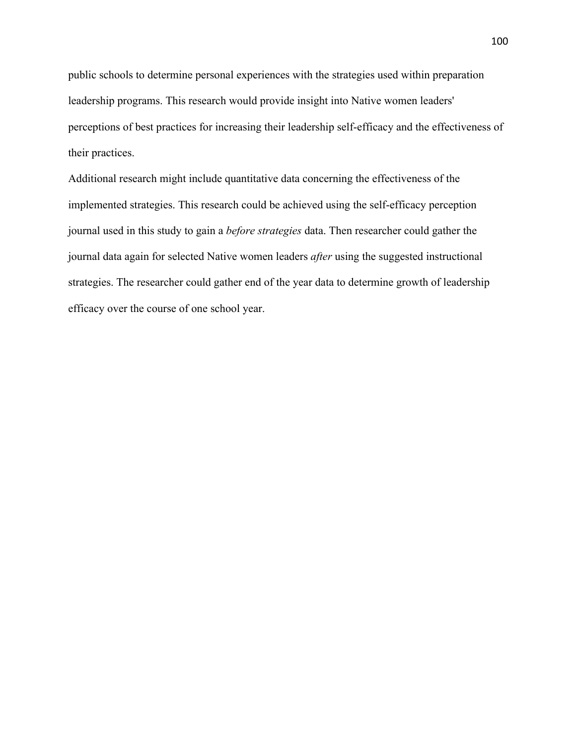public schools to determine personal experiences with the strategies used within preparation leadership programs. This research would provide insight into Native women leaders' perceptions of best practices for increasing their leadership self-efficacy and the effectiveness of their practices.

 journal data again for selected Native women leaders *after* using the suggested instructional Additional research might include quantitative data concerning the effectiveness of the implemented strategies. This research could be achieved using the self-efficacy perception journal used in this study to gain a *before strategies* data. Then researcher could gather the strategies. The researcher could gather end of the year data to determine growth of leadership efficacy over the course of one school year.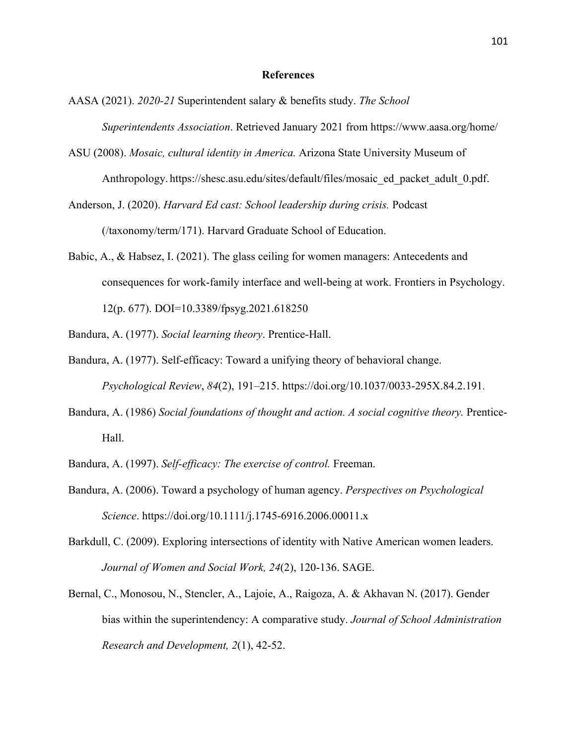#### **References**

- *Superintendents Association*. Retrieved January 2021 from https://www.aasa.org/home/ AASA (2021). *2020-21* Superintendent salary & benefits study. *The School*
- ASU (2008). *Mosaic, cultural identity in America.* Arizona State University Museum of Anthropology. https://shesc.asu.edu/sites/default/files/mosaic\_ed\_packet\_adult\_0.pdf.
- Anderson, J. (2020). *Harvard Ed cast: School leadership during crisis.* Podcast (/taxonomy/term/171). Harvard Graduate School of Education.
- Babic, A., & Habsez, I. (2021). The glass ceiling for women managers: Antecedents and consequences for work-family interface and well-being at work. Frontiers in Psychology. 12(p. 677). DOI=10.3389/fpsyg.2021.618250
- Bandura, A. (1977). *Social learning theory*. Prentice-Hall.
- Bandura, A. (1977). Self-efficacy: Toward a unifying theory of behavioral change. *Psychological Review*, *84*(2), 191–215. https://doi.org/10.1037/0033-295X.84.2.191.
- Bandura, A. (1986) *Social foundations of thought and action. A social cognitive theory.* Prentice-Hall.
- Bandura, A. (1997). *Self-efficacy: The exercise of control.* Freeman.
- Bandura, A. (2006). Toward a psychology of human agency. *Perspectives on Psychological Science*. https://doi.org/10.1111/j.1745-6916.2006.00011.x
- Barkdull, C. (2009). Exploring intersections of identity with Native American women leaders. *Journal of Women and Social Work, 24*(2), 120-136. SAGE.
- Bernal, C., Monosou, N., Stencler, A., Lajoie, A., Raigoza, A. & Akhavan N. (2017). Gender bias within the superintendency: A comparative study. *Journal of School Administration Research and Development, 2*(1), 42-52.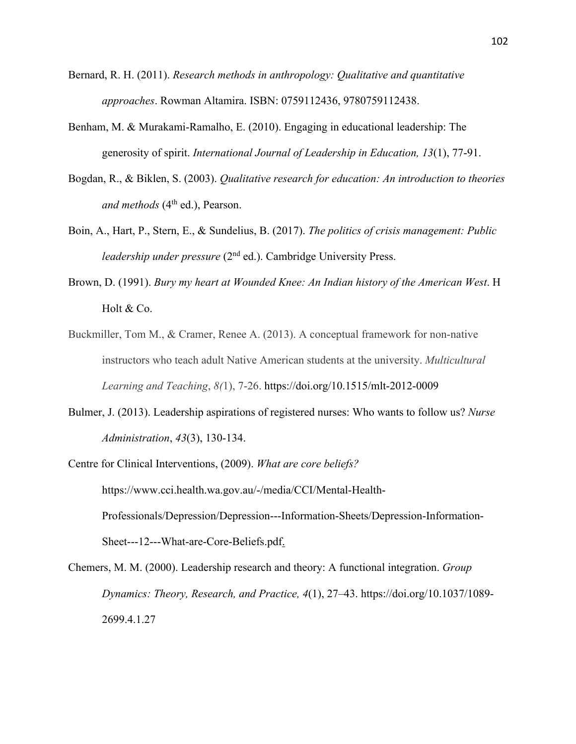- Bernard, R. H. (2011). *Research methods in anthropology: Qualitative and quantitative approaches*. Rowman Altamira. ISBN: 0759112436, 9780759112438.
- Benham, M. & Murakami-Ramalho, E. (2010). Engaging in educational leadership: The generosity of spirit. *International Journal of Leadership in Education, 13*(1), 77-91.
- *and methods* (4th ed.), Pearson. Bogdan, R., & Biklen, S. (2003). *Qualitative research for education: An introduction to theories*
- Boin, A., Hart, P., Stern, E., & Sundelius, B. (2017). *The politics of crisis management: Public leadership under pressure* (2<sup>nd</sup> ed.). Cambridge University Press.
- Brown, D. (1991). *Bury my heart at Wounded Knee: An Indian history of the American West*. H Holt & Co.
- Buckmiller, Tom M., & Cramer, Renee A. (2013). A conceptual framework for non-native instructors who teach adult Native American students at the university. *Multicultural Learning and Teaching*, *8(*1), 7-26. https://doi.org/10.1515/mlt-2012-0009
- Bulmer, J. (2013). Leadership aspirations of registered nurses: Who wants to follow us? *Nurse Administration*, *43*(3), 130-134.
- Centre for Clinical Interventions, (2009). *What are core beliefs?*  https://www.cci.health.wa.gov.au/-/media/CCI/Mental-Health-Professionals/Depression/Depression---Information-Sheets/Depression-Information-Sheet---12---What-are-Core-Beliefs.pdf.

Chemers, M. M. (2000). Leadership research and theory: A functional integration. *Group Dynamics: Theory, Research, and Practice, 4*(1), 27–43. https://doi.org/10.1037/1089- 2699.4.1.27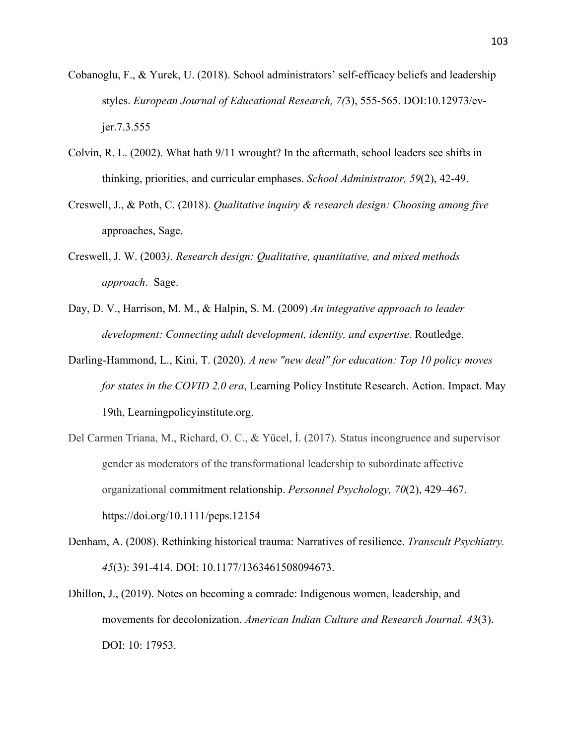- Cobanoglu, F., & Yurek, U. (2018). School administrators' self-efficacy beliefs and leadership styles. *European Journal of Educational Research, 7(*3), 555-565. DOI:10.12973/evjer.7.3.555
- Colvin, R. L. (2002). What hath 9/11 wrought? In the aftermath, school leaders see shifts in thinking, priorities, and curricular emphases. *School Administrator, 59*(2), 42-49.
- Creswell, J., & Poth, C. (2018). *Qualitative inquiry & research design: Choosing among five*  approaches, Sage.
- Creswell, J. W. (2003*). Research design: Qualitative, quantitative, and mixed methods approach*. Sage.
- *development: Connecting adult development, identity, and expertise.* Routledge. Day, D. V., Harrison, M. M., & Halpin, S. M. (2009) *An integrative approach to leader*
- Darling-Hammond, L., Kini, T. (2020). *A new "new deal" for education: Top 10 policy moves for states in the COVID 2.0 era*, Learning Policy Institute Research. Action. Impact. May 19th, Learningpolicyinstitute.org.
- Del Carmen Triana, M., Richard, O. C., & Yücel, İ. (2017). Status incongruence and supervisor gender as moderators of the transformational leadership to subordinate affective organizational commitment relationship. *Personnel Psychology, 70*(2), 429–467. https://doi.org/10.1111/peps.12154
- Denham, A. (2008). Rethinking historical trauma: Narratives of resilience. *Transcult Psychiatry. 45*(3): 391-414. DOI: 10.1177/1363461508094673.
- Dhillon, J., (2019). Notes on becoming a comrade: Indigenous women, leadership, and movements for decolonization. *American Indian Culture and Research Journal. 43*(3). DOI: 10: 17953.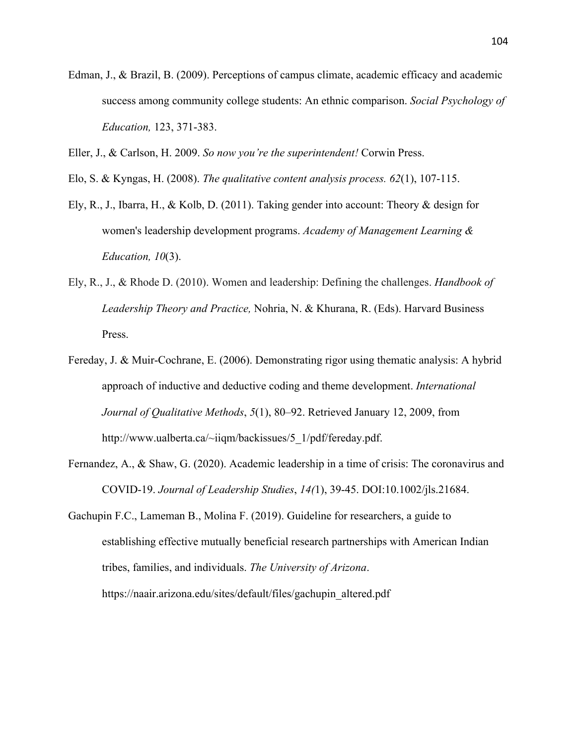- *Education,* 123, 371-383. Edman, J., & Brazil, B. (2009). Perceptions of campus climate, academic efficacy and academic success among community college students: An ethnic comparison. *Social Psychology of*
- Eller, J., & Carlson, H. 2009. *So now you're the superintendent!* Corwin Press.
- Elo, S. & Kyngas, H. (2008). *The qualitative content analysis process. 62*(1), 107-115.
- Ely, R., J., Ibarra, H., & Kolb, D. (2011). Taking gender into account: Theory & design for women's leadership development programs. *Academy of Management Learning & Education, 10*(3).
- Ely, R., J., & Rhode D. (2010). Women and leadership: Defining the challenges. *Handbook of Leadership Theory and Practice,* Nohria, N. & Khurana, R. (Eds). Harvard Business Press.
- Fereday, J. & Muir-Cochrane, E. (2006). Demonstrating rigor using thematic analysis: A hybrid approach of inductive and deductive coding and theme development. *International Journal of Qualitative Methods*, *5*(1), 80–92. Retrieved January 12, 2009, from http://www.ualberta.ca/~iiqm/backissues/5\_1/pdf/fereday.pdf.
- Fernandez, A., & Shaw, G. (2020). Academic leadership in a time of crisis: The coronavirus and COVID-19. *Journal of Leadership Studies*, *14(*1), 39-45. DOI:10.1002/jls.21684.
- Gachupin F.C., Lameman B., Molina F. (2019). Guideline for researchers, a guide to establishing effective mutually beneficial research partnerships with American Indian tribes, families, and individuals. *The University of Arizona*. https://naair.arizona.edu/sites/default/files/gachupin\_altered.pdf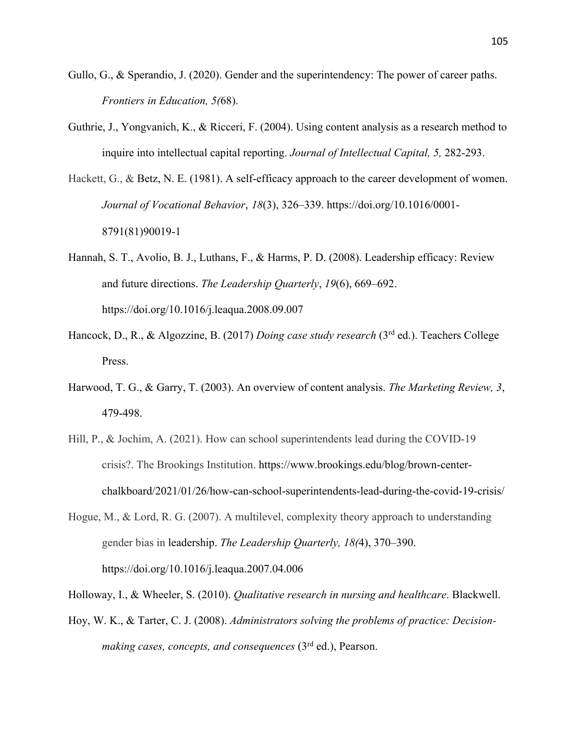- Gullo, G., & Sperandio, J. (2020). Gender and the superintendency: The power of career paths. *Frontiers in Education, 5(*68).
- inquire into intellectual capital reporting. *Journal of Intellectual Capital, 5,* 282-293. Guthrie, J., Yongvanich, K., & Ricceri, F. (2004). Using content analysis as a research method to
- Hackett, G., & Betz, N. E. (1981). A self-efficacy approach to the career development of women. *Journal of Vocational Behavior*, *18*(3), 326–339. https://doi.org/10.1016/0001- 8791(81)90019-1
- Hannah, S. T., Avolio, B. J., Luthans, F., & Harms, P. D. (2008). Leadership efficacy: Review and future directions. *The Leadership Quarterly*, *19*(6), 669–692. https://doi.org/10.1016/j.leaqua.2008.09.007
- Hancock, D., R., & Algozzine, B. (2017) *Doing case study research* (3rd ed.). Teachers College Press.
- Harwood, T. G., & Garry, T. (2003). An overview of content analysis. *The Marketing Review, 3*, 479-498.
- Hill, P., & Jochim, A. (2021). How can school superintendents lead during the COVID-19 crisis?. The Brookings Institution. https://www.brookings.edu/blog/brown-centerchalkboard/2021/01/26/how-can-school-superintendents-lead-during-the-covid-19-crisis/
- Hogue, M., & Lord, R. G. (2007). A multilevel, complexity theory approach to understanding gender bias in leadership. *The Leadership Quarterly, 18(*4), 370–390. https://doi.org/10.1016/j.leaqua.2007.04.006

Holloway, I., & Wheeler, S. (2010). *Qualitative research in nursing and healthcare*. Blackwell.

 *making cases, concepts, and consequences* (3rd ed.), Pearson. Hoy, W. K., & Tarter, C. J. (2008). *Administrators solving the problems of practice: Decision-*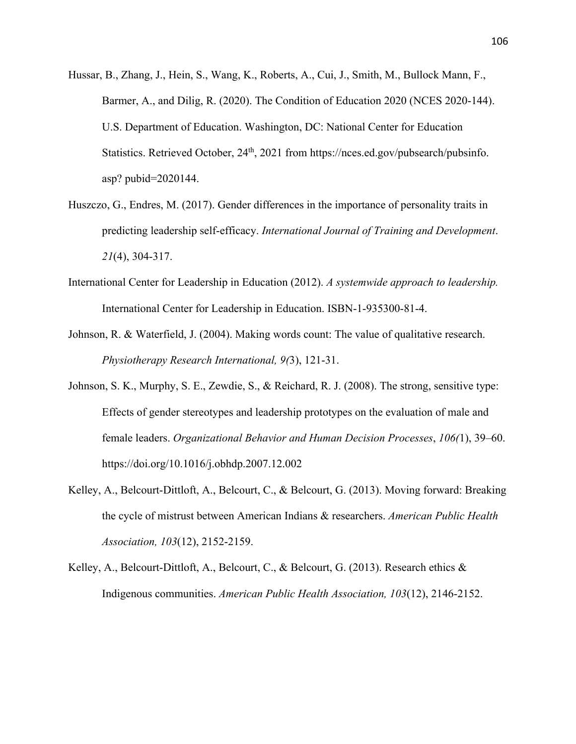- Hussar, B., Zhang, J., Hein, S., Wang, K., Roberts, A., Cui, J., Smith, M., Bullock Mann, F., Barmer, A., and Dilig, R. (2020). The Condition of Education 2020 (NCES 2020-144). U.S. Department of Education. Washington, DC: National Center for Education Statistics. Retrieved October, 24<sup>th</sup>, 2021 from https://nces.ed.gov/pubsearch/pubsinfo. asp? pubid=2020144.
- Huszczo, G., Endres, M. (2017). Gender differences in the importance of personality traits in predicting leadership self-efficacy. *International Journal of Training and Development*. *21*(4), 304-317.
- International Center for Leadership in Education (2012). *A systemwide approach to leadership.*  International Center for Leadership in Education. ISBN-1-935300-81-4.
- Johnson, R. & Waterfield, J. (2004). Making words count: The value of qualitative research. *Physiotherapy Research International, 9(*3), 121-31.
- Johnson, S. K., Murphy, S. E., Zewdie, S., & Reichard, R. J. (2008). The strong, sensitive type: Effects of gender stereotypes and leadership prototypes on the evaluation of male and female leaders. *Organizational Behavior and Human Decision Processes*, *106(*1), 39–60. https://doi.org/10.1016/j.obhdp.2007.12.002
- Kelley, A., Belcourt-Dittloft, A., Belcourt, C., & Belcourt, G. (2013). Moving forward: Breaking the cycle of mistrust between American Indians & researchers. *American Public Health Association, 103*(12), 2152-2159.
- Kelley, A., Belcourt-Dittloft, A., Belcourt, C., & Belcourt, G. (2013). Research ethics & Indigenous communities. *American Public Health Association, 103*(12), 2146-2152.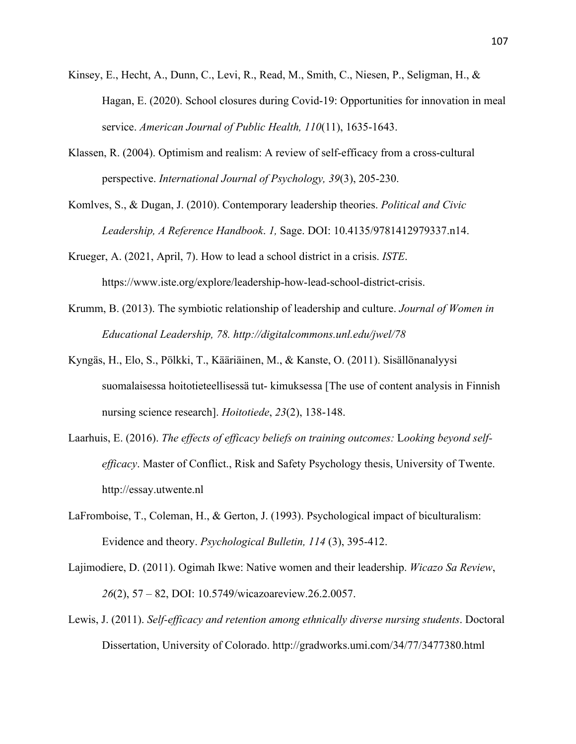- Kinsey, E., Hecht, A., Dunn, C., Levi, R., Read, M., Smith, C., Niesen, P., Seligman, H., & Hagan, E. (2020). School closures during Covid-19: Opportunities for innovation in meal service. *American Journal of Public Health, 110*(11), 1635-1643.
- Klassen, R. (2004). Optimism and realism: A review of self-efficacy from a cross-cultural perspective. *International Journal of Psychology, 39*(3), 205-230.
- *Leadership, A Reference Handbook*. *1,* Sage. DOI: 10.4135/9781412979337.n14. Komlves, S., & Dugan, J. (2010). Contemporary leadership theories. *Political and Civic*
- Krueger, A. (2021, April, 7). How to lead a school district in a crisis. *ISTE*. https://www.iste.org/explore/leadership-how-lead-school-district-crisis.
- *Educational Leadership, 78. http://digitalcommons.unl.edu/jwel/78*  Krumm, B. (2013). The symbiotic relationship of leadership and culture. *Journal of Women in*
- Kyngäs, H., Elo, S., Pölkki, T., Kääriäinen, M., & Kanste, O. (2011). Sisällönanalyysi suomalaisessa hoitotieteellisessä tut- kimuksessa [The use of content analysis in Finnish nursing science research]. *Hoitotiede*, *23*(2), 138-148.
- Laarhuis, E. (2016). *The effects of efficacy beliefs on training outcomes:* L*ooking beyond selfefficacy*. Master of Conflict., Risk and Safety Psychology thesis, University of Twente. http://essay.utwente.nl
- Evidence and theory. *Psychological Bulletin, 114* (3), 395-412. LaFromboise, T., Coleman, H., & Gerton, J. (1993). Psychological impact of biculturalism:
- *26*(2), 57 82, DOI: 10.5749/wicazoareview.26.2.0057. Lajimodiere, D. (2011). Ogimah Ikwe: Native women and their leadership. *Wicazo Sa Review*,
- Lewis, J. (2011). *Self-efficacy and retention among ethnically diverse nursing students*. Doctoral Dissertation, University of Colorado. http://gradworks.umi.com/34/77/3477380.html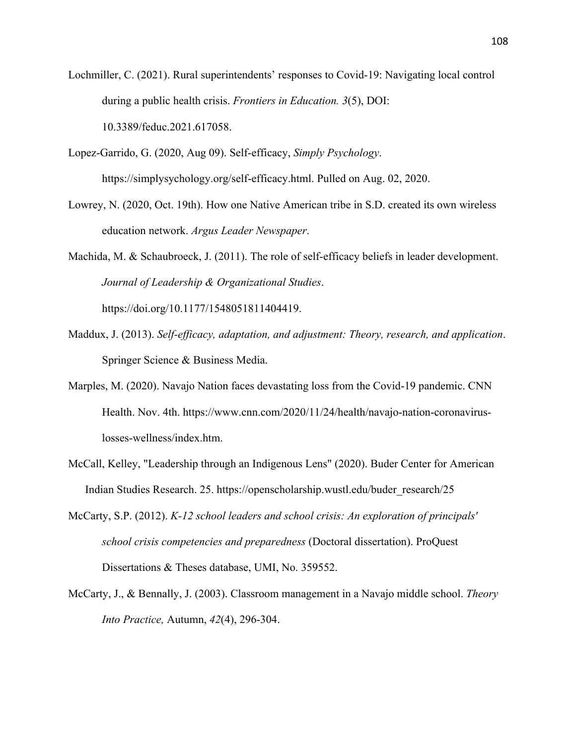during a public health crisis. *Frontiers in Education. 3*(5), DOI: Lochmiller, C. (2021). Rural superintendents' responses to Covid-19: Navigating local control 10.3389/feduc.2021.617058.

Lopez-Garrido, G. (2020, Aug 09). Self-efficacy, *Simply Psychology*. https://simplysychology.org/self-efficacy.html. Pulled on Aug. 02, 2020.

Lowrey, N. (2020, Oct. 19th). How one Native American tribe in S.D. created its own wireless education network. *Argus Leader Newspaper*.

Machida, M. & Schaubroeck, J. (2011). The role of self-efficacy beliefs in leader development. *Journal of Leadership & Organizational Studies*.

https://doi.org/10.1177/1548051811404419.

- Maddux, J. (2013). *Self-efficacy, adaptation, and adjustment: Theory, research, and application*. Springer Science & Business Media.
- Marples, M. (2020). Navajo Nation faces devastating loss from the Covid-19 pandemic. CNN Health. Nov. 4th. https://www.cnn.com/2020/11/24/health/navajo-nation-coronaviruslosses-wellness/index.htm.
- McCall, Kelley, "Leadership through an Indigenous Lens" (2020). Buder Center for American Indian Studies Research. 25. https://openscholarship.wustl.edu/buder\_research/25
- Dissertations & Theses database, UMI, No. 359552. McCarty, S.P. (2012). *K-12 school leaders and school crisis: An exploration of principals' school crisis competencies and preparedness* (Doctoral dissertation). ProQuest
- McCarty, J., & Bennally, J. (2003). Classroom management in a Navajo middle school. *Theory Into Practice,* Autumn, *42*(4), 296-304.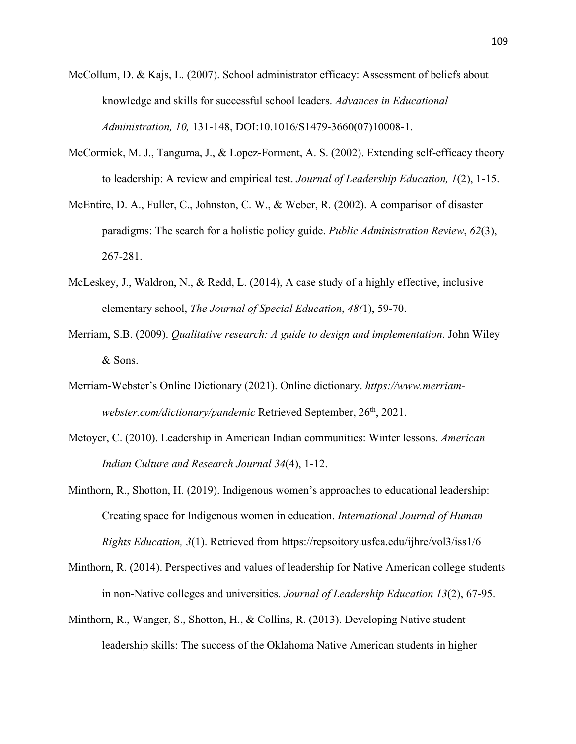- *Administration, 10,* 131-148, DOI:10.1016/S1479-3660(07)10008-1. McCollum, D. & Kajs, L. (2007). School administrator efficacy: Assessment of beliefs about knowledge and skills for successful school leaders. *Advances in Educational*
- McCormick, M. J., Tanguma, J., & Lopez-Forment, A. S. (2002). Extending self-efficacy theory to leadership: A review and empirical test. *Journal of Leadership Education, 1*(2), 1-15.
- McEntire, D. A., Fuller, C., Johnston, C. W., & Weber, R. (2002). A comparison of disaster paradigms: The search for a holistic policy guide. *Public Administration Review*, *62*(3), 267-281.
- McLeskey, J., Waldron, N., & Redd, L. (2014), A case study of a highly effective, inclusive elementary school, *The Journal of Special Education*, *48(*1), 59-70.
- Merriam, S.B. (2009). *Qualitative research: A guide to design and implementation*. John Wiley & Sons.
- *webster.com/dictionary/pandemic* Retrieved September, 26<sup>th</sup>, 2021. Merriam-Webster's Online Dictionary (2021). Online dictionary. *https://www.merriam-*
- Metoyer, C. (2010). Leadership in American Indian communities: Winter lessons. *American Indian Culture and Research Journal 34*(4), 1-12.
- Minthorn, R., Shotton, H. (2019). Indigenous women's approaches to educational leadership: Creating space for Indigenous women in education. *International Journal of Human Rights Education, 3*(1). Retrieved from https://repsoitory.usfca.edu/ijhre/vol3/iss1/6
- Minthorn, R. (2014). Perspectives and values of leadership for Native American college students in non-Native colleges and universities. *Journal of Leadership Education 13*(2), 67-95.
- Minthorn, R., Wanger, S., Shotton, H., & Collins, R. (2013). Developing Native student leadership skills: The success of the Oklahoma Native American students in higher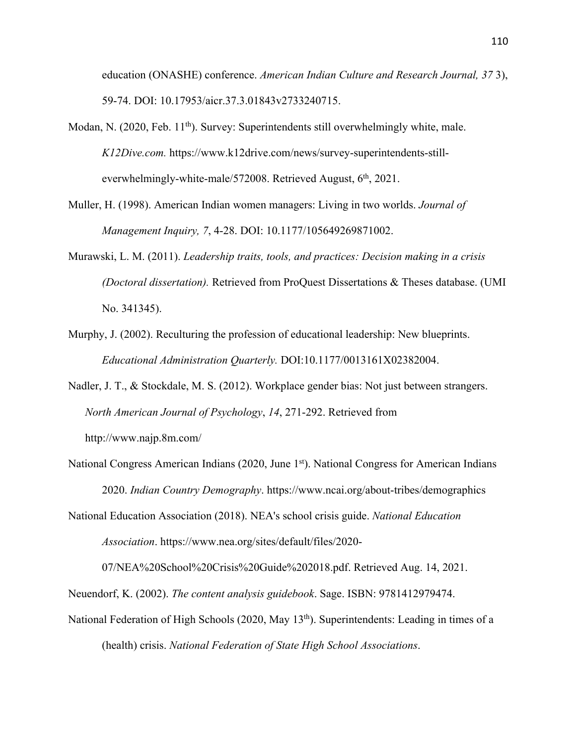education (ONASHE) conference. *American Indian Culture and Research Journal, 37* 3), 59-74. DOI: 10.17953/aicr.37.3.01843v2733240715.

- Modan, N. (2020, Feb. 11<sup>th</sup>). Survey: Superintendents still overwhelmingly white, male. *K12Dive.com.* https://www.k12drive.com/news/survey-superintendents-stilleverwhelmingly-white-male/572008. Retrieved August,  $6<sup>th</sup>$ , 2021.
- Muller, H. (1998). American Indian women managers: Living in two worlds. *Journal of Management Inquiry, 7*, 4-28. DOI: 10.1177/105649269871002.
- Murawski, L. M. (2011). *Leadership traits, tools, and practices: Decision making in a crisis (Doctoral dissertation).* Retrieved from ProQuest Dissertations & Theses database. (UMI No. 341345).
- Murphy, J. (2002). Reculturing the profession of educational leadership: New blueprints. *Educational Administration Quarterly.* DOI:10.1177/0013161X02382004.
- http://www.najp.8m.com/ Nadler, J. T., & Stockdale, M. S. (2012). Workplace gender bias: Not just between strangers. *North American Journal of Psychology*, *14*, 271-292. Retrieved from
- National Congress American Indians (2020, June 1st). National Congress for American Indians 2020. *Indian Country Demography*. https://www.ncai.org/about-tribes/demographics

National Education Association (2018). NEA's school crisis guide. *National Education Association*. https://www.nea.org/sites/default/files/2020-

07/NEA%20School%20Crisis%20Guide%202018.pdf. Retrieved Aug. 14, 2021.

Neuendorf, K. (2002). *The content analysis guidebook*. Sage. ISBN: 9781412979474.

National Federation of High Schools (2020, May 13<sup>th</sup>). Superintendents: Leading in times of a (health) crisis. *National Federation of State High School Associations*.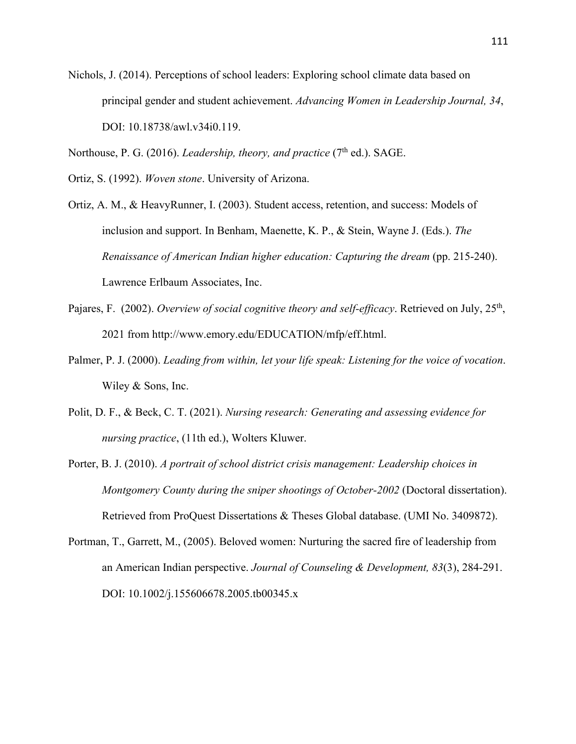Nichols, J. (2014). Perceptions of school leaders: Exploring school climate data based on principal gender and student achievement. *Advancing Women in Leadership Journal, 34*, DOI: 10.18738/awl.v34i0.119.

Northouse, P. G. (2016). *Leadership, theory, and practice* (7<sup>th</sup> ed.). SAGE.

Ortiz, S. (1992). *Woven stone*. University of Arizona.

 *Renaissance of American Indian higher education: Capturing the dream* (pp. 215-240). Ortiz, A. M., & HeavyRunner, I. (2003). Student access, retention, and success: Models of inclusion and support. In Benham, Maenette, K. P., & Stein, Wayne J. (Eds.). *The*  Lawrence Erlbaum Associates, Inc.

- Pajares, F. (2002). *Overview of social cognitive theory and self-efficacy*. Retrieved on July, 25th, 2021 from http://www.emory.edu/EDUCATION/mfp/eff.html.
- Palmer, P. J. (2000). *Leading from within, let your life speak: Listening for the voice of vocation*. Wiley & Sons, Inc.
- Polit, D. F., & Beck, C. T. (2021). *Nursing research: Generating and assessing evidence for nursing practice*, (11th ed.), Wolters Kluwer.
- Porter, B. J. (2010). *A portrait of school district crisis management: Leadership choices in Montgomery County during the sniper shootings of October-2002* (Doctoral dissertation). Retrieved from ProQuest Dissertations & Theses Global database. (UMI No. 3409872).
- Portman, T., Garrett, M., (2005). Beloved women: Nurturing the sacred fire of leadership from an American Indian perspective. *Journal of Counseling & Development, 83*(3), 284-291. DOI: 10.1002/j.155606678.2005.tb00345.x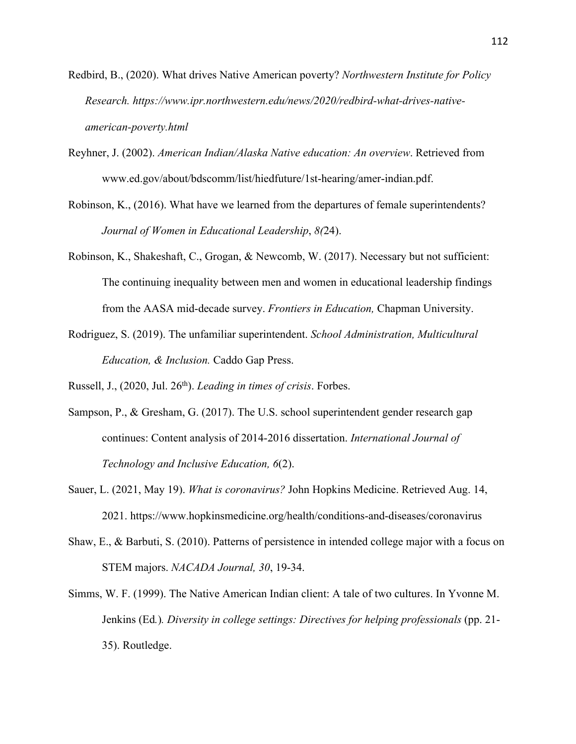- Redbird, B., (2020). What drives Native American poverty? *Northwestern Institute for Policy Research. https://www.ipr.northwestern.edu/news/2020/redbird-what-drives-nativeamerican-poverty.html*
- Reyhner, J. (2002). *American Indian/Alaska Native education: An overview*. Retrieved from www.ed.gov/about/bdscomm/list/hiedfuture/1st-hearing/amer-indian.pdf.
- Robinson, K., (2016). What have we learned from the departures of female superintendents? *Journal of Women in Educational Leadership*, *8(*24).
- Robinson, K., Shakeshaft, C., Grogan, & Newcomb, W. (2017). Necessary but not sufficient: The continuing inequality between men and women in educational leadership findings from the AASA mid-decade survey. *Frontiers in Education,* Chapman University.
- Rodriguez, S. (2019). The unfamiliar superintendent. *School Administration, Multicultural Education, & Inclusion.* Caddo Gap Press.

Russell, J., (2020, Jul. 26th). *Leading in times of crisis*. Forbes.

- Sampson, P., & Gresham, G. (2017). The U.S. school superintendent gender research gap continues: Content analysis of 2014-2016 dissertation. *International Journal of Technology and Inclusive Education, 6*(2).
- Sauer, L. (2021, May 19). *What is coronavirus?* John Hopkins Medicine. Retrieved Aug. 14, 2021. https://www.hopkinsmedicine.org/health/conditions-and-diseases/coronavirus
- STEM majors. *NACADA Journal, 30*, 19-34. Shaw, E., & Barbuti, S. (2010). Patterns of persistence in intended college major with a focus on
- Simms, W. F. (1999). The Native American Indian client: A tale of two cultures. In Yvonne M. Jenkins (Ed*.*)*. Diversity in college settings: Directives for helping professionals* (pp. 21- 35). Routledge.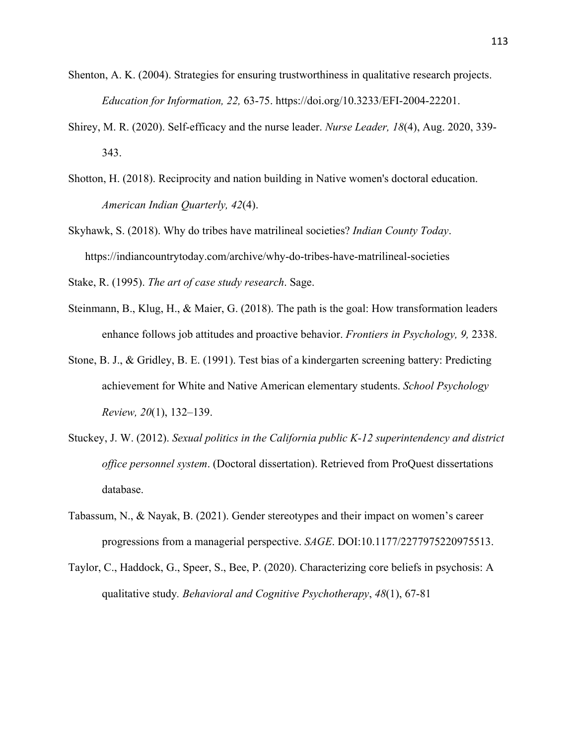- *Education for Information, 22,* 63-75. https://doi.org/10.3233/EFI-2004-22201. Shenton, A. K. (2004). Strategies for ensuring trustworthiness in qualitative research projects.
- Shirey, M. R. (2020). Self-efficacy and the nurse leader. *Nurse Leader, 18*(4), Aug. 2020, 339- 343.
- *American Indian Quarterly, 42*(4). Shotton, H. (2018). Reciprocity and nation building in Native women's doctoral education.
- Skyhawk, S. (2018). Why do tribes have matrilineal societies? *Indian County Today*. https://indiancountrytoday.com/archive/why-do-tribes-have-matrilineal-societies

Stake, R. (1995). *The art of case study research*. Sage.

- enhance follows job attitudes and proactive behavior. *Frontiers in Psychology, 9,* 2338. Steinmann, B., Klug, H., & Maier, G. (2018). The path is the goal: How transformation leaders
- achievement for White and Native American elementary students. *School Psychology*  Stone, B. J., & Gridley, B. E. (1991). Test bias of a kindergarten screening battery: Predicting *Review, 20*(1), 132–139.
- Stuckey, J. W. (2012). *Sexual politics in the California public K-12 superintendency and district office personnel system*. (Doctoral dissertation). Retrieved from ProQuest dissertations database.
- Tabassum, N., & Nayak, B. (2021). Gender stereotypes and their impact on women's career progressions from a managerial perspective. *SAGE*. DOI:10.1177/2277975220975513.
- Taylor, C., Haddock, G., Speer, S., Bee, P. (2020). Characterizing core beliefs in psychosis: A qualitative study*. Behavioral and Cognitive Psychotherapy*, *48*(1), 67-81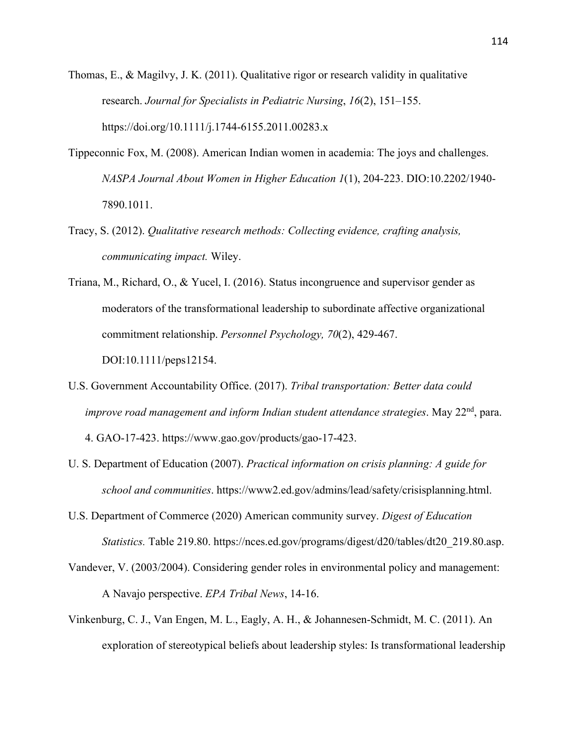- Thomas, E., & Magilvy, J. K. (2011). Qualitative rigor or research validity in qualitative research. *Journal for Specialists in Pediatric Nursing*, *16*(2), 151–155. https://doi.org/10.1111/j.1744-6155.2011.00283.x
- Tippeconnic Fox, M. (2008). American Indian women in academia: The joys and challenges. *NASPA Journal About Women in Higher Education 1*(1), 204-223. DIO:10.2202/1940- 7890.1011.
- *communicating impact.* Wiley. Tracy, S. (2012). *Qualitative research methods: Collecting evidence, crafting analysis,*
- commitment relationship. *Personnel Psychology, 70*(2), 429-467. Triana, M., Richard, O., & Yucel, I. (2016). Status incongruence and supervisor gender as moderators of the transformational leadership to subordinate affective organizational DOI:10.1111/peps12154.
- U.S. Government Accountability Office. (2017). *Tribal transportation: Better data could improve road management and inform Indian student attendance strategies.* May 22<sup>nd</sup>, para. 4. GAO-17-423. https://www.gao.gov/products/gao-17-423.
- U. S. Department of Education (2007). *Practical information on crisis planning: A guide for school and communities*. https://www2.ed.gov/admins/lead/safety/crisisplanning.html.
- U.S. Department of Commerce (2020) American community survey. *Digest of Education Statistics.* Table 219.80. https://nces.ed.gov/programs/digest/d20/tables/dt20\_219.80.asp.
- Vandever, V. (2003/2004). Considering gender roles in environmental policy and management: A Navajo perspective. *EPA Tribal News*, 14-16.
- Vinkenburg, C. J., Van Engen, M. L., Eagly, A. H., & Johannesen-Schmidt, M. C. (2011). An exploration of stereotypical beliefs about leadership styles: Is transformational leadership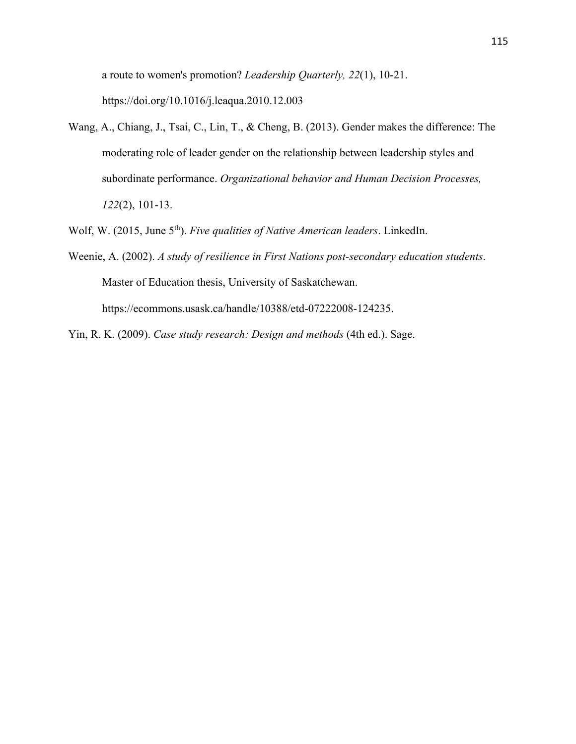a route to women's promotion? *Leadership Quarterly, 22*(1), 10-21. https://doi.org/10.1016/j.leaqua.2010.12.003

Wang, A., Chiang, J., Tsai, C., Lin, T., & Cheng, B. (2013). Gender makes the difference: The moderating role of leader gender on the relationship between leadership styles and subordinate performance. *Organizational behavior and Human Decision Processes, 122*(2), 101-13.

Wolf, W. (2015, June 5th). *Five qualities of Native American leaders*. LinkedIn.

Weenie, A. (2002). *A study of resilience in First Nations post-secondary education students*. Master of Education thesis, University of Saskatchewan. https://ecommons.usask.ca/handle/10388/etd-07222008-124235.

Yin, R. K. (2009). *Case study research: Design and methods* (4th ed.). Sage.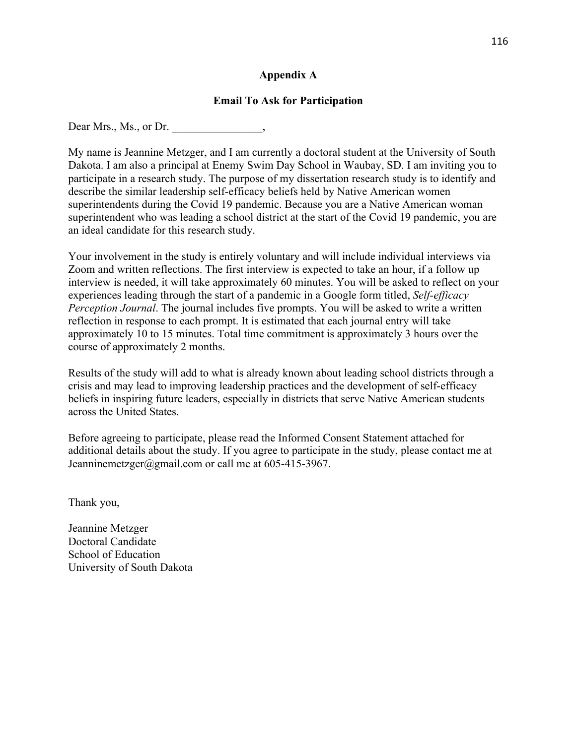## **Appendix A**

## **Email To Ask for Participation**

Dear Mrs., Ms., or Dr.

 Dakota. I am also a principal at Enemy Swim Day School in Waubay, SD. I am inviting you to My name is Jeannine Metzger, and I am currently a doctoral student at the University of South participate in a research study. The purpose of my dissertation research study is to identify and describe the similar leadership self-efficacy beliefs held by Native American women superintendents during the Covid 19 pandemic. Because you are a Native American woman superintendent who was leading a school district at the start of the Covid 19 pandemic, you are an ideal candidate for this research study.

Your involvement in the study is entirely voluntary and will include individual interviews via Zoom and written reflections. The first interview is expected to take an hour, if a follow up interview is needed, it will take approximately 60 minutes. You will be asked to reflect on your experiences leading through the start of a pandemic in a Google form titled, *Self-efficacy Perception Journal*. The journal includes five prompts. You will be asked to write a written reflection in response to each prompt. It is estimated that each journal entry will take approximately 10 to 15 minutes. Total time commitment is approximately 3 hours over the course of approximately 2 months.

 beliefs in inspiring future leaders, especially in districts that serve Native American students Results of the study will add to what is already known about leading school districts through a crisis and may lead to improving leadership practices and the development of self-efficacy across the United States.

Jeanninemetzger@gmail.com or call me at 605-415-3967. Before agreeing to participate, please read the Informed Consent Statement attached for additional details about the study. If you agree to participate in the study, please contact me at

Thank you,

Jeannine Metzger Doctoral Candidate School of Education University of South Dakota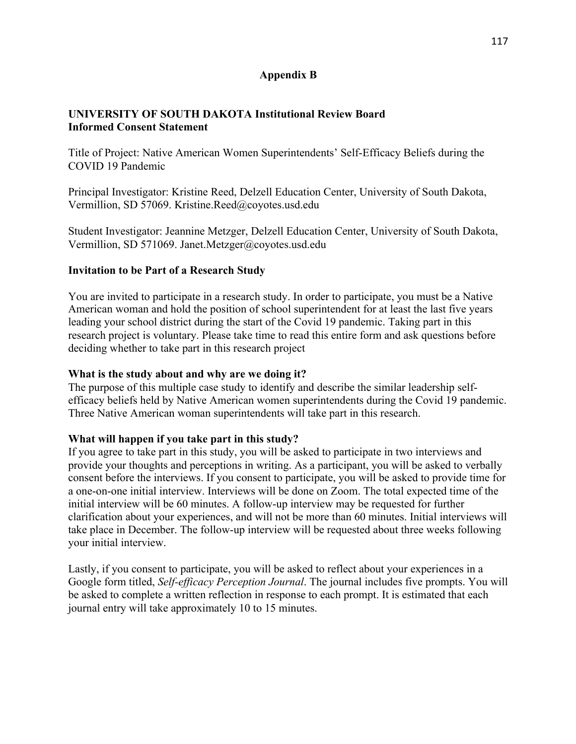## **Appendix B**

## **UNIVERSITY OF SOUTH DAKOTA Institutional Review Board Informed Consent Statement**

COVID 19 Pandemic Title of Project: Native American Women Superintendents' Self-Efficacy Beliefs during the

Principal Investigator: Kristine Reed, Delzell Education Center, University of South Dakota, Vermillion, SD 57069. Kristine.Reed@coyotes.usd.edu

Student Investigator: Jeannine Metzger, Delzell Education Center, University of South Dakota, Vermillion, SD 571069. Janet.Metzger@coyotes.usd.edu

## **Invitation to be Part of a Research Study**

 deciding whether to take part in this research project You are invited to participate in a research study. In order to participate, you must be a Native American woman and hold the position of school superintendent for at least the last five years leading your school district during the start of the Covid 19 pandemic. Taking part in this research project is voluntary. Please take time to read this entire form and ask questions before

## **What is the study about and why are we doing it?**

The purpose of this multiple case study to identify and describe the similar leadership selfefficacy beliefs held by Native American women superintendents during the Covid 19 pandemic. Three Native American woman superintendents will take part in this research.

## **What will happen if you take part in this study?**

If you agree to take part in this study, you will be asked to participate in two interviews and provide your thoughts and perceptions in writing. As a participant, you will be asked to verbally consent before the interviews. If you consent to participate, you will be asked to provide time for a one-on-one initial interview. Interviews will be done on Zoom. The total expected time of the initial interview will be 60 minutes. A follow-up interview may be requested for further clarification about your experiences, and will not be more than 60 minutes. Initial interviews will take place in December. The follow-up interview will be requested about three weeks following your initial interview.

Lastly, if you consent to participate, you will be asked to reflect about your experiences in a Google form titled, *Self-efficacy Perception Journal*. The journal includes five prompts. You will be asked to complete a written reflection in response to each prompt. It is estimated that each journal entry will take approximately 10 to 15 minutes.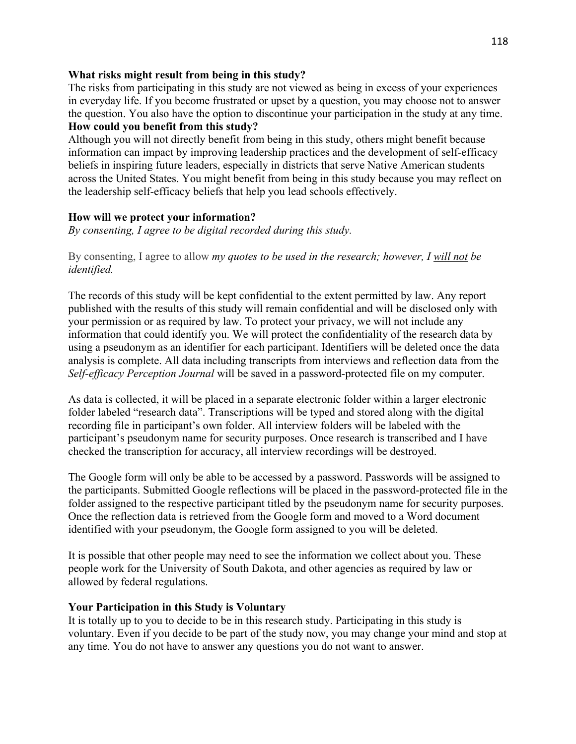## **What risks might result from being in this study?**

The risks from participating in this study are not viewed as being in excess of your experiences in everyday life. If you become frustrated or upset by a question, you may choose not to answer the question. You also have the option to discontinue your participation in the study at any time. **How could you benefit from this study?** 

Although you will not directly benefit from being in this study, others might benefit because information can impact by improving leadership practices and the development of self-efficacy beliefs in inspiring future leaders, especially in districts that serve Native American students across the United States. You might benefit from being in this study because you may reflect on the leadership self-efficacy beliefs that help you lead schools effectively.

## **How will we protect your information?**

*By consenting, I agree to be digital recorded during this study.* 

 By consenting, I agree to allow *my quotes to be used in the research; however, I will not be identified.* 

The records of this study will be kept confidential to the extent permitted by law. Any report published with the results of this study will remain confidential and will be disclosed only with your permission or as required by law. To protect your privacy, we will not include any information that could identify you. We will protect the confidentiality of the research data by using a pseudonym as an identifier for each participant. Identifiers will be deleted once the data analysis is complete. All data including transcripts from interviews and reflection data from the *Self-efficacy Perception Journal* will be saved in a password-protected file on my computer.

As data is collected, it will be placed in a separate electronic folder within a larger electronic folder labeled "research data". Transcriptions will be typed and stored along with the digital recording file in participant's own folder. All interview folders will be labeled with the participant's pseudonym name for security purposes. Once research is transcribed and I have checked the transcription for accuracy, all interview recordings will be destroyed.

The Google form will only be able to be accessed by a password. Passwords will be assigned to the participants. Submitted Google reflections will be placed in the password-protected file in the folder assigned to the respective participant titled by the pseudonym name for security purposes. Once the reflection data is retrieved from the Google form and moved to a Word document identified with your pseudonym, the Google form assigned to you will be deleted.

It is possible that other people may need to see the information we collect about you. These people work for the University of South Dakota, and other agencies as required by law or allowed by federal regulations.

## **Your Participation in this Study is Voluntary**

It is totally up to you to decide to be in this research study. Participating in this study is voluntary. Even if you decide to be part of the study now, you may change your mind and stop at any time. You do not have to answer any questions you do not want to answer.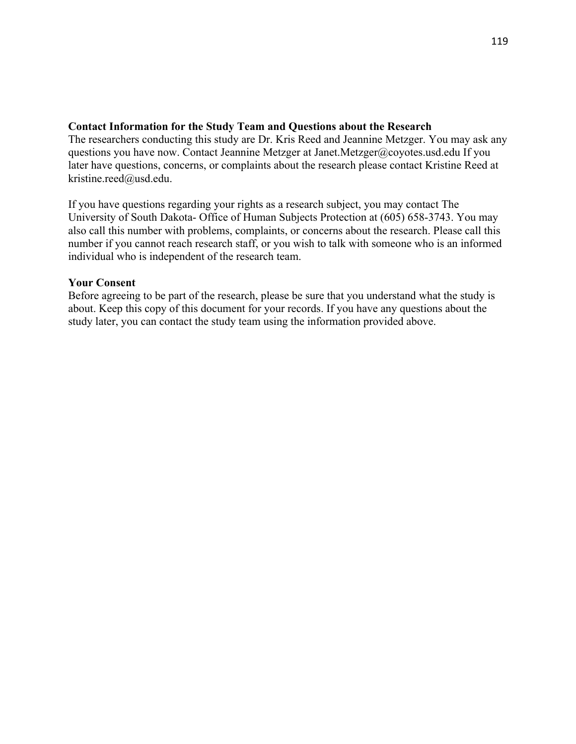#### **Contact Information for the Study Team and Questions about the Research**

The researchers conducting this study are Dr. Kris Reed and Jeannine Metzger. You may ask any questions you have now. Contact Jeannine Metzger at Janet.Metzger@coyotes.usd.edu If you later have questions, concerns, or complaints about the research please contact Kristine Reed at kristine.reed@usd.edu.

If you have questions regarding your rights as a research subject, you may contact The University of South Dakota- Office of Human Subjects Protection at (605) 658-3743. You may also call this number with problems, complaints, or concerns about the research. Please call this number if you cannot reach research staff, or you wish to talk with someone who is an informed individual who is independent of the research team.

#### **Your Consent**

Before agreeing to be part of the research, please be sure that you understand what the study is about. Keep this copy of this document for your records. If you have any questions about the study later, you can contact the study team using the information provided above.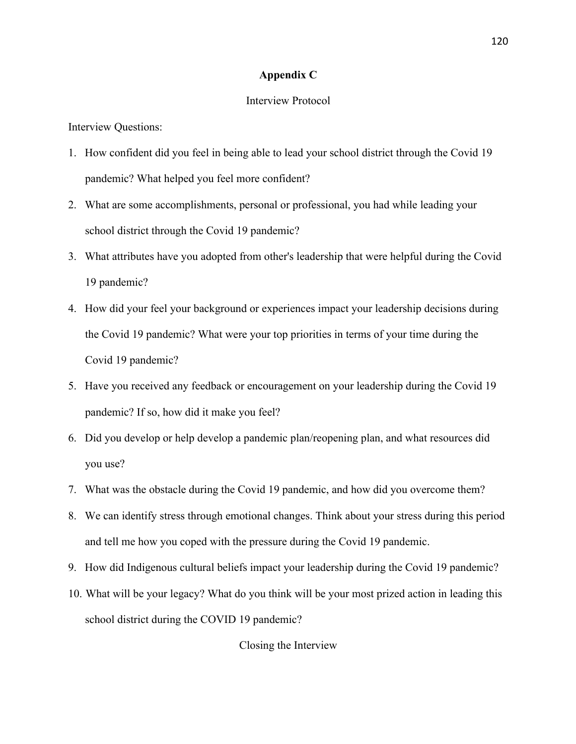#### **Appendix C**

#### Interview Protocol

Interview Questions:

- 1. How confident did you feel in being able to lead your school district through the Covid 19 pandemic? What helped you feel more confident?
- 2. What are some accomplishments, personal or professional, you had while leading your school district through the Covid 19 pandemic?
- school district through the Covid 19 pandemic?<br>3. What attributes have you adopted from other's leadership that were helpful during the Covid 19 pandemic?
- 4. How did your feel your background or experiences impact your leadership decisions during the Covid 19 pandemic? What were your top priorities in terms of your time during the Covid 19 pandemic?
- 5. Have you received any feedback or encouragement on your leadership during the Covid 19 pandemic? If so, how did it make you feel?
- 6. Did you develop or help develop a pandemic plan/reopening plan, and what resources did you use?
- 7. What was the obstacle during the Covid 19 pandemic, and how did you overcome them?
- 8. We can identify stress through emotional changes. Think about your stress during this period and tell me how you coped with the pressure during the Covid 19 pandemic.
- 9. How did Indigenous cultural beliefs impact your leadership during the Covid 19 pandemic?
- 10. What will be your legacy? What do you think will be your most prized action in leading this school district during the COVID 19 pandemic?

Closing the Interview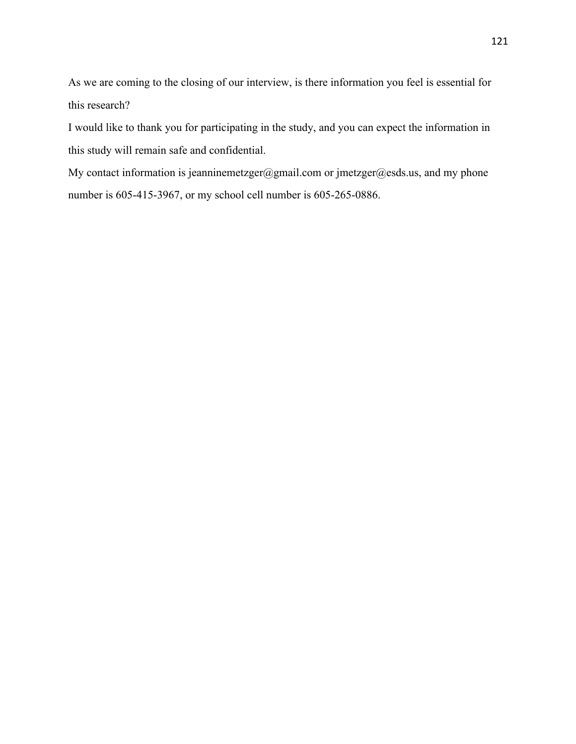As we are coming to the closing of our interview, is there information you feel is essential for this research?

I would like to thank you for participating in the study, and you can expect the information in this study will remain safe and confidential.

My contact information is jeanninemetzger@gmail.com or jmetzger@esds.us, and my phone number is 605-415-3967, or my school cell number is 605-265-0886.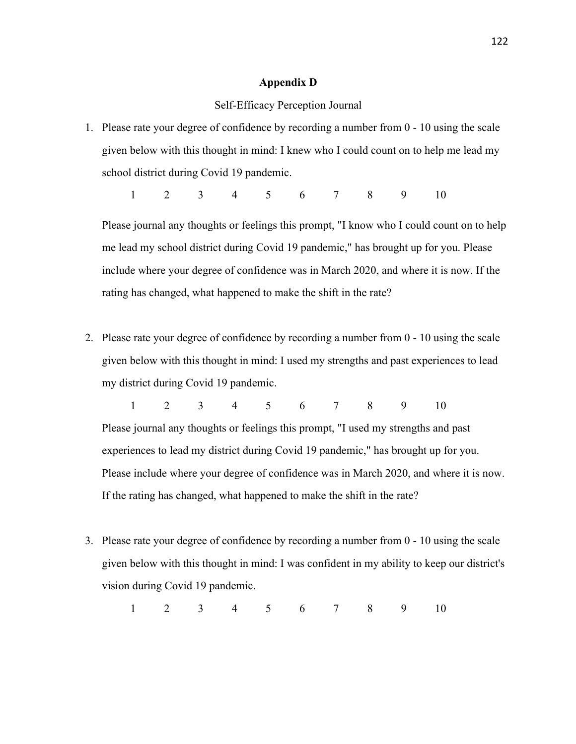#### **Appendix D**

#### Self-Efficacy Perception Journal

1. Please rate your degree of confidence by recording a number from 0 - 10 using the scale given below with this thought in mind: I knew who I could count on to help me lead my school district during Covid 19 pandemic.

1 2 3 4 5 6 7 8 9 10

Please journal any thoughts or feelings this prompt, "I know who I could count on to help me lead my school district during Covid 19 pandemic," has brought up for you. Please include where your degree of confidence was in March 2020, and where it is now. If the rating has changed, what happened to make the shift in the rate?

2. Please rate your degree of confidence by recording a number from 0 - 10 using the scale given below with this thought in mind: I used my strengths and past experiences to lead my district during Covid 19 pandemic.

1 2 3 4 5 6 7 8 9 10 Please journal any thoughts or feelings this prompt, "I used my strengths and past experiences to lead my district during Covid 19 pandemic," has brought up for you. Please include where your degree of confidence was in March 2020, and where it is now.

- If the rating has changed, what happened to make the shift in the rate?
- 3. Please rate your degree of confidence by recording a number from 0 10 using the scale given below with this thought in mind: I was confident in my ability to keep our district's vision during Covid 19 pandemic.

1 2 3 4 5 6 7 8 9 10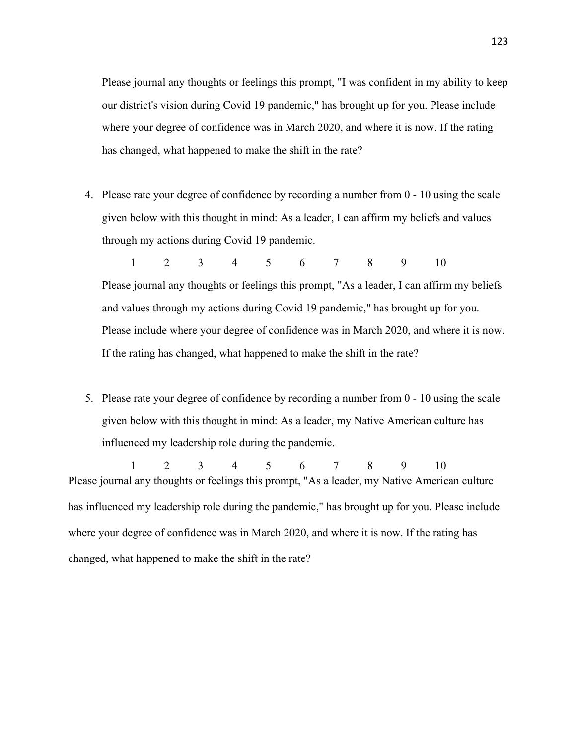Please journal any thoughts or feelings this prompt, "I was confident in my ability to keep our district's vision during Covid 19 pandemic," has brought up for you. Please include where your degree of confidence was in March 2020, and where it is now. If the rating has changed, what happened to make the shift in the rate?

4. Please rate your degree of confidence by recording a number from 0 - 10 using the scale given below with this thought in mind: As a leader, I can affirm my beliefs and values through my actions during Covid 19 pandemic.

1 2 3 4 5 6 7 8 9 10 Please journal any thoughts or feelings this prompt, "As a leader, I can affirm my beliefs and values through my actions during Covid 19 pandemic," has brought up for you. Please include where your degree of confidence was in March 2020, and where it is now. If the rating has changed, what happened to make the shift in the rate?

5. Please rate your degree of confidence by recording a number from 0 - 10 using the scale given below with this thought in mind: As a leader, my Native American culture has influenced my leadership role during the pandemic.

1 2 3 4 5 6 7 8 9 10 Please journal any thoughts or feelings this prompt, "As a leader, my Native American culture has influenced my leadership role during the pandemic," has brought up for you. Please include where your degree of confidence was in March 2020, and where it is now. If the rating has changed, what happened to make the shift in the rate?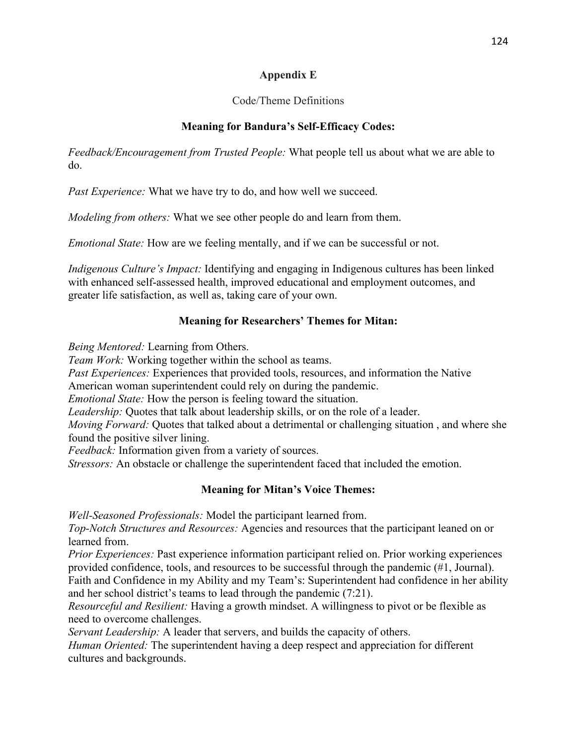# **Appendix E**

# Code/Theme Definitions

# **Meaning for Bandura's Self-Efficacy Codes:**

*Feedback/Encouragement from Trusted People:* What people tell us about what we are able to do.

*Past Experience:* What we have try to do, and how well we succeed.

*Modeling from others:* What we see other people do and learn from them.

*Emotional State:* How are we feeling mentally, and if we can be successful or not.

*Indigenous Culture's Impact:* Identifying and engaging in Indigenous cultures has been linked with enhanced self-assessed health, improved educational and employment outcomes, and greater life satisfaction, as well as, taking care of your own.

# **Meaning for Researchers' Themes for Mitan:**

*Being Mentored:* Learning from Others.

*Team Work:* Working together within the school as teams.

*Past Experiences:* Experiences that provided tools, resources, and information the Native

American woman superintendent could rely on during the pandemic.

*Emotional State:* How the person is feeling toward the situation.

*Leadership:* Quotes that talk about leadership skills, or on the role of a leader.

*Moving Forward:* Quotes that talked about a detrimental or challenging situation , and where she found the positive silver lining.

*Feedback:* Information given from a variety of sources.

*Stressors:* An obstacle or challenge the superintendent faced that included the emotion.

# **Meaning for Mitan's Voice Themes:**

*Well-Seasoned Professionals:* Model the participant learned from.

*Top-Notch Structures and Resources:* Agencies and resources that the participant leaned on or learned from.

*Prior Experiences:* Past experience information participant relied on. Prior working experiences provided confidence, tools, and resources to be successful through the pandemic (#1, Journal). Faith and Confidence in my Ability and my Team's: Superintendent had confidence in her ability

and her school district's teams to lead through the pandemic (7:21).

*Resourceful and Resilient:* Having a growth mindset. A willingness to pivot or be flexible as need to overcome challenges.

*Servant Leadership:* A leader that servers, and builds the capacity of others.

*Human Oriented:* The superintendent having a deep respect and appreciation for different cultures and backgrounds.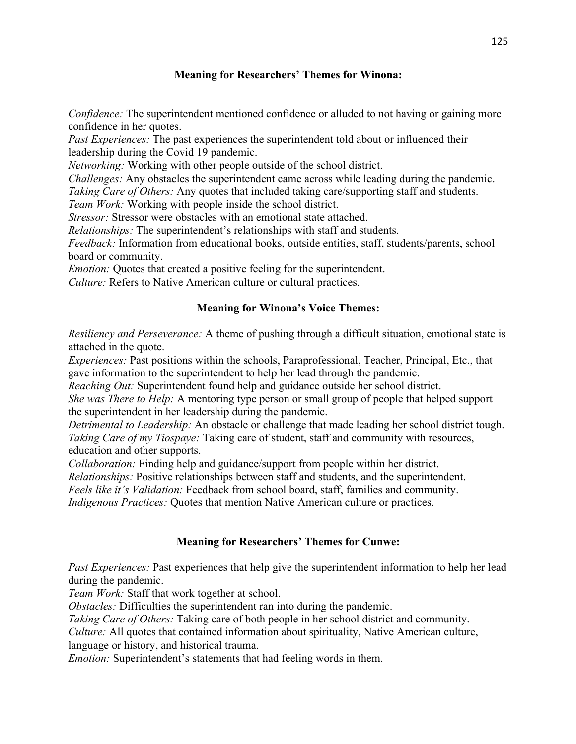# **Meaning for Researchers' Themes for Winona:**

*Confidence:* The superintendent mentioned confidence or alluded to not having or gaining more confidence in her quotes.

*Past Experiences:* The past experiences the superintendent told about or influenced their leadership during the Covid 19 pandemic.

*Networking:* Working with other people outside of the school district.

*Challenges:* Any obstacles the superintendent came across while leading during the pandemic. *Taking Care of Others:* Any quotes that included taking care/supporting staff and students.

*Team Work:* Working with people inside the school district.

*Stressor:* Stressor were obstacles with an emotional state attached.

*Relationships:* The superintendent's relationships with staff and students.

*Feedback:* Information from educational books, outside entities, staff, students/parents, school board or community.

*Emotion:* Quotes that created a positive feeling for the superintendent.

*Culture:* Refers to Native American culture or cultural practices.

## **Meaning for Winona's Voice Themes:**

*Resiliency and Perseverance:* A theme of pushing through a difficult situation, emotional state is attached in the quote.

gave information to the superintendent to help her lead through the pandemic. *Experiences:* Past positions within the schools, Paraprofessional, Teacher, Principal, Etc., that

*Reaching Out:* Superintendent found help and guidance outside her school district.

*She was There to Help:* A mentoring type person or small group of people that helped support the superintendent in her leadership during the pandemic.

*Detrimental to Leadership:* An obstacle or challenge that made leading her school district tough. *Taking Care of my Tiospaye:* Taking care of student, staff and community with resources, education and other supports.

*Collaboration:* Finding help and guidance/support from people within her district.

*Relationships:* Positive relationships between staff and students, and the superintendent.

*Feels like it's Validation:* Feedback from school board, staff, families and community.

*Indigenous Practices:* Quotes that mention Native American culture or practices.

## **Meaning for Researchers' Themes for Cunwe:**

*Past Experiences:* Past experiences that help give the superintendent information to help her lead during the pandemic.

*Team Work:* Staff that work together at school.

*Obstacles:* Difficulties the superintendent ran into during the pandemic.

*Taking Care of Others:* Taking care of both people in her school district and community.

*Culture:* All quotes that contained information about spirituality, Native American culture,

language or history, and historical trauma.

*Emotion:* Superintendent's statements that had feeling words in them.